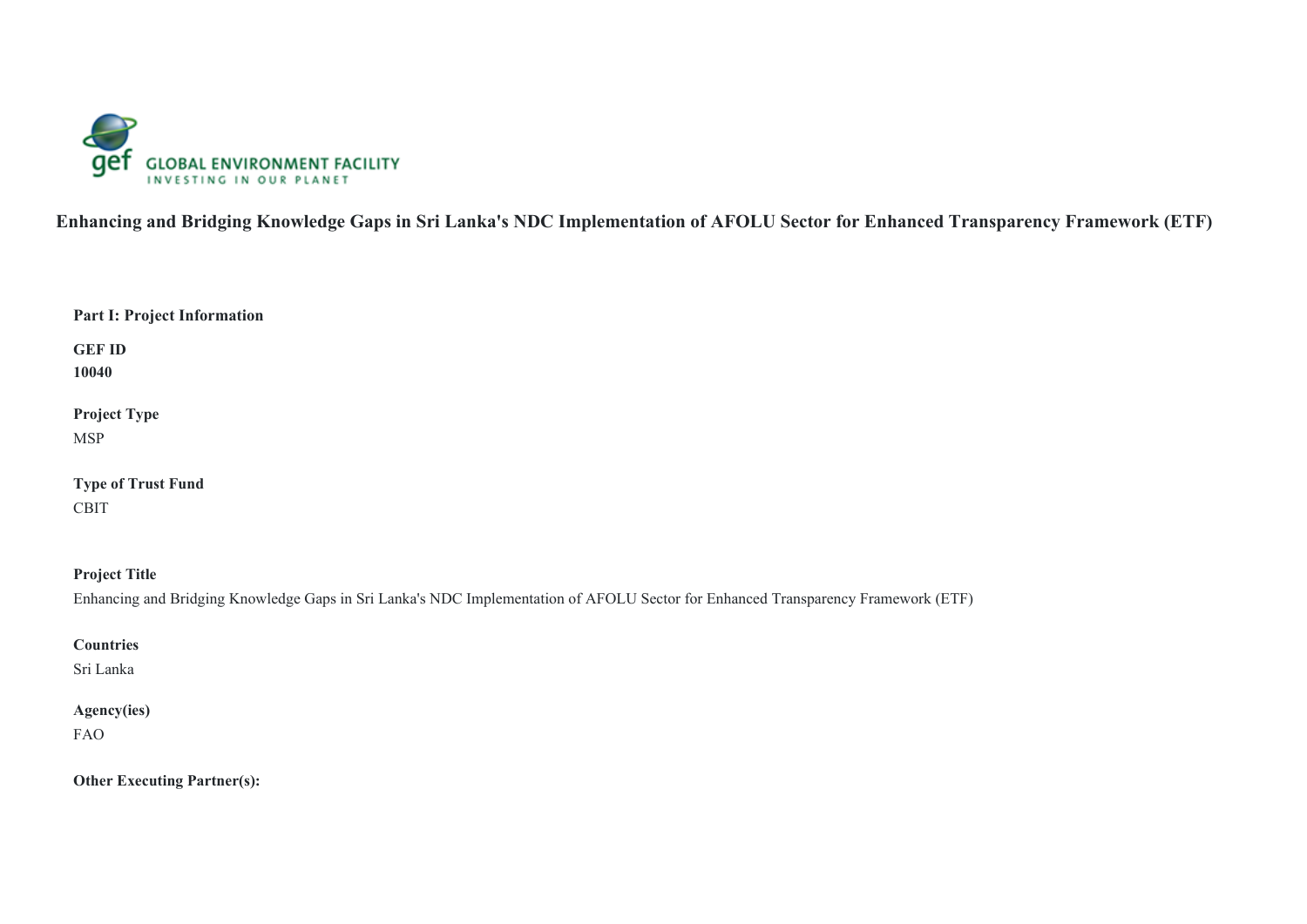

**Enhancing and Bridging Knowledge Gaps in Sri Lanka's NDC Implementation of AFOLU Sector for Enhanced Transparency Framework (ETF)** 

**GEF ID 10040**

**Project Type** MSP

**Type of Trust Fund** CBIT

**Project Title** Enhancing and Bridging Knowledge Gaps in Sri Lanka's NDC Implementation of AFOLU Sector for Enhanced Transparency Framework (ETF)

**Countries**

Sri Lanka

# **Agency(ies)**

FAO

**Other Executing Partner(s):**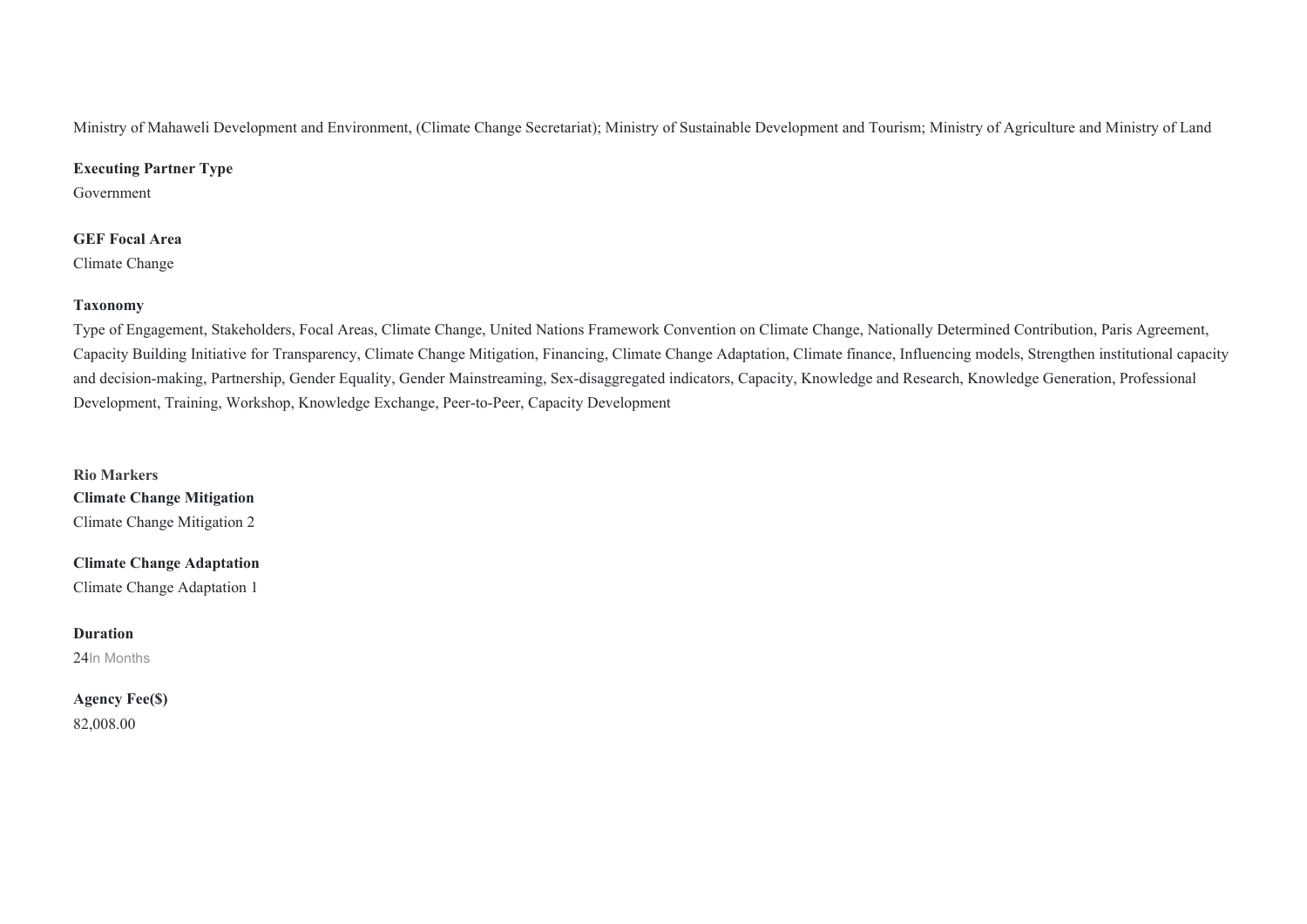Ministry of Mahaweli Development and Environment, (Climate Change Secretariat); Ministry of Sustainable Development and Tourism; Ministry of Agriculture and Ministry of Land

### **Executing Partner Type**

Government

### **GEF Focal Area**

Climate Change

### **Taxonomy**

Type of Engagement, Stakeholders, Focal Areas, Climate Change, United Nations Framework Convention on Climate Change, Nationally Determined Contribution, Paris Agreement, Capacity Building Initiative for Transparency, Climate Change Mitigation, Financing, Climate Change Adaptation, Climate finance, Influencing models, Strengthen institutional capacity and decision-making, Partnership, Gender Equality, Gender Mainstreaming, Sex-disaggregated indicators, Capacity, Knowledge and Research, Knowledge Generation, Professional Development, Training, Workshop, Knowledge Exchange, Peer-to-Peer, Capacity Development

**Rio Markers Climate Change Mitigation** Climate Change Mitigation 2

**Climate Change Adaptation** Climate Change Adaptation 1

### **Duration**

24In Months

## **Agency Fee(\$)** 82,008.00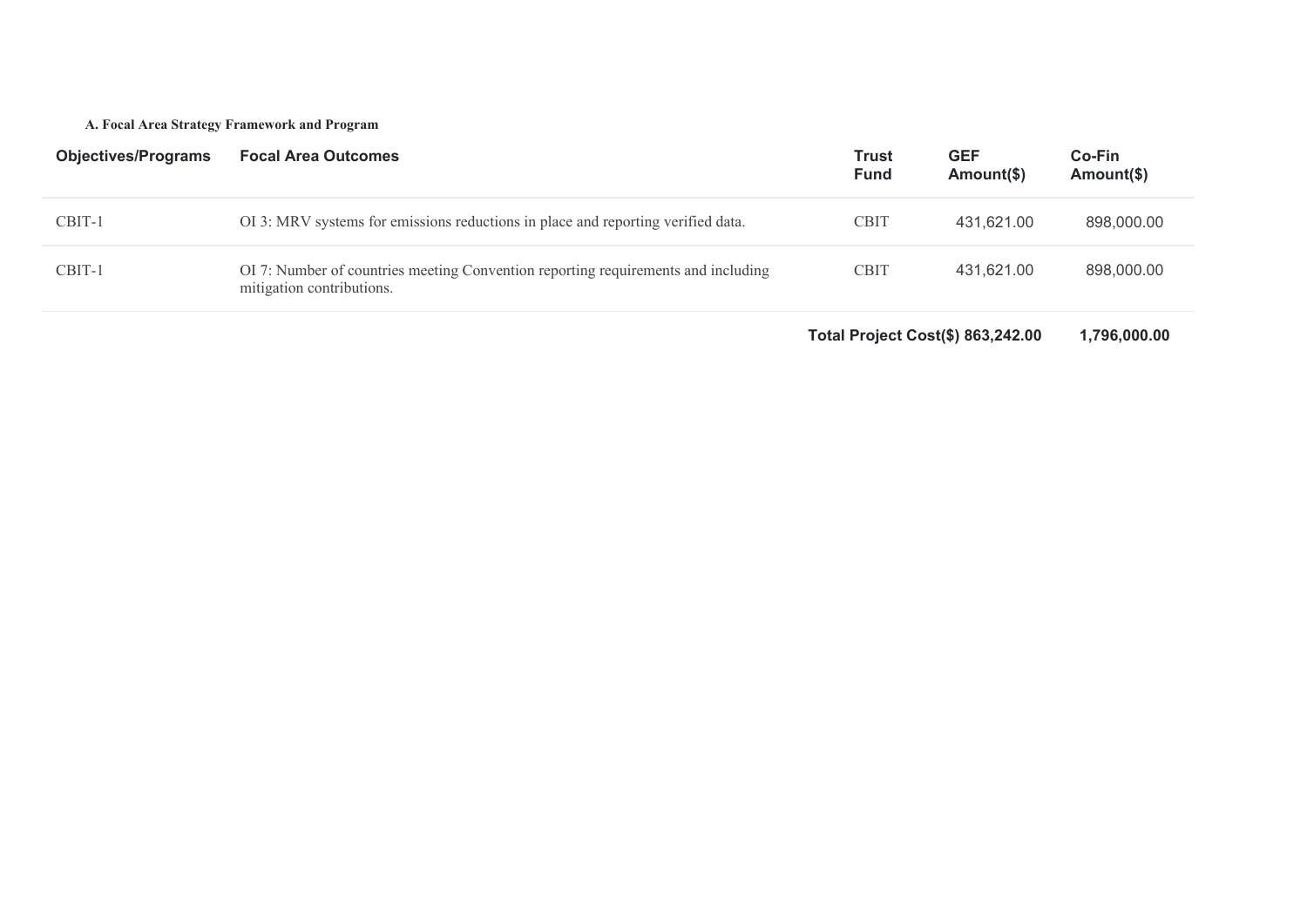### **A. Focal Area Strategy Framework and Program**

| <b>Objectives/Programs</b> | <b>Focal Area Outcomes</b>                                                                                     | <b>Trust</b><br><b>Fund</b> | <b>GEF</b><br>Amount(\$) | <b>Co-Fin</b><br>Amount(\$) |
|----------------------------|----------------------------------------------------------------------------------------------------------------|-----------------------------|--------------------------|-----------------------------|
| CBIT-1                     | OI 3: MRV systems for emissions reductions in place and reporting verified data.                               | <b>CBIT</b>                 | 431,621.00               | 898,000.00                  |
| CBIT-1                     | OI 7: Number of countries meeting Convention reporting requirements and including<br>mitigation contributions. | <b>CBIT</b>                 | 431,621.00               | 898,000.00                  |

**Total Project Cost(\$) 863,242.00 1,796,000.00**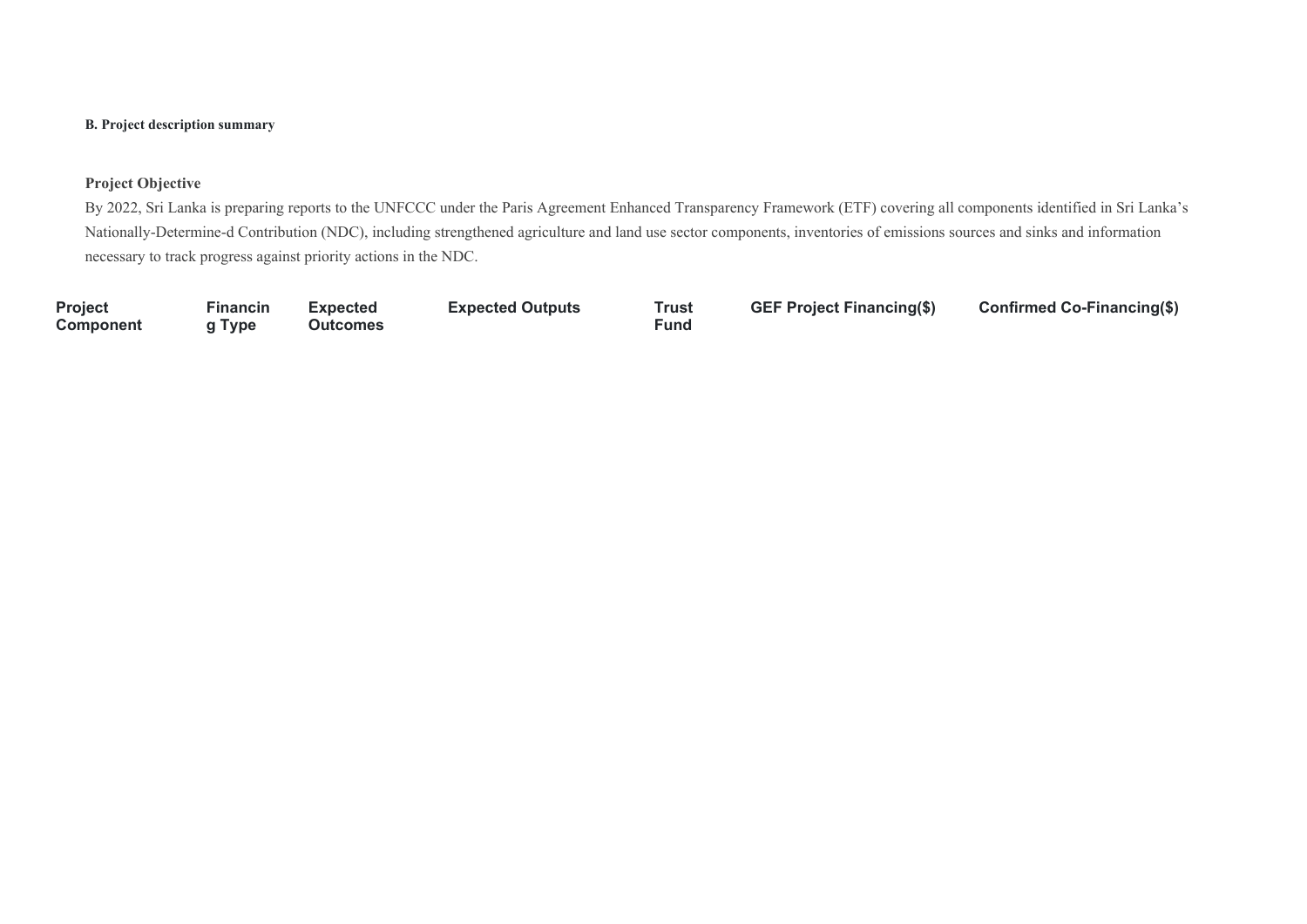### **B. Project description summary**

### **Project Objective**

By 2022, Sri Lanka is preparing reports to the UNFCCC under the Paris Agreement Enhanced Transparency Framework (ETF) covering all components identified in Sri Lanka's Nationally-Determine-d Contribution (NDC), including strengthened agriculture and land use sector components, inventories of emissions sources and sinks and information necessary to track progress against priority actions in the NDC.

**Project Component**

**Financin g Type Expected Outcomes** **Expected Outputs Trust** 

**Fund**

**GEF Project Financing(\$) Confirmed Co-Financing(\$)**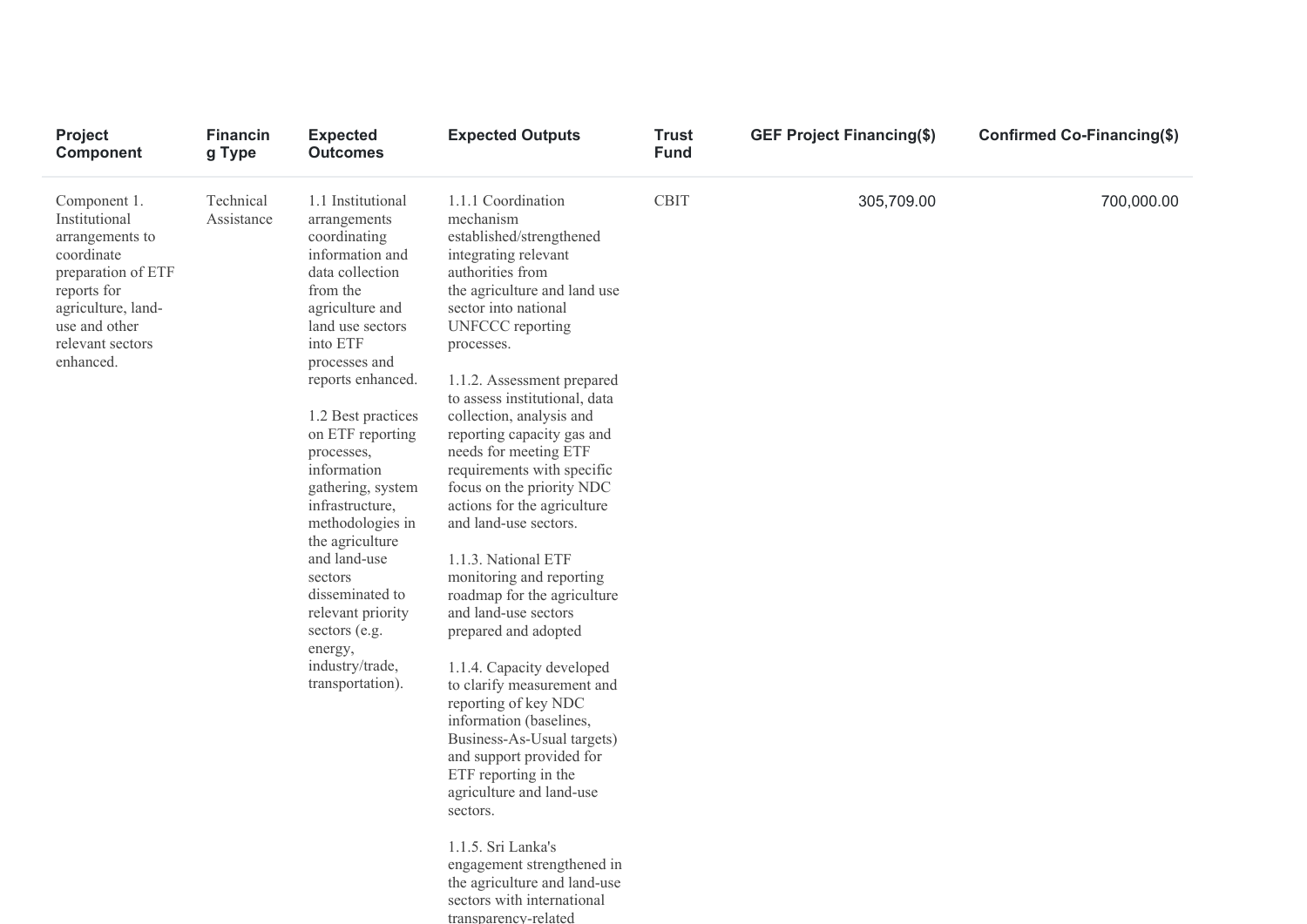| Project<br><b>Component</b>                                                                                                                                                 | <b>Financin</b><br>g Type | <b>Expected</b><br><b>Outcomes</b>                                                                                                                                                                                                                                                                                                                                                                                                                                                       | <b>Expected Outputs</b>                                                                                                                                                                                                                                                                                                                                                                                                                                                                                                                                                                                                                                                                                                                                                                                                                                                                                                                     | <b>Trust</b><br><b>Fund</b> | <b>GEF Project Financing(\$)</b> | Confirmed Co-Financing(\$) |
|-----------------------------------------------------------------------------------------------------------------------------------------------------------------------------|---------------------------|------------------------------------------------------------------------------------------------------------------------------------------------------------------------------------------------------------------------------------------------------------------------------------------------------------------------------------------------------------------------------------------------------------------------------------------------------------------------------------------|---------------------------------------------------------------------------------------------------------------------------------------------------------------------------------------------------------------------------------------------------------------------------------------------------------------------------------------------------------------------------------------------------------------------------------------------------------------------------------------------------------------------------------------------------------------------------------------------------------------------------------------------------------------------------------------------------------------------------------------------------------------------------------------------------------------------------------------------------------------------------------------------------------------------------------------------|-----------------------------|----------------------------------|----------------------------|
| Component 1.<br>Institutional<br>arrangements to<br>coordinate<br>preparation of ETF<br>reports for<br>agriculture, land-<br>use and other<br>relevant sectors<br>enhanced. | Technical<br>Assistance   | 1.1 Institutional<br>arrangements<br>coordinating<br>information and<br>data collection<br>from the<br>agriculture and<br>land use sectors<br>into ETF<br>processes and<br>reports enhanced.<br>1.2 Best practices<br>on ETF reporting<br>processes,<br>information<br>gathering, system<br>infrastructure,<br>methodologies in<br>the agriculture<br>and land-use<br>sectors<br>disseminated to<br>relevant priority<br>sectors (e.g.<br>energy,<br>industry/trade,<br>transportation). | 1.1.1 Coordination<br>mechanism<br>established/strengthened<br>integrating relevant<br>authorities from<br>the agriculture and land use<br>sector into national<br><b>UNFCCC</b> reporting<br>processes.<br>1.1.2. Assessment prepared<br>to assess institutional, data<br>collection, analysis and<br>reporting capacity gas and<br>needs for meeting ETF<br>requirements with specific<br>focus on the priority NDC<br>actions for the agriculture<br>and land-use sectors.<br>1.1.3. National ETF<br>monitoring and reporting<br>roadmap for the agriculture<br>and land-use sectors<br>prepared and adopted<br>1.1.4. Capacity developed<br>to clarify measurement and<br>reporting of key NDC<br>information (baselines,<br>Business-As-Usual targets)<br>and support provided for<br>ETF reporting in the<br>agriculture and land-use<br>sectors.<br>1.1.5. Sri Lanka's<br>engagement strengthened in<br>the agriculture and land-use | <b>CBIT</b>                 | 305,709.00                       | 700,000.00                 |

sectors with international transparency-related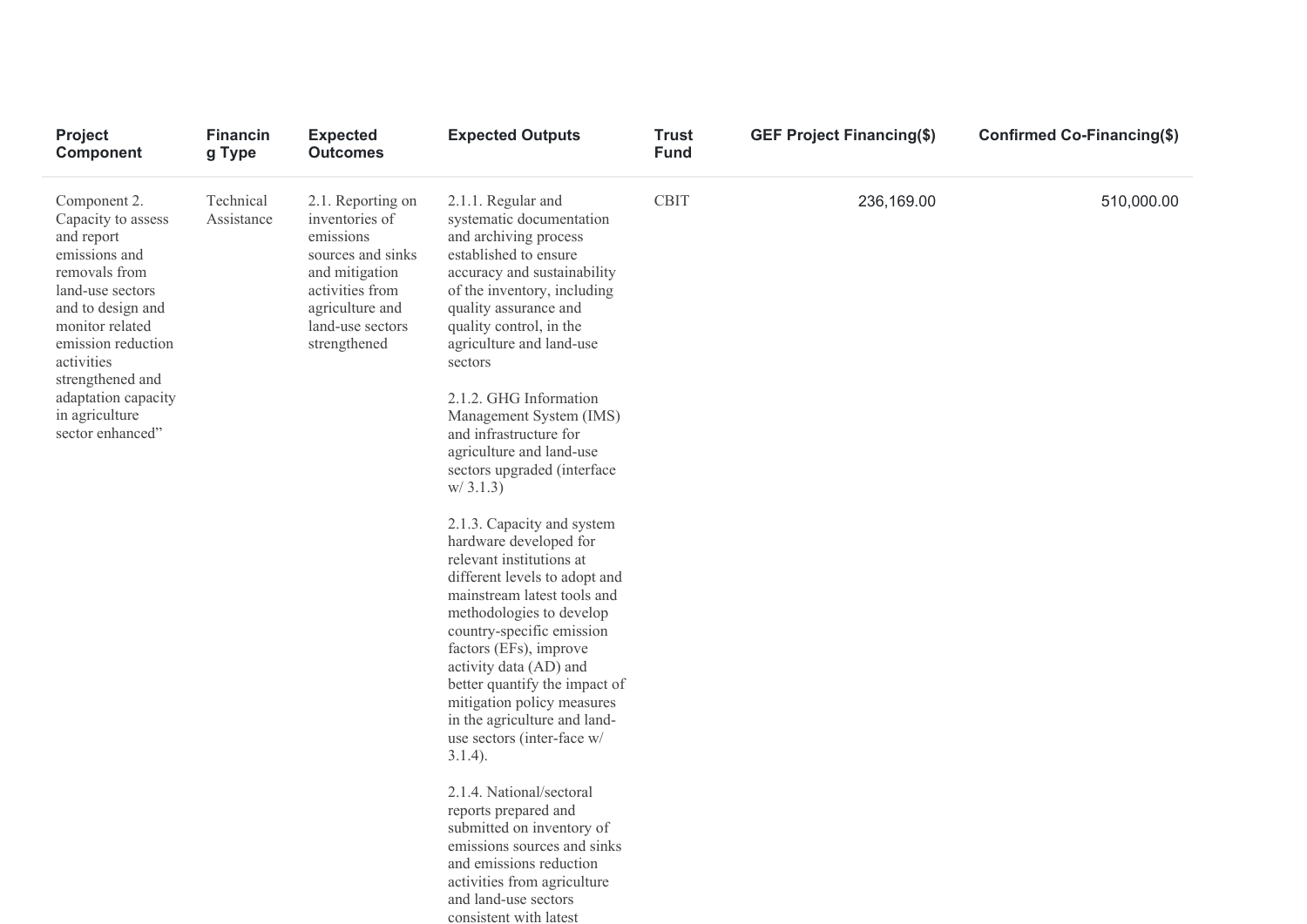| Project<br><b>Component</b>                                                                                                                                                                                                                                         | <b>Financin</b><br>g Type | <b>Expected</b><br><b>Outcomes</b>                                                                                                                                | <b>Expected Outputs</b>                                                                                                                                                                                                                                                                                                                                                                                             | <b>Trust</b><br><b>Fund</b> | <b>GEF Project Financing(\$)</b> | Confirmed Co-Financing(\$) |
|---------------------------------------------------------------------------------------------------------------------------------------------------------------------------------------------------------------------------------------------------------------------|---------------------------|-------------------------------------------------------------------------------------------------------------------------------------------------------------------|---------------------------------------------------------------------------------------------------------------------------------------------------------------------------------------------------------------------------------------------------------------------------------------------------------------------------------------------------------------------------------------------------------------------|-----------------------------|----------------------------------|----------------------------|
| Component 2.<br>Capacity to assess<br>and report<br>emissions and<br>removals from<br>land-use sectors<br>and to design and<br>monitor related<br>emission reduction<br>activities<br>strengthened and<br>adaptation capacity<br>in agriculture<br>sector enhanced" | Technical<br>Assistance   | 2.1. Reporting on<br>inventories of<br>emissions<br>sources and sinks<br>and mitigation<br>activities from<br>agriculture and<br>land-use sectors<br>strengthened | 2.1.1. Regular and<br>systematic documentation<br>and archiving process<br>established to ensure<br>accuracy and sustainability<br>of the inventory, including<br>quality assurance and<br>quality control, in the<br>agriculture and land-use<br>sectors<br>2.1.2. GHG Information<br>Management System (IMS)<br>and infrastructure for<br>agriculture and land-use<br>sectors upgraded (interface                 | <b>CBIT</b>                 | 236,169.00                       | 510,000.00                 |
|                                                                                                                                                                                                                                                                     |                           |                                                                                                                                                                   | w/3.1.3<br>2.1.3. Capacity and system<br>hardware developed for<br>relevant institutions at<br>different levels to adopt and<br>mainstream latest tools and<br>methodologies to develop<br>country-specific emission<br>factors (EFs), improve<br>activity data (AD) and<br>better quantify the impact of<br>mitigation policy measures<br>in the agriculture and land-<br>use sectors (inter-face w/<br>$3.1.4$ ). |                             |                                  |                            |
|                                                                                                                                                                                                                                                                     |                           |                                                                                                                                                                   | 2.1.4. National/sectoral<br>reports prepared and<br>submitted on inventory of<br>emissions sources and sinks<br>and emissions reduction<br>activities from agriculture                                                                                                                                                                                                                                              |                             |                                  |                            |

and land-use sectors consistent with latest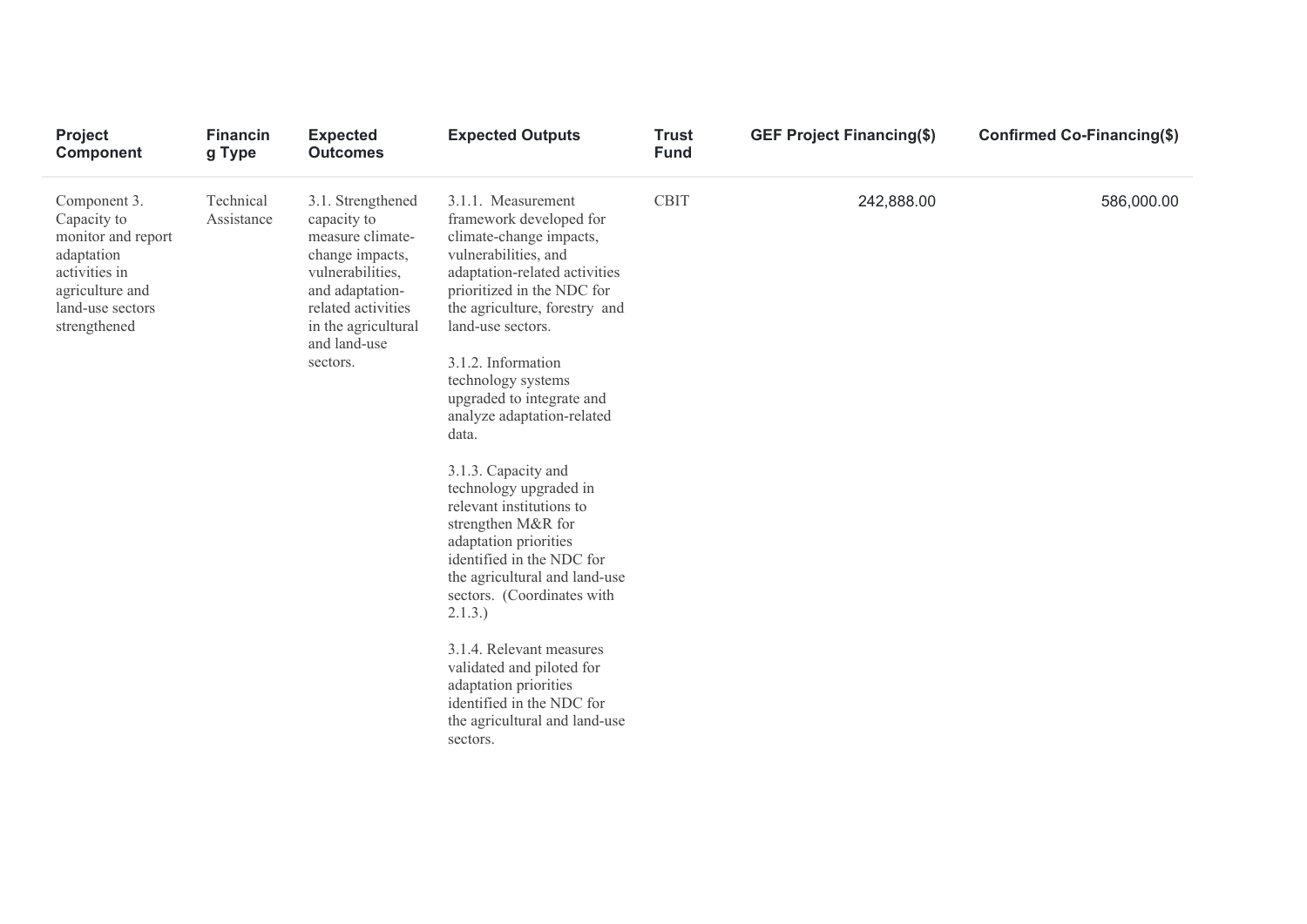| <b>Project</b><br>Component                                                                                                             | <b>Financin</b><br>g Type | <b>Expected</b><br><b>Outcomes</b>                                                                                                                                                      | <b>Expected Outputs</b>                                                                                                                                                                                                                                                                                                                                                                                                                                                                                                                                                                                                                                                                                                              | <b>Trust</b><br><b>Fund</b> | <b>GEF Project Financing(\$)</b> | Confirmed Co-Financing(\$) |
|-----------------------------------------------------------------------------------------------------------------------------------------|---------------------------|-----------------------------------------------------------------------------------------------------------------------------------------------------------------------------------------|--------------------------------------------------------------------------------------------------------------------------------------------------------------------------------------------------------------------------------------------------------------------------------------------------------------------------------------------------------------------------------------------------------------------------------------------------------------------------------------------------------------------------------------------------------------------------------------------------------------------------------------------------------------------------------------------------------------------------------------|-----------------------------|----------------------------------|----------------------------|
| Component 3.<br>Capacity to<br>monitor and report<br>adaptation<br>activities in<br>agriculture and<br>land-use sectors<br>strengthened | Technical<br>Assistance   | 3.1. Strengthened<br>capacity to<br>measure climate-<br>change impacts,<br>vulnerabilities,<br>and adaptation-<br>related activities<br>in the agricultural<br>and land-use<br>sectors. | 3.1.1. Measurement<br>framework developed for<br>climate-change impacts,<br>vulnerabilities, and<br>adaptation-related activities<br>prioritized in the NDC for<br>the agriculture, forestry and<br>land-use sectors.<br>3.1.2. Information<br>technology systems<br>upgraded to integrate and<br>analyze adaptation-related<br>data.<br>3.1.3. Capacity and<br>technology upgraded in<br>relevant institutions to<br>strengthen M&R for<br>adaptation priorities<br>identified in the NDC for<br>the agricultural and land-use<br>sectors. (Coordinates with<br>2.1.3.)<br>3.1.4. Relevant measures<br>validated and piloted for<br>adaptation priorities<br>identified in the NDC for<br>the agricultural and land-use<br>sectors. | <b>CBIT</b>                 | 242,888.00                       | 586,000.00                 |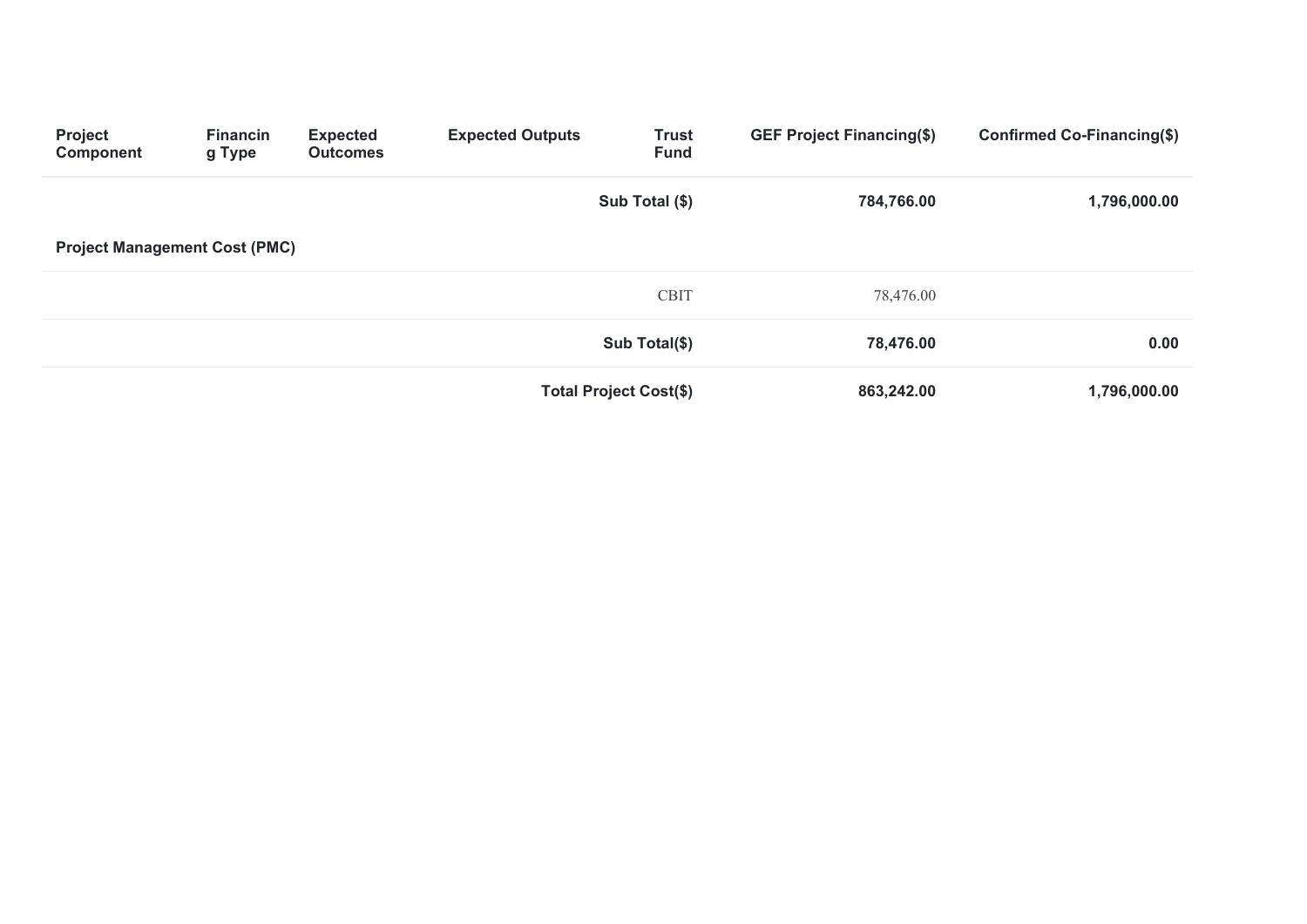| <b>Project</b><br><b>Component</b>   | <b>Financin</b><br>g Type | <b>Expected</b><br><b>Outcomes</b> | <b>Expected Outputs</b> | <b>Trust</b><br><b>Fund</b>   | <b>GEF Project Financing(\$)</b> | Confirmed Co-Financing(\$) |
|--------------------------------------|---------------------------|------------------------------------|-------------------------|-------------------------------|----------------------------------|----------------------------|
|                                      |                           |                                    |                         | Sub Total (\$)                | 784,766.00                       | 1,796,000.00               |
| <b>Project Management Cost (PMC)</b> |                           |                                    |                         |                               |                                  |                            |
|                                      |                           |                                    |                         | <b>CBIT</b>                   | 78,476.00                        |                            |
|                                      |                           |                                    |                         | Sub Total(\$)                 | 78,476.00                        | 0.00                       |
|                                      |                           |                                    |                         | <b>Total Project Cost(\$)</b> | 863,242.00                       | 1,796,000.00               |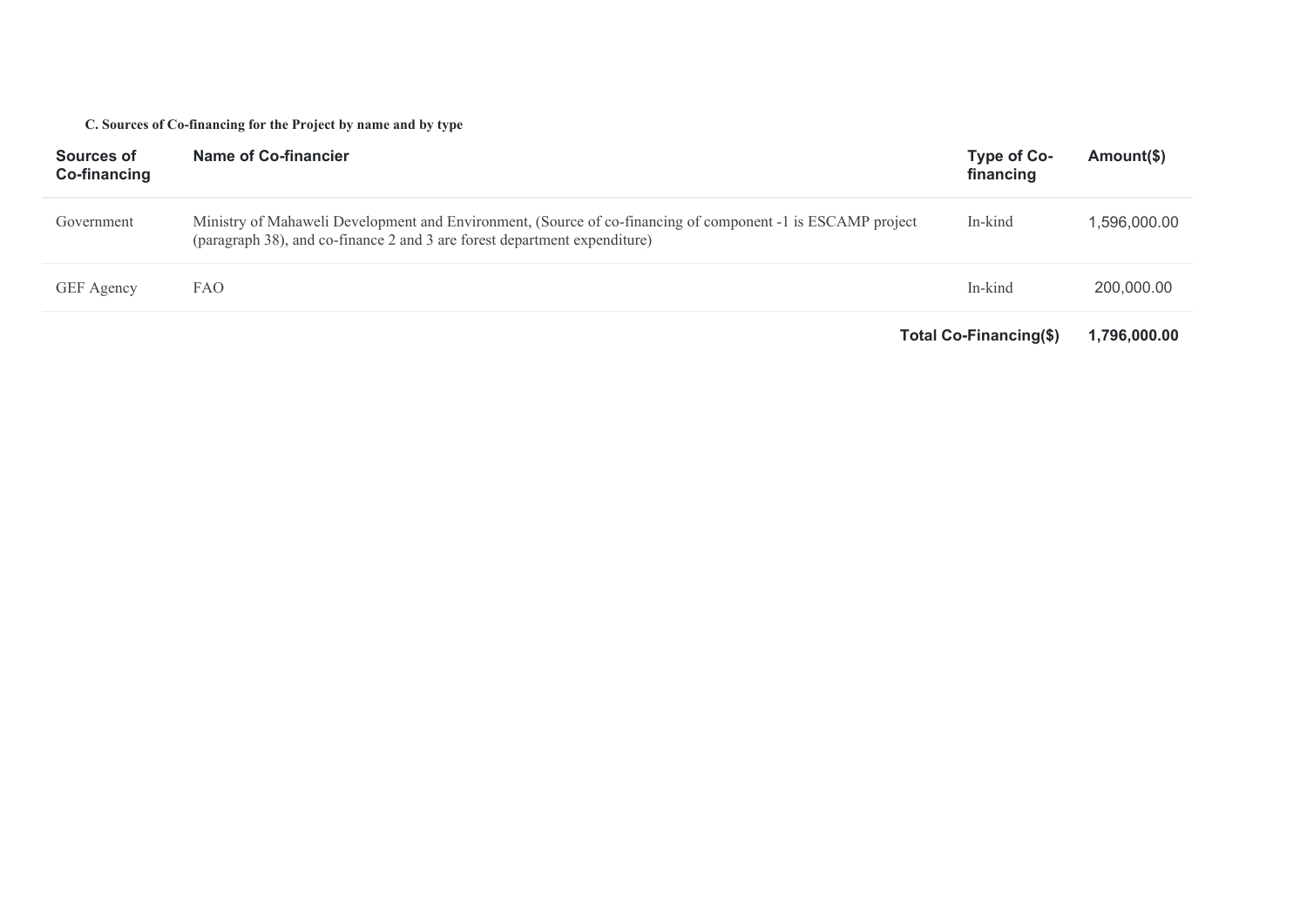### **C. Sources of Co-financing for the Project by name and by type**

| Sources of<br>Co-financing | Name of Co-financier                                                                                                                                                                     | Type of Co-<br>financing | Amount(\$)   |
|----------------------------|------------------------------------------------------------------------------------------------------------------------------------------------------------------------------------------|--------------------------|--------------|
| Government                 | Ministry of Mahaweli Development and Environment, (Source of co-financing of component -1 is ESCAMP project<br>(paragraph 38), and co-finance 2 and 3 are forest department expenditure) | In-kind                  | 1,596,000.00 |
| GEF Agency                 | <b>FAO</b>                                                                                                                                                                               | In-kind                  | 200,000,00   |
|                            |                                                                                                                                                                                          | Total Co-Financing(\$)   | 1.796.000.00 |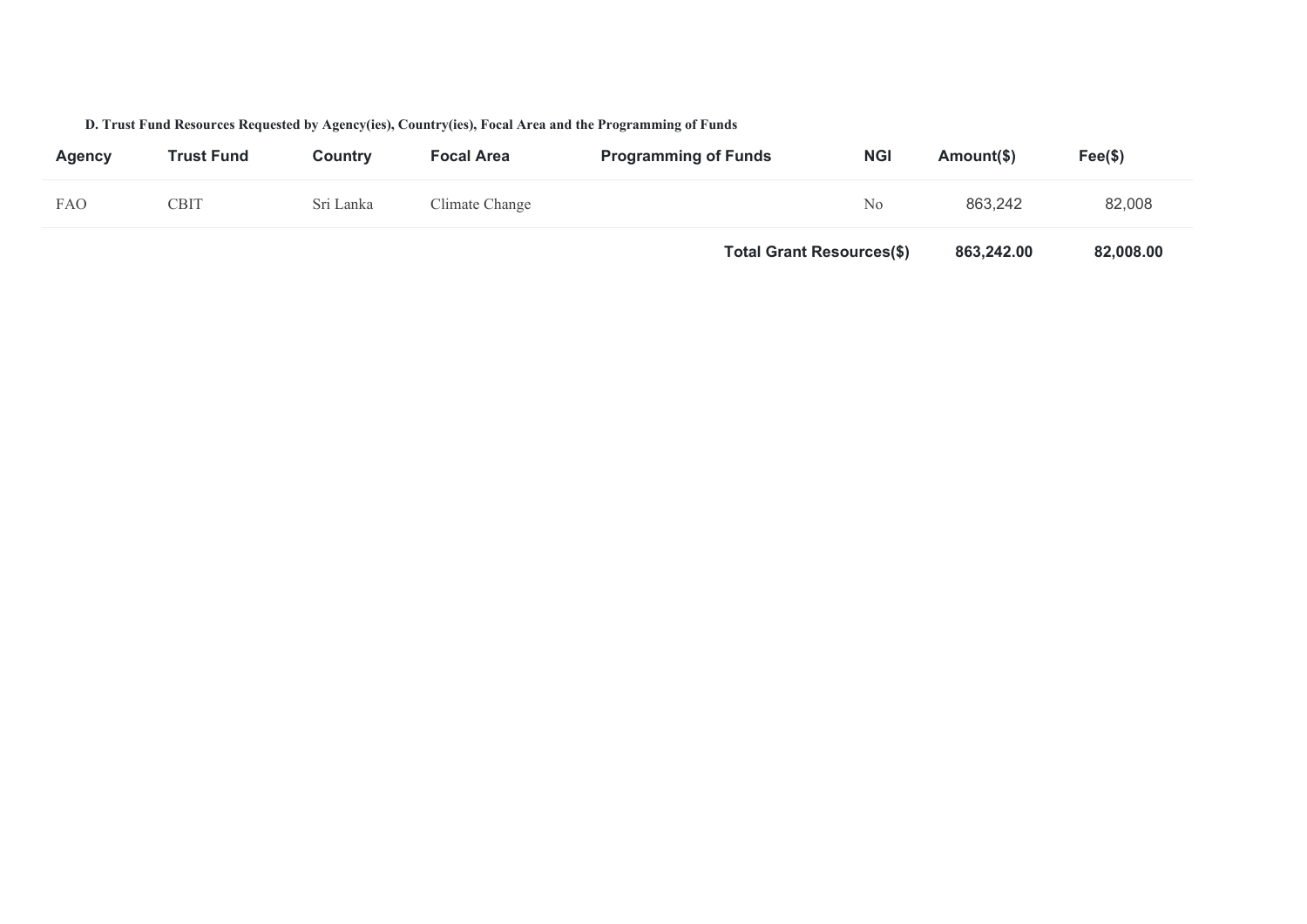### **D. Trust Fund Resources Requested by Agency(ies), Country(ies), Focal Area and the Programming of Funds**

| <b>Agency</b> | <b>Trust Fund</b> | Countrv   | <b>Focal Area</b> | <b>Programming of Funds</b>      | <b>NGI</b>     | Amount(\$) | $\text{Fee}(\$)$ |
|---------------|-------------------|-----------|-------------------|----------------------------------|----------------|------------|------------------|
| <b>FAO</b>    | CBIT              | Sri Lanka | Climate Change    |                                  | N <sub>o</sub> | 863,242    | 82,008           |
|               |                   |           |                   | <b>Total Grant Resources(\$)</b> |                | 863,242.00 | 82,008.00        |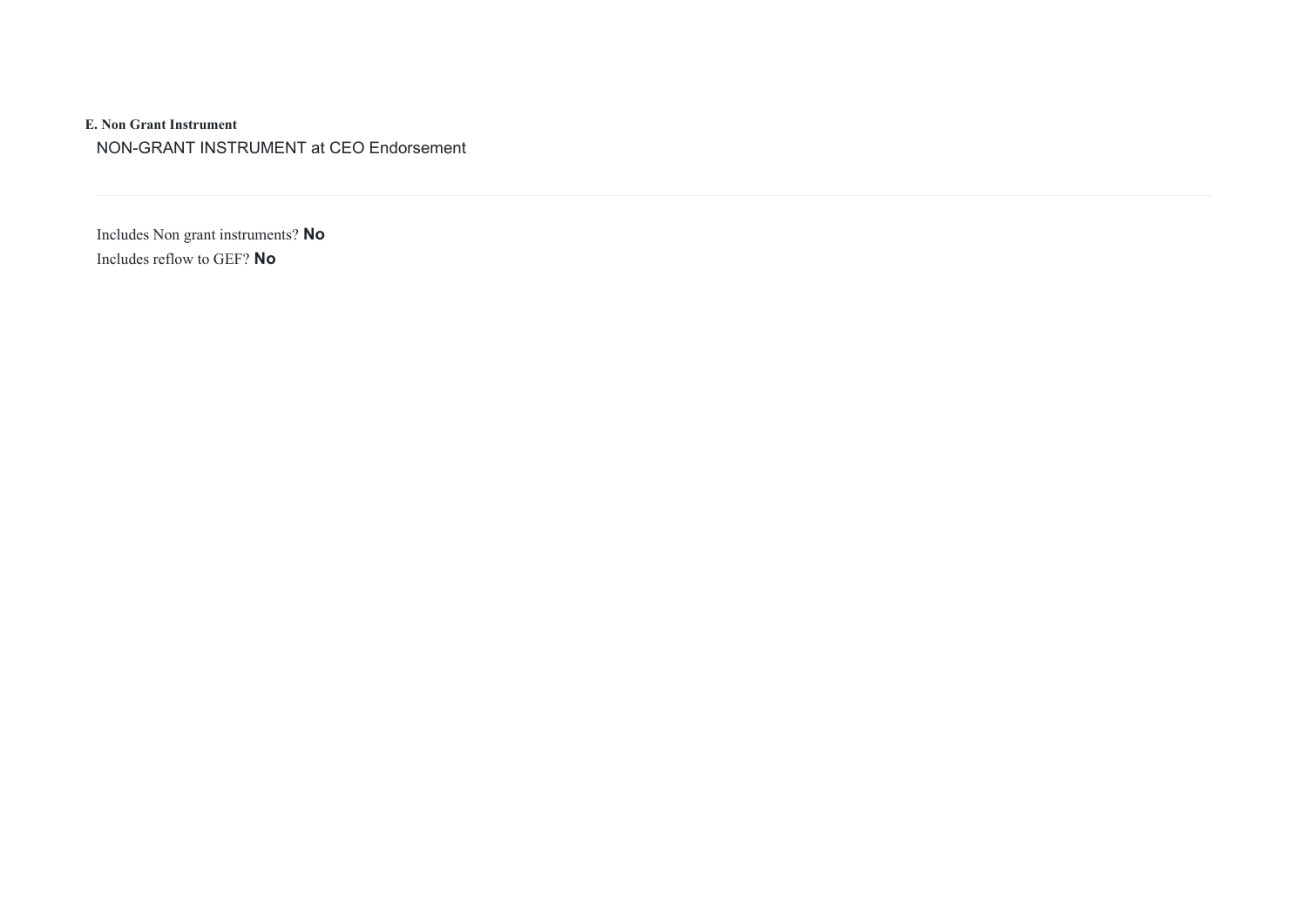**E. Non Grant Instrument**  NON-GRANT INSTRUMENT at CEO Endorsement

Includes Non grant instruments? **No** Includes reflow to GEF? **No**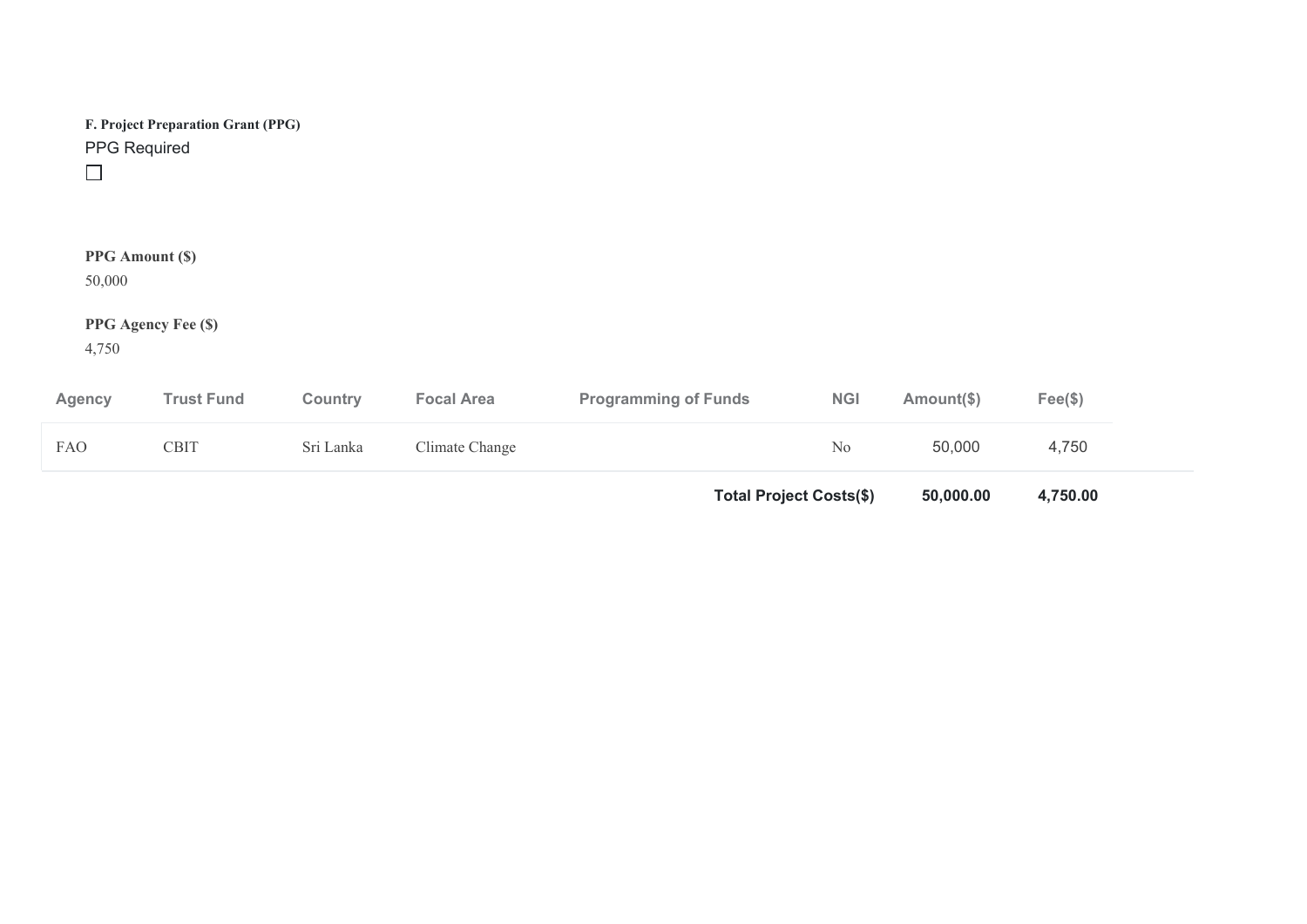| PPG Required                     | F. Project Preparation Grant (PPG) |           |                   |                             |            |            |                  |  |
|----------------------------------|------------------------------------|-----------|-------------------|-----------------------------|------------|------------|------------------|--|
| <b>PPG</b> Amount (\$)<br>50,000 |                                    |           |                   |                             |            |            |                  |  |
| 4,750                            | PPG Agency Fee (\$)                |           |                   |                             |            |            |                  |  |
| <b>Agency</b>                    | <b>Trust Fund</b>                  | Country   | <b>Focal Area</b> | <b>Programming of Funds</b> | <b>NGI</b> | Amount(\$) | $\text{Fee}(\$)$ |  |
| FAO                              | <b>CBIT</b>                        | Sri Lanka | Climate Change    |                             | No         | 50,000     | 4,750            |  |

**Total Project Costs(\$) 50,000.00 4,750.00**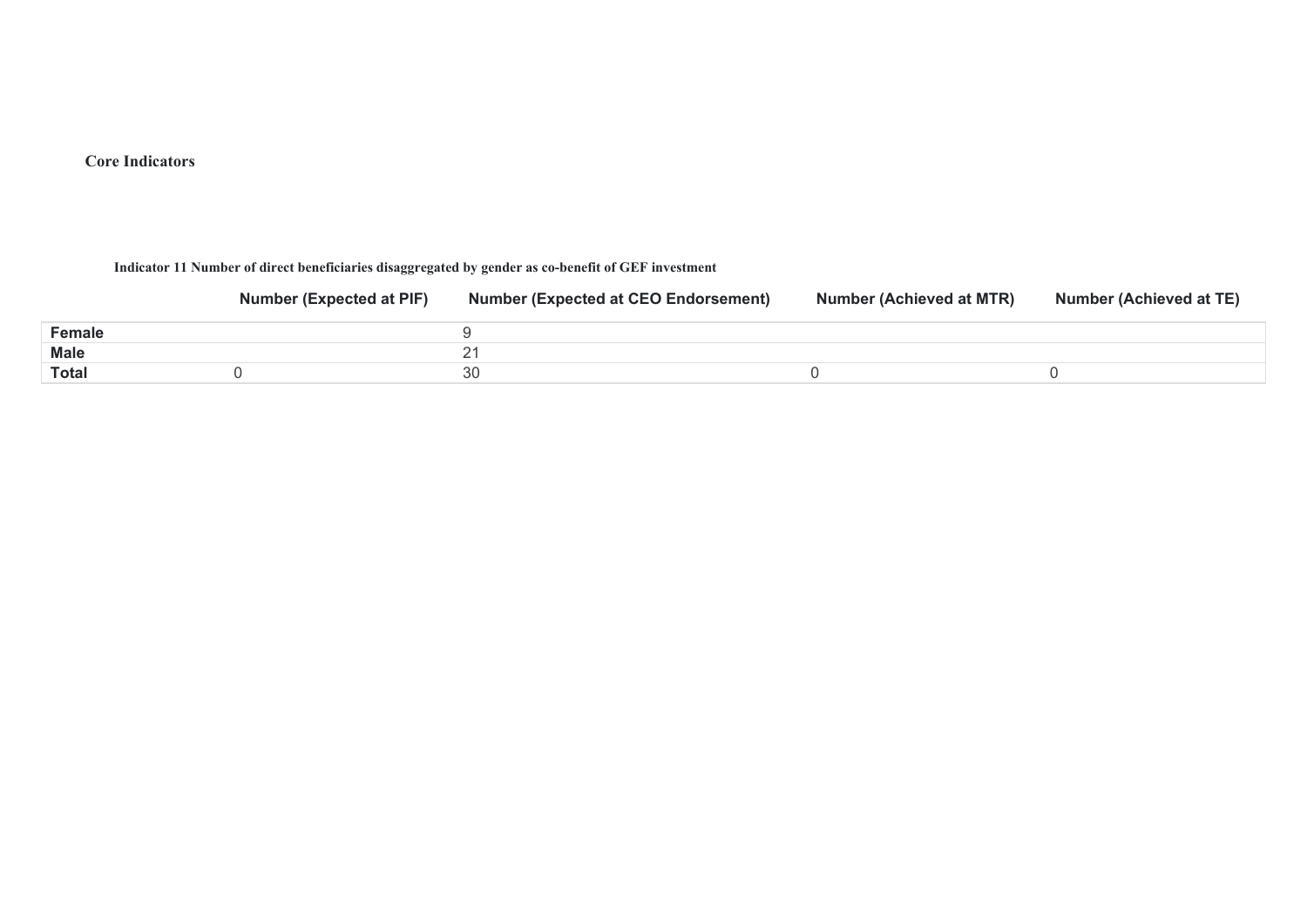## **Core Indicators**

**Indicator 11 Number of direct beneficiaries disaggregated by gender as co-benefit of GEF investment** 

|        | <b>Number (Expected at PIF)</b> | <b>Number (Expected at CEO Endorsement)</b> | Number (Achieved at MTR) | <b>Number (Achieved at TE)</b> |
|--------|---------------------------------|---------------------------------------------|--------------------------|--------------------------------|
| Female |                                 |                                             |                          |                                |
| Male   |                                 |                                             |                          |                                |
| Total  |                                 | 30                                          |                          |                                |
|        |                                 |                                             |                          |                                |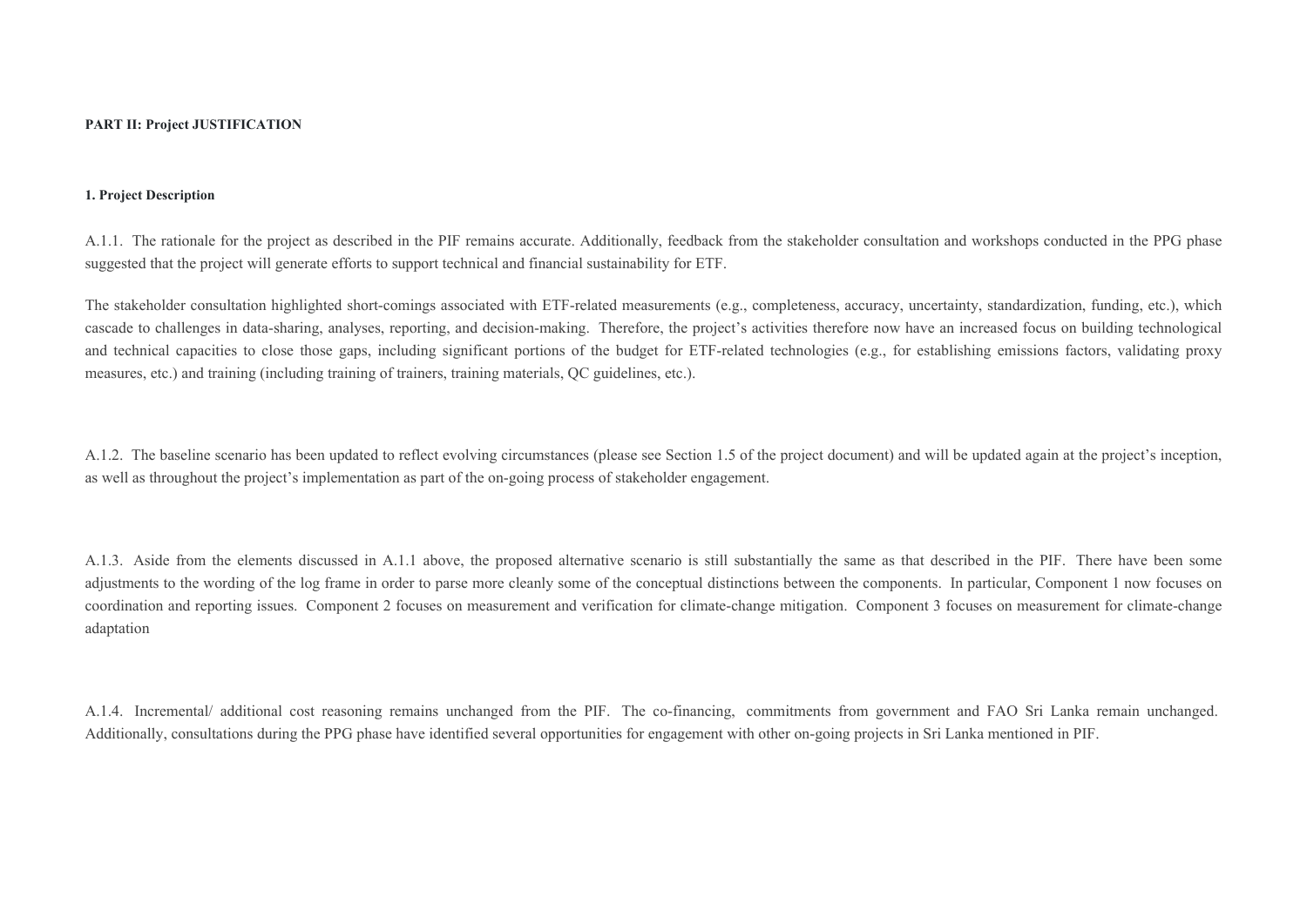#### **1. Project Description**

A.1.1. The rationale for the project as described in the PIF remains accurate. Additionally, feedback from the stakeholder consultation and workshops conducted in the PPG phase suggested that the project will generate efforts to support technical and financial sustainability for ETF.

The stakeholder consultation highlighted short-comings associated with ETF-related measurements (e.g., completeness, accuracy, uncertainty, standardization, funding, etc.), which cascade to challenges in data-sharing, analyses, reporting, and decision-making. Therefore, the project's activities therefore now have an increased focus on building technological and technical capacities to close those gaps, including significant portions of the budget for ETF-related technologies (e.g., for establishing emissions factors, validating proxy measures, etc.) and training (including training of trainers, training materials, QC guidelines, etc.).

A.1.2. The baseline scenario has been updated to reflect evolving circumstances (please see Section 1.5 of the project document) and will be updated again at the project's inception, as well as throughout the project's implementation as part of the on-going process of stakeholder engagement.

A.1.3. Aside from the elements discussed in A.1.1 above, the proposed alternative scenario is still substantially the same as that described in the PIF. There have been some adjustments to the wording of the log frame in order to parse more cleanly some of the conceptual distinctions between the components. In particular, Component 1 now focuses on coordination and reporting issues. Component 2 focuses on measurement and verification for climate-change mitigation. Component 3 focuses on measurement for climate-change adaptation

A.1.4. Incremental/ additional cost reasoning remains unchanged from the PIF. The co-financing, commitments from government and FAO Sri Lanka remain unchanged. Additionally, consultations during the PPG phase have identified several opportunities for engagement with other on-going projects in Sri Lanka mentioned in PIF.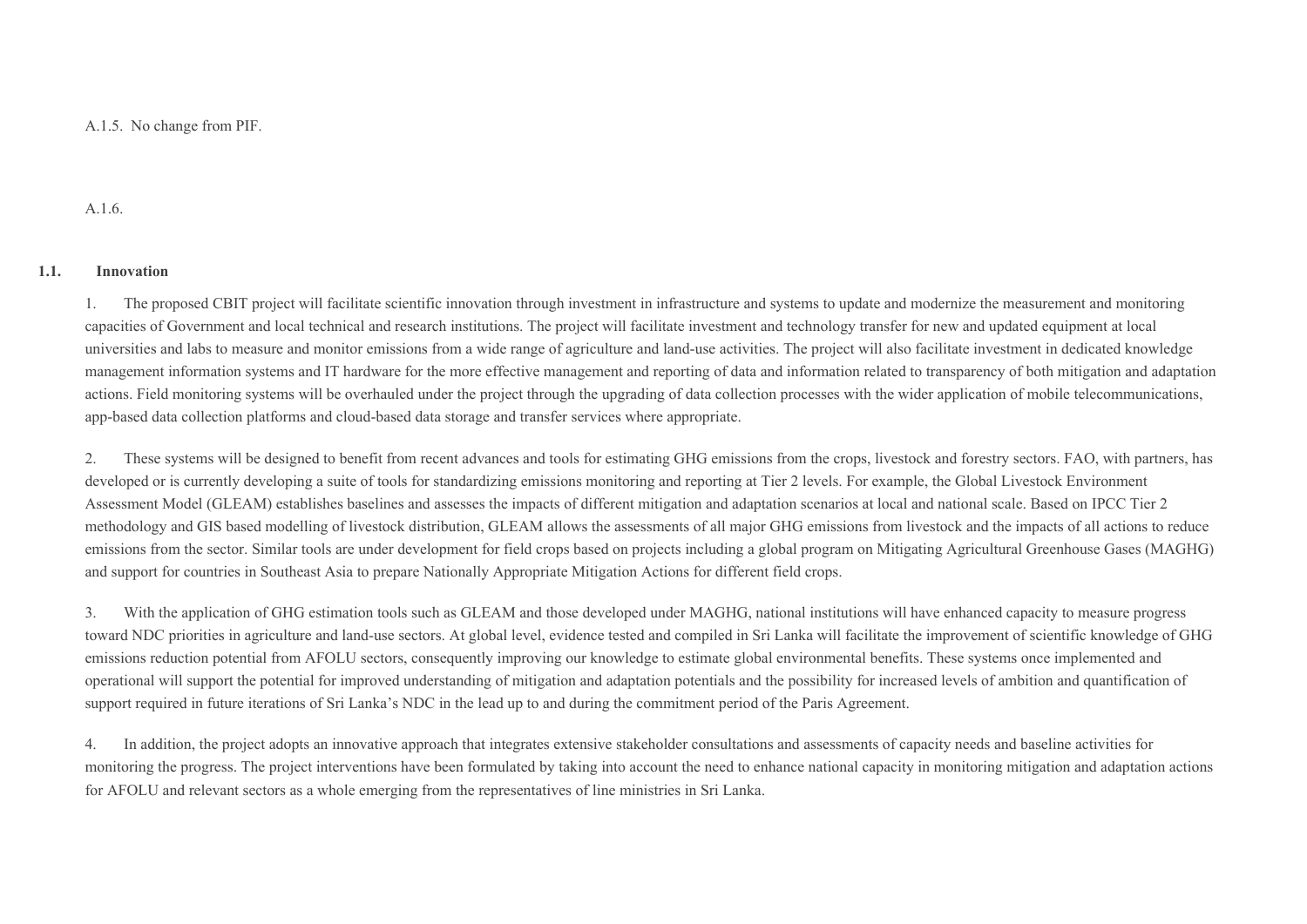A.1.5. No change from PIF.

A.1.6.

#### **1.1. Innovation**

1. The proposed CBIT project will facilitate scientific innovation through investment in infrastructure and systems to update and modernize the measurement and monitoring capacities of Government and local technical and research institutions. The project will facilitate investment and technology transfer for new and updated equipment at local universities and labs to measure and monitor emissions from a wide range of agriculture and land-use activities. The project will also facilitate investment in dedicated knowledge management information systems and IT hardware for the more effective management and reporting of data and information related to transparency of both mitigation and adaptation actions. Field monitoring systems will be overhauled under the project through the upgrading of data collection processes with the wider application of mobile telecommunications, app-based data collection platforms and cloud-based data storage and transfer services where appropriate.

2. These systems will be designed to benefit from recent advances and tools for estimating GHG emissions from the crops, livestock and forestry sectors. FAO, with partners, has developed or is currently developing a suite of tools for standardizing emissions monitoring and reporting at Tier 2 levels. For example, the Global Livestock Environment Assessment Model (GLEAM) establishes baselines and assesses the impacts of different mitigation and adaptation scenarios at local and national scale. Based on IPCC Tier 2 methodology and GIS based modelling of livestock distribution, GLEAM allows the assessments of all major GHG emissions from livestock and the impacts of all actions to reduce emissions from the sector. Similar tools are under development for field crops based on projects including a global program on Mitigating Agricultural Greenhouse Gases (MAGHG) and support for countries in Southeast Asia to prepare Nationally Appropriate Mitigation Actions for different field crops.

3. With the application of GHG estimation tools such as GLEAM and those developed under MAGHG, national institutions will have enhanced capacity to measure progress toward NDC priorities in agriculture and land-use sectors. At global level, evidence tested and compiled in Sri Lanka will facilitate the improvement of scientific knowledge of GHG emissions reduction potential from AFOLU sectors, consequently improving our knowledge to estimate global environmental benefits. These systems once implemented and operational will support the potential for improved understanding of mitigation and adaptation potentials and the possibility for increased levels of ambition and quantification of support required in future iterations of Sri Lanka's NDC in the lead up to and during the commitment period of the Paris Agreement.

4. In addition, the project adopts an innovative approach that integrates extensive stakeholder consultations and assessments of capacity needs and baseline activities for monitoring the progress. The project interventions have been formulated by taking into account the need to enhance national capacity in monitoring mitigation and adaptation actions for AFOLU and relevant sectors as a whole emerging from the representatives of line ministries in Sri Lanka.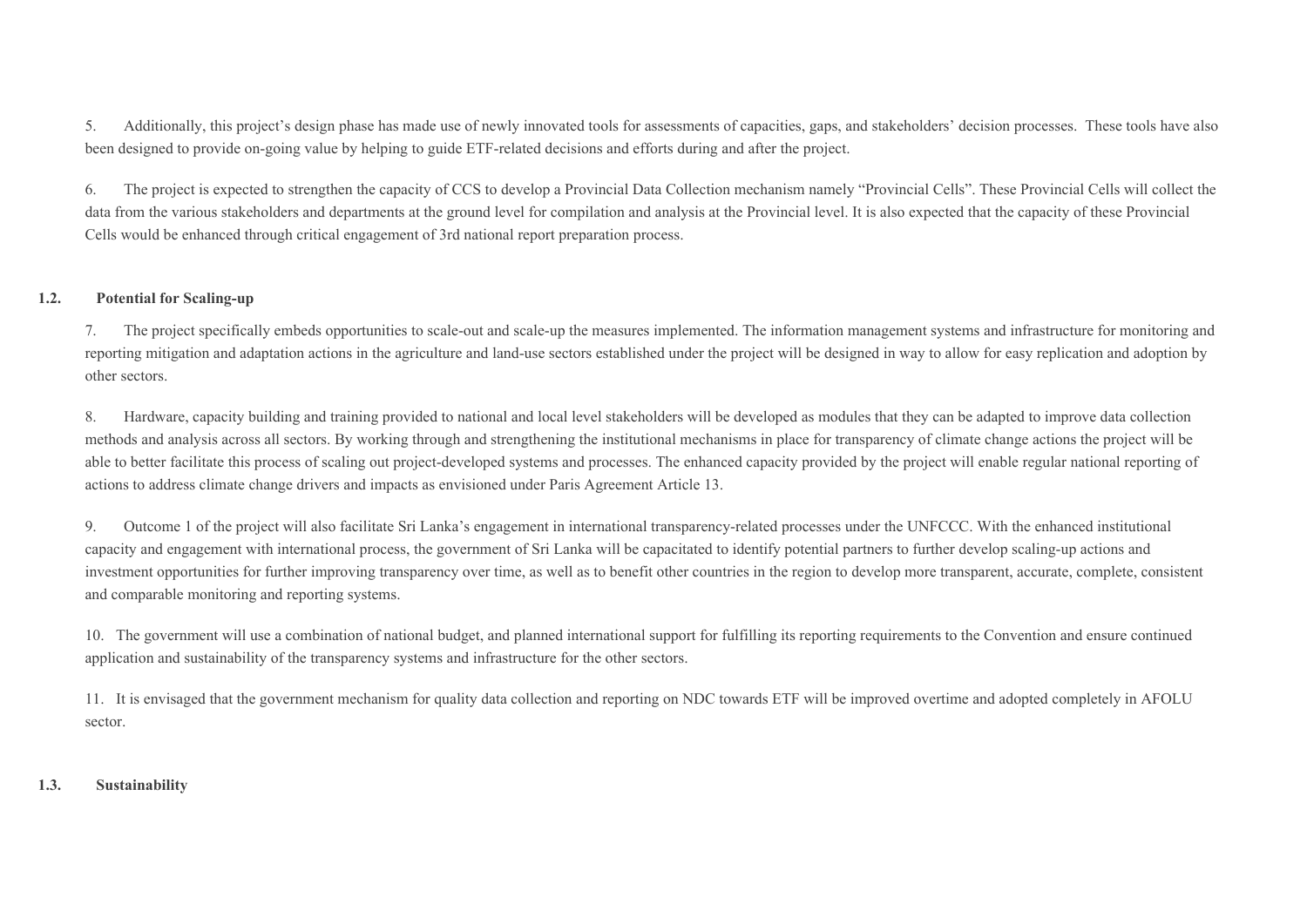5. Additionally, this project's design phase has made use of newly innovated tools for assessments of capacities, gaps, and stakeholders' decision processes. These tools have also been designed to provide on-going value by helping to guide ETF-related decisions and efforts during and after the project.

6. The project is expected to strengthen the capacity of CCS to develop a Provincial Data Collection mechanism namely "Provincial Cells". These Provincial Cells will collect the data from the various stakeholders and departments at the ground level for compilation and analysis at the Provincial level. It is also expected that the capacity of these Provincial Cells would be enhanced through critical engagement of 3rd national report preparation process.

### **1.2. Potential for Scaling-up**

7. The project specifically embeds opportunities to scale-out and scale-up the measures implemented. The information management systems and infrastructure for monitoring and reporting mitigation and adaptation actions in the agriculture and land-use sectors established under the project will be designed in way to allow for easy replication and adoption by other sectors.

8. Hardware, capacity building and training provided to national and local level stakeholders will be developed as modules that they can be adapted to improve data collection methods and analysis across all sectors. By working through and strengthening the institutional mechanisms in place for transparency of climate change actions the project will be able to better facilitate this process of scaling out project-developed systems and processes. The enhanced capacity provided by the project will enable regular national reporting of actions to address climate change drivers and impacts as envisioned under Paris Agreement Article 13.

9. Outcome 1 of the project will also facilitate Sri Lanka's engagement in international transparency-related processes under the UNFCCC. With the enhanced institutional capacity and engagement with international process, the government of Sri Lanka will be capacitated to identify potential partners to further develop scaling-up actions and investment opportunities for further improving transparency over time, as well as to benefit other countries in the region to develop more transparent, accurate, complete, consistent and comparable monitoring and reporting systems.

10. The government will use a combination of national budget, and planned international support for fulfilling its reporting requirements to the Convention and ensure continued application and sustainability of the transparency systems and infrastructure for the other sectors.

11. It is envisaged that the government mechanism for quality data collection and reporting on NDC towards ETF will be improved overtime and adopted completely in AFOLU sector.

### **1.3. Sustainability**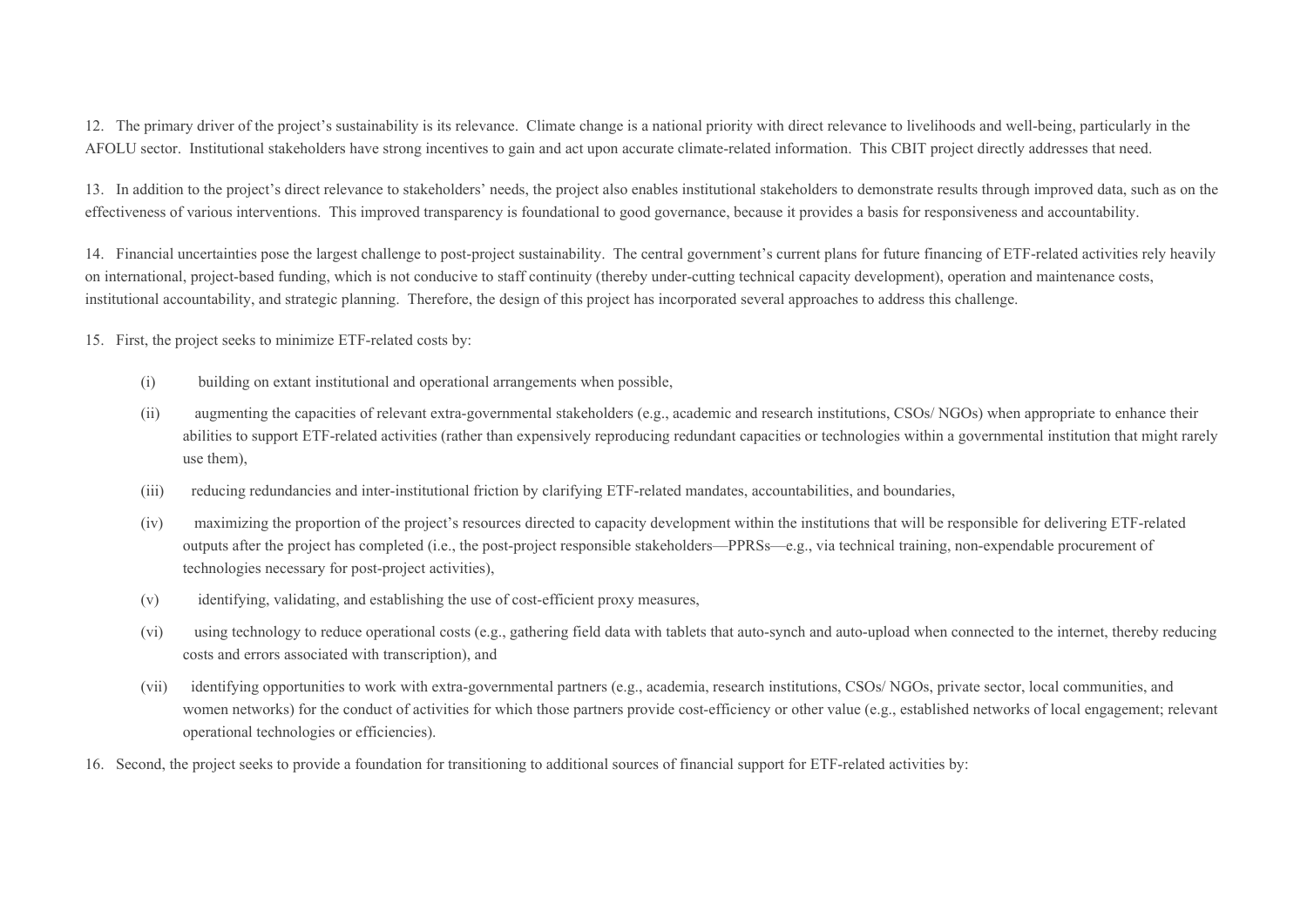12. The primary driver of the project's sustainability is its relevance. Climate change is a national priority with direct relevance to livelihoods and well-being, particularly in the AFOLU sector. Institutional stakeholders have strong incentives to gain and act upon accurate climate-related information. This CBIT project directly addresses that need.

13. In addition to the project's direct relevance to stakeholders' needs, the project also enables institutional stakeholders to demonstrate results through improved data, such as on the effectiveness of various interventions. This improved transparency is foundational to good governance, because it provides a basis for responsiveness and accountability.

14. Financial uncertainties pose the largest challenge to post-project sustainability. The central government's current plans for future financing of ETF-related activities rely heavily on international, project-based funding, which is not conducive to staff continuity (thereby under-cutting technical capacity development), operation and maintenance costs, institutional accountability, and strategic planning. Therefore, the design of this project has incorporated several approaches to address this challenge.

15. First, the project seeks to minimize ETF-related costs by:

- (i) building on extant institutional and operational arrangements when possible,
- (ii) augmenting the capacities of relevant extra-governmental stakeholders (e.g., academic and research institutions, CSOs/ NGOs) when appropriate to enhance their abilities to support ETF-related activities (rather than expensively reproducing redundant capacities or technologies within a governmental institution that might rarely use them),
- (iii) reducing redundancies and inter-institutional friction by clarifying ETF-related mandates, accountabilities, and boundaries,
- (iv) maximizing the proportion of the project's resources directed to capacity development within the institutions that will be responsible for delivering ETF-related outputs after the project has completed (i.e., the post-project responsible stakeholders—PPRSs—e.g., via technical training, non-expendable procurement of technologies necessary for post-project activities),
- (v) identifying, validating, and establishing the use of cost-efficient proxy measures,
- (vi) using technology to reduce operational costs (e.g., gathering field data with tablets that auto-synch and auto-upload when connected to the internet, thereby reducing costs and errors associated with transcription), and
- (vii) identifying opportunities to work with extra-governmental partners (e.g., academia, research institutions, CSOs/ NGOs, private sector, local communities, and women networks) for the conduct of activities for which those partners provide cost-efficiency or other value (e.g., established networks of local engagement; relevant operational technologies or efficiencies).
- 16. Second, the project seeks to provide a foundation for transitioning to additional sources of financial support for ETF-related activities by: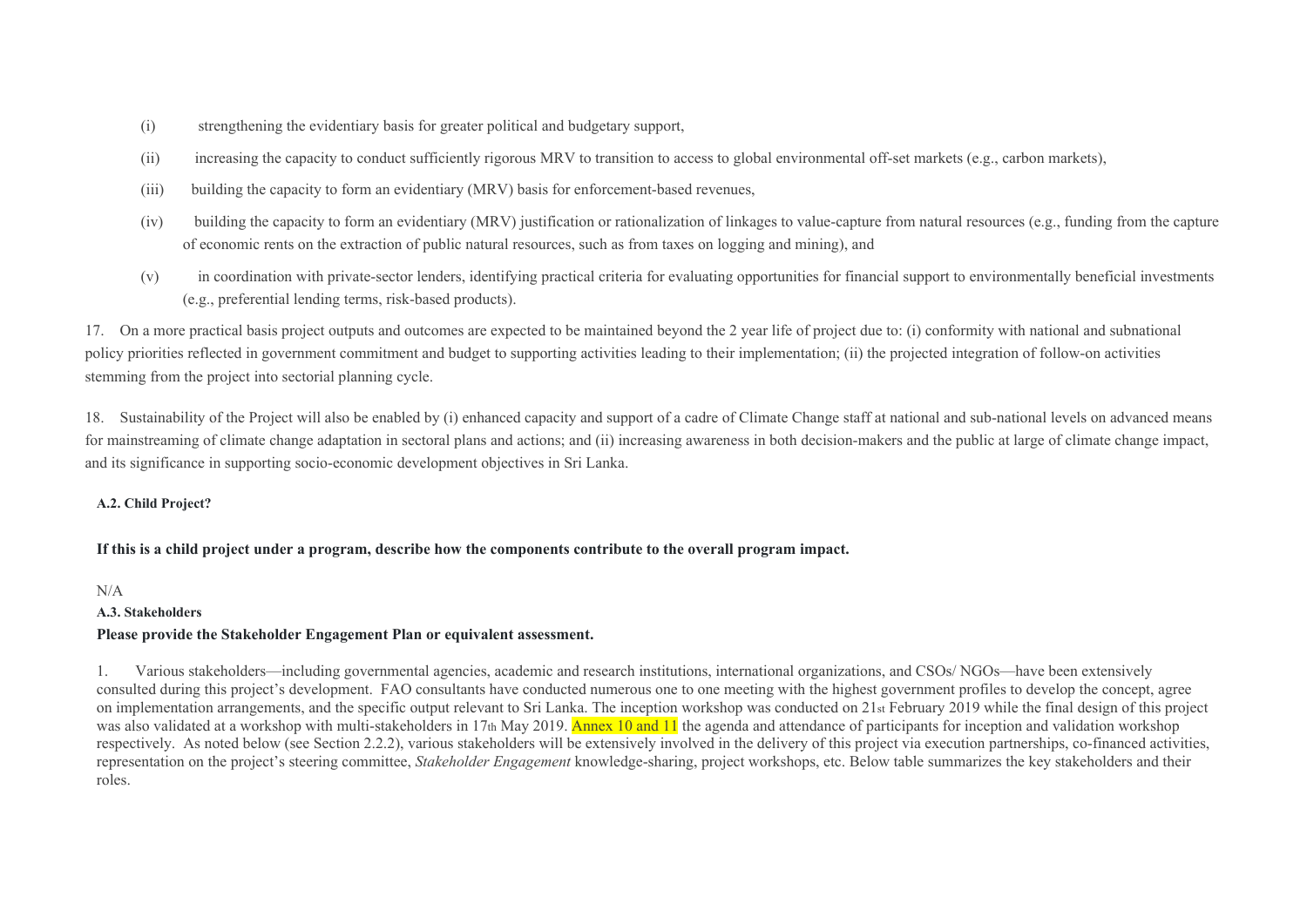- (i) strengthening the evidentiary basis for greater political and budgetary support,
- (ii) increasing the capacity to conduct sufficiently rigorous MRV to transition to access to global environmental off-set markets (e.g., carbon markets),
- (iii) building the capacity to form an evidentiary (MRV) basis for enforcement-based revenues,
- (iv) building the capacity to form an evidentiary (MRV) justification or rationalization of linkages to value-capture from natural resources (e.g., funding from the capture of economic rents on the extraction of public natural resources, such as from taxes on logging and mining), and
- (v) in coordination with private-sector lenders, identifying practical criteria for evaluating opportunities for financial support to environmentally beneficial investments (e.g., preferential lending terms, risk-based products).

17. On a more practical basis project outputs and outcomes are expected to be maintained beyond the 2 year life of project due to: (i) conformity with national and subnational policy priorities reflected in government commitment and budget to supporting activities leading to their implementation; (ii) the projected integration of follow-on activities stemming from the project into sectorial planning cycle.

18. Sustainability of the Project will also be enabled by (i) enhanced capacity and support of a cadre of Climate Change staff at national and sub-national levels on advanced means for mainstreaming of climate change adaptation in sectoral plans and actions; and (ii) increasing awareness in both decision-makers and the public at large of climate change impact, and its significance in supporting socio-economic development objectives in Sri Lanka.

### **A.2. Child Project?**

### **If this is a child project under a program, describe how the components contribute to the overall program impact.**

N/A

#### **A.3. Stakeholders**

### **Please provide the Stakeholder Engagement Plan or equivalent assessment.**

1. Various stakeholders—including governmental agencies, academic and research institutions, international organizations, and CSOs/ NGOs—have been extensively consulted during this project's development. FAO consultants have conducted numerous one to one meeting with the highest government profiles to develop the concept, agree on implementation arrangements, and the specific output relevant to Sri Lanka. The inception workshop was conducted on 21st February 2019 while the final design of this project was also validated at a workshop with multi-stakeholders in 17th May 2019. Annex 10 and 11 the agenda and attendance of participants for inception and validation workshop respectively. As noted below (see Section 2.2.2), various stakeholders will be extensively involved in the delivery of this project via execution partnerships, co-financed activities, representation on the project's steering committee, *Stakeholder Engagement* knowledge-sharing, project workshops, etc. Below table summarizes the key stakeholders and their roles.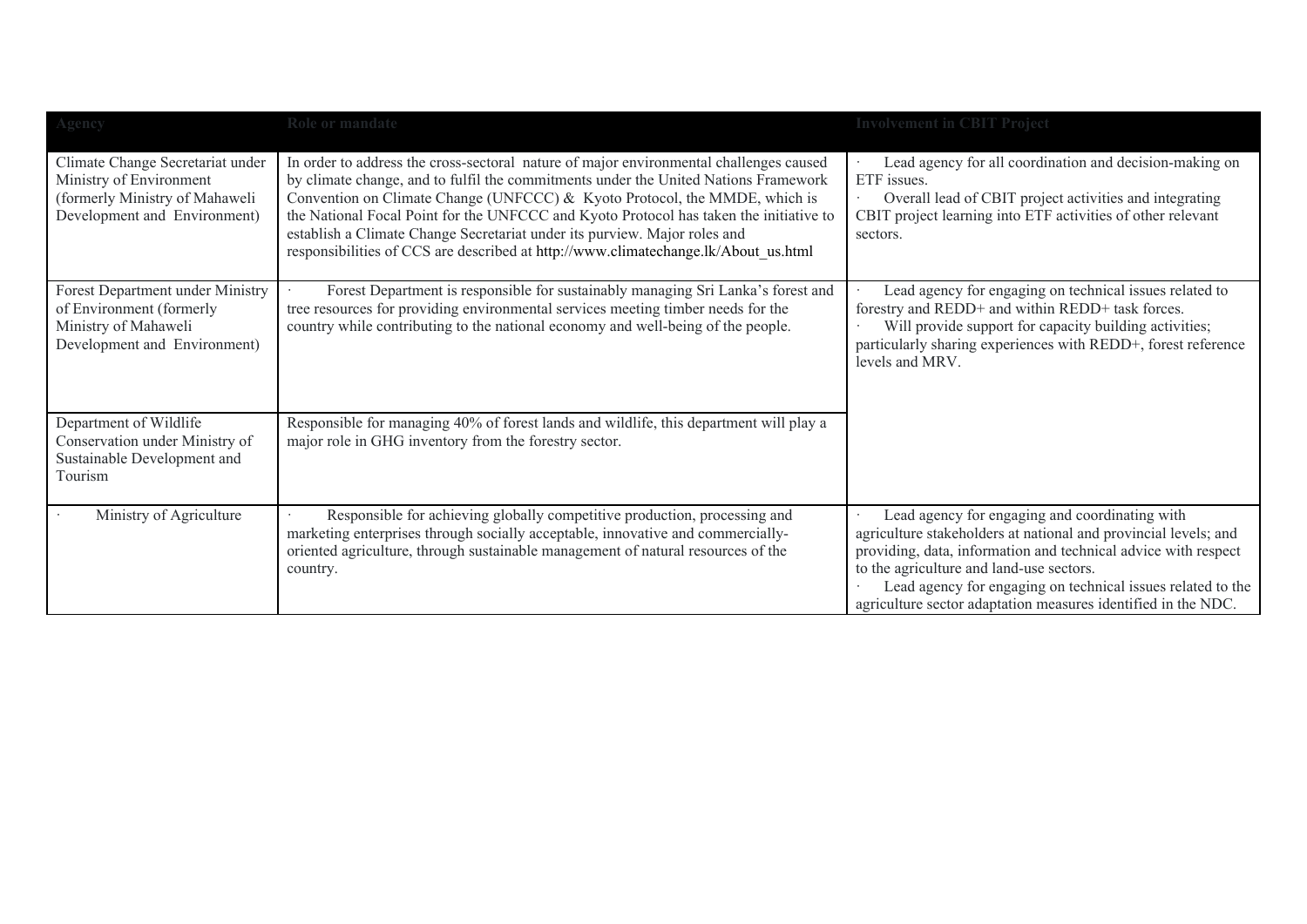| Agency                                                                                                                        | Role or mandate                                                                                                                                                                                                                                                                                                                                                                                                                                                                                                          | <b>Involvement in CBIT Project</b>                                                                                                                                                                                                                                                                                                                              |
|-------------------------------------------------------------------------------------------------------------------------------|--------------------------------------------------------------------------------------------------------------------------------------------------------------------------------------------------------------------------------------------------------------------------------------------------------------------------------------------------------------------------------------------------------------------------------------------------------------------------------------------------------------------------|-----------------------------------------------------------------------------------------------------------------------------------------------------------------------------------------------------------------------------------------------------------------------------------------------------------------------------------------------------------------|
| Climate Change Secretariat under<br>Ministry of Environment<br>(formerly Ministry of Mahaweli<br>Development and Environment) | In order to address the cross-sectoral nature of major environmental challenges caused<br>by climate change, and to fulfil the commitments under the United Nations Framework<br>Convention on Climate Change (UNFCCC) & Kyoto Protocol, the MMDE, which is<br>the National Focal Point for the UNFCCC and Kyoto Protocol has taken the initiative to<br>establish a Climate Change Secretariat under its purview. Major roles and<br>responsibilities of CCS are described at http://www.climatechange.lk/About us.html | Lead agency for all coordination and decision-making on<br>ETF issues.<br>Overall lead of CBIT project activities and integrating<br>CBIT project learning into ETF activities of other relevant<br>sectors.                                                                                                                                                    |
| Forest Department under Ministry<br>of Environment (formerly<br>Ministry of Mahaweli<br>Development and Environment)          | Forest Department is responsible for sustainably managing Sri Lanka's forest and<br>tree resources for providing environmental services meeting timber needs for the<br>country while contributing to the national economy and well-being of the people.                                                                                                                                                                                                                                                                 | Lead agency for engaging on technical issues related to<br>forestry and REDD+ and within REDD+ task forces.<br>Will provide support for capacity building activities;<br>particularly sharing experiences with REDD+, forest reference<br>levels and MRV.                                                                                                       |
| Department of Wildlife<br>Conservation under Ministry of<br>Sustainable Development and<br>Tourism                            | Responsible for managing 40% of forest lands and wildlife, this department will play a<br>major role in GHG inventory from the forestry sector.                                                                                                                                                                                                                                                                                                                                                                          |                                                                                                                                                                                                                                                                                                                                                                 |
| Ministry of Agriculture                                                                                                       | Responsible for achieving globally competitive production, processing and<br>marketing enterprises through socially acceptable, innovative and commercially-<br>oriented agriculture, through sustainable management of natural resources of the<br>country.                                                                                                                                                                                                                                                             | Lead agency for engaging and coordinating with<br>agriculture stakeholders at national and provincial levels; and<br>providing, data, information and technical advice with respect<br>to the agriculture and land-use sectors.<br>Lead agency for engaging on technical issues related to the<br>agriculture sector adaptation measures identified in the NDC. |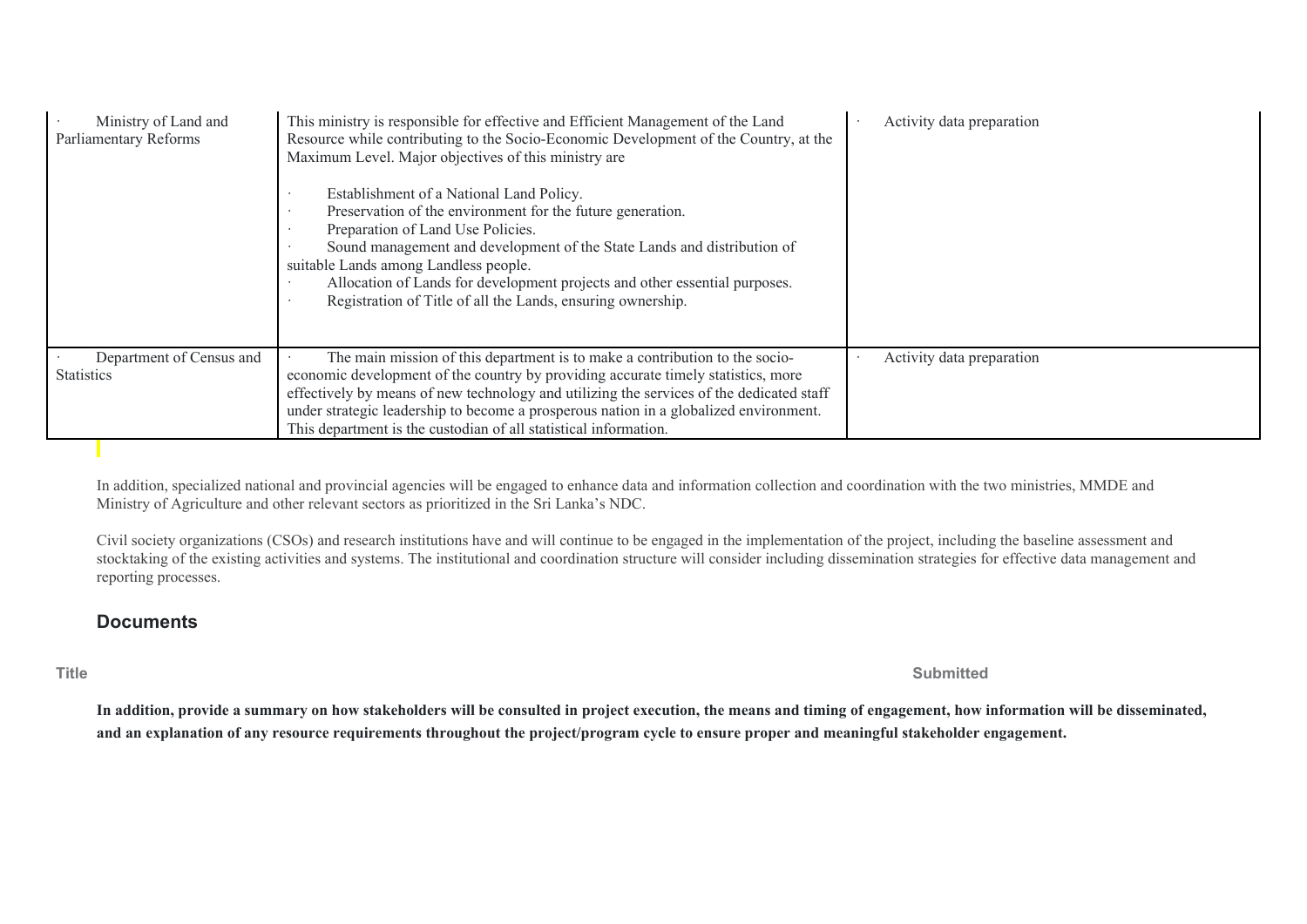| Ministry of Land and<br>Parliamentary Reforms | This ministry is responsible for effective and Efficient Management of the Land<br>Resource while contributing to the Socio-Economic Development of the Country, at the<br>Maximum Level. Major objectives of this ministry are<br>Establishment of a National Land Policy.<br>Preservation of the environment for the future generation.<br>Preparation of Land Use Policies.<br>Sound management and development of the State Lands and distribution of | Activity data preparation |
|-----------------------------------------------|-----------------------------------------------------------------------------------------------------------------------------------------------------------------------------------------------------------------------------------------------------------------------------------------------------------------------------------------------------------------------------------------------------------------------------------------------------------|---------------------------|
|                                               | suitable Lands among Landless people.                                                                                                                                                                                                                                                                                                                                                                                                                     |                           |
|                                               | Allocation of Lands for development projects and other essential purposes.<br>Registration of Title of all the Lands, ensuring ownership.                                                                                                                                                                                                                                                                                                                 |                           |
| Department of Census and                      | The main mission of this department is to make a contribution to the socio-                                                                                                                                                                                                                                                                                                                                                                               | Activity data preparation |
| <b>Statistics</b>                             | economic development of the country by providing accurate timely statistics, more                                                                                                                                                                                                                                                                                                                                                                         |                           |
|                                               | effectively by means of new technology and utilizing the services of the dedicated staff                                                                                                                                                                                                                                                                                                                                                                  |                           |
|                                               | under strategic leadership to become a prosperous nation in a globalized environment.                                                                                                                                                                                                                                                                                                                                                                     |                           |
|                                               | This department is the custodian of all statistical information.                                                                                                                                                                                                                                                                                                                                                                                          |                           |

In addition, specialized national and provincial agencies will be engaged to enhance data and information collection and coordination with the two ministries, MMDE and Ministry of Agriculture and other relevant sectors as prioritized in the Sri Lanka's NDC.

Civil society organizations (CSOs) and research institutions have and will continue to be engaged in the implementation of the project, including the baseline assessment and stocktaking of the existing activities and systems. The institutional and coordination structure will consider including dissemination strategies for effective data management and reporting processes.

# **Documents**

**Title Submitted**

**In addition, provide a summary on how stakeholders will be consulted in project execution, the means and timing of engagement, how information will be disseminated, and an explanation of any resource requirements throughout the project/program cycle to ensure proper and meaningful stakeholder engagement.**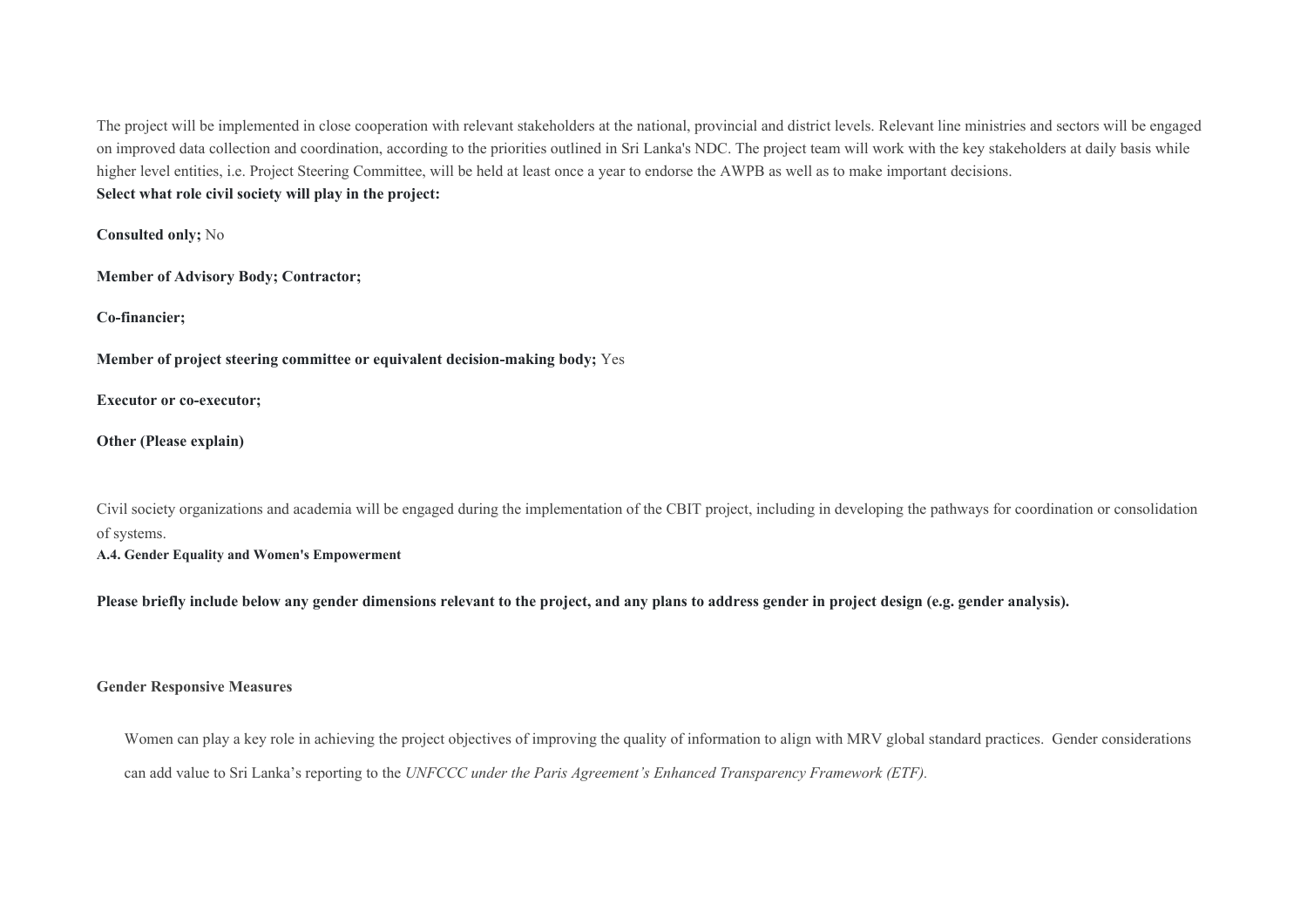The project will be implemented in close cooperation with relevant stakeholders at the national, provincial and district levels. Relevant line ministries and sectors will be engaged on improved data collection and coordination, according to the priorities outlined in Sri Lanka's NDC. The project team will work with the key stakeholders at daily basis while higher level entities, i.e. Project Steering Committee, will be held at least once a year to endorse the AWPB as well as to make important decisions. **Select what role civil society will play in the project:**

**Consulted only;** No

**Member of Advisory Body; Contractor;** 

**Co-financier;** 

**Member of project steering committee or equivalent decision-making body;** Yes

**Executor or co-executor;** 

**Other (Please explain)** 

Civil society organizations and academia will be engaged during the implementation of the CBIT project, including in developing the pathways for coordination or consolidation of systems.

**A.4. Gender Equality and Women's Empowerment**

**Please briefly include below any gender dimensions relevant to the project, and any plans to address gender in project design (e.g. gender analysis).** 

### **Gender Responsive Measures**

Women can play a key role in achieving the project objectives of improving the quality of information to align with MRV global standard practices. Gender considerations can add value to Sri Lanka's reporting to the *UNFCCC under the Paris Agreement's Enhanced Transparency Framework (ETF).*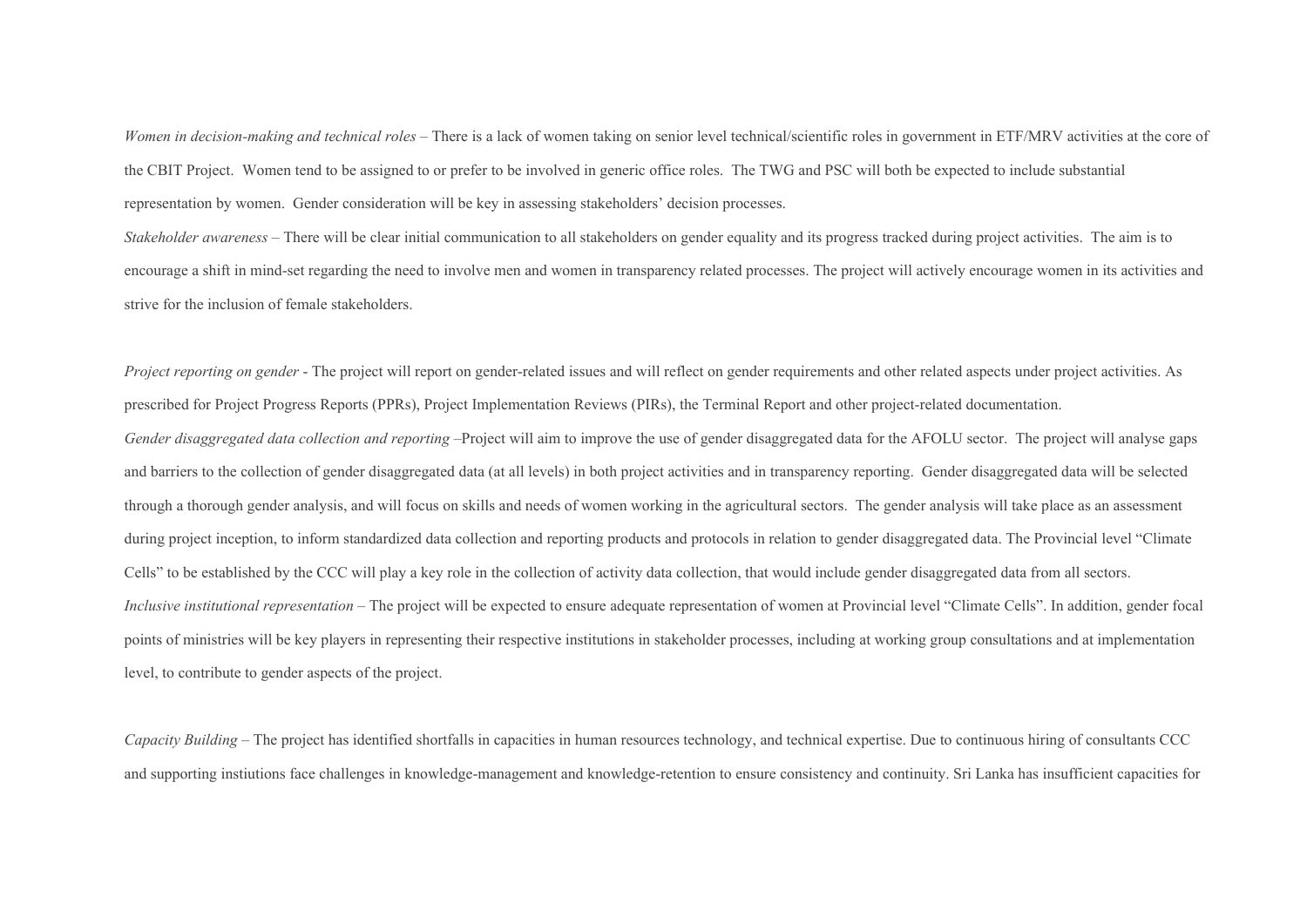*Women in decision-making and technical roles* – There is a lack of women taking on senior level technical/scientific roles in government in ETF/MRV activities at the core of the CBIT Project. Women tend to be assigned to or prefer to be involved in generic office roles. The TWG and PSC will both be expected to include substantial representation by women. Gender consideration will be key in assessing stakeholders' decision processes.

*Stakeholder awareness –* There will be clear initial communication to all stakeholders on gender equality and its progress tracked during project activities. The aim is to encourage a shift in mind-set regarding the need to involve men and women in transparency related processes. The project will actively encourage women in its activities and strive for the inclusion of female stakeholders.

*Project reporting on gender* - The project will report on gender-related issues and will reflect on gender requirements and other related aspects under project activities. As prescribed for Project Progress Reports (PPRs), Project Implementation Reviews (PIRs), the Terminal Report and other project-related documentation. *Gender disaggregated data collection and reporting* –Project will aim to improve the use of gender disaggregated data for the AFOLU sector. The project will analyse gaps and barriers to the collection of gender disaggregated data (at all levels) in both project activities and in transparency reporting. Gender disaggregated data will be selected through a thorough gender analysis, and will focus on skills and needs of women working in the agricultural sectors. The gender analysis will take place as an assessment during project inception, to inform standardized data collection and reporting products and protocols in relation to gender disaggregated data. The Provincial level "Climate Cells" to be established by the CCC will play a key role in the collection of activity data collection, that would include gender disaggregated data from all sectors. *Inclusive institutional representation* – The project will be expected to ensure adequate representation of women at Provincial level "Climate Cells". In addition, gender focal points of ministries will be key players in representing their respective institutions in stakeholder processes, including at working group consultations and at implementation level, to contribute to gender aspects of the project.

*Capacity Building –* The project has identified shortfalls in capacities in human resources technology, and technical expertise. Due to continuous hiring of consultants CCC and supporting instiutions face challenges in knowledge-management and knowledge-retention to ensure consistency and continuity. Sri Lanka has insufficient capacities for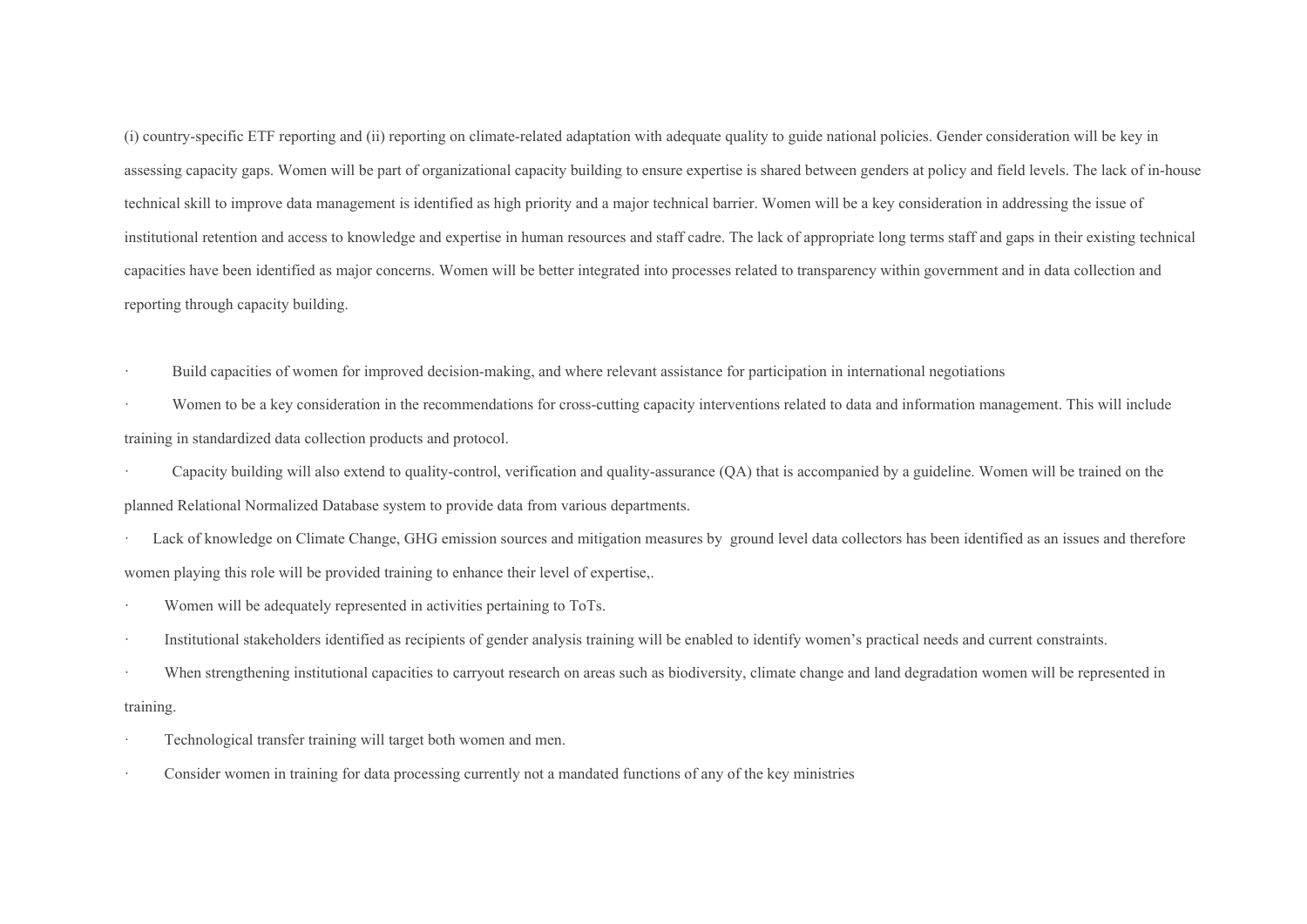(i) country-specific ETF reporting and (ii) reporting on climate-related adaptation with adequate quality to guide national policies. Gender consideration will be key in assessing capacity gaps. Women will be part of organizational capacity building to ensure expertise is shared between genders at policy and field levels. The lack of in-house technical skill to improve data management is identified as high priority and a major technical barrier. Women will be a key consideration in addressing the issue of institutional retention and access to knowledge and expertise in human resources and staff cadre. The lack of appropriate long terms staff and gaps in their existing technical capacities have been identified as major concerns. Women will be better integrated into processes related to transparency within government and in data collection and reporting through capacity building.

Build capacities of women for improved decision-making, and where relevant assistance for participation in international negotiations

Women to be a key consideration in the recommendations for cross-cutting capacity interventions related to data and information management. This will include training in standardized data collection products and protocol.

· Capacity building will also extend to quality-control, verification and quality-assurance (QA) that is accompanied by a guideline. Women will be trained on the planned Relational Normalized Database system to provide data from various departments.

Lack of knowledge on Climate Change, GHG emission sources and mitigation measures by ground level data collectors has been identified as an issues and therefore women playing this role will be provided training to enhance their level of expertise,.

- Women will be adequately represented in activities pertaining to ToTs.
- · Institutional stakeholders identified as recipients of gender analysis training will be enabled to identify women's practical needs and current constraints.
- When strengthening institutional capacities to carryout research on areas such as biodiversity, climate change and land degradation women will be represented in training.
- Technological transfer training will target both women and men.
- Consider women in training for data processing currently not a mandated functions of any of the key ministries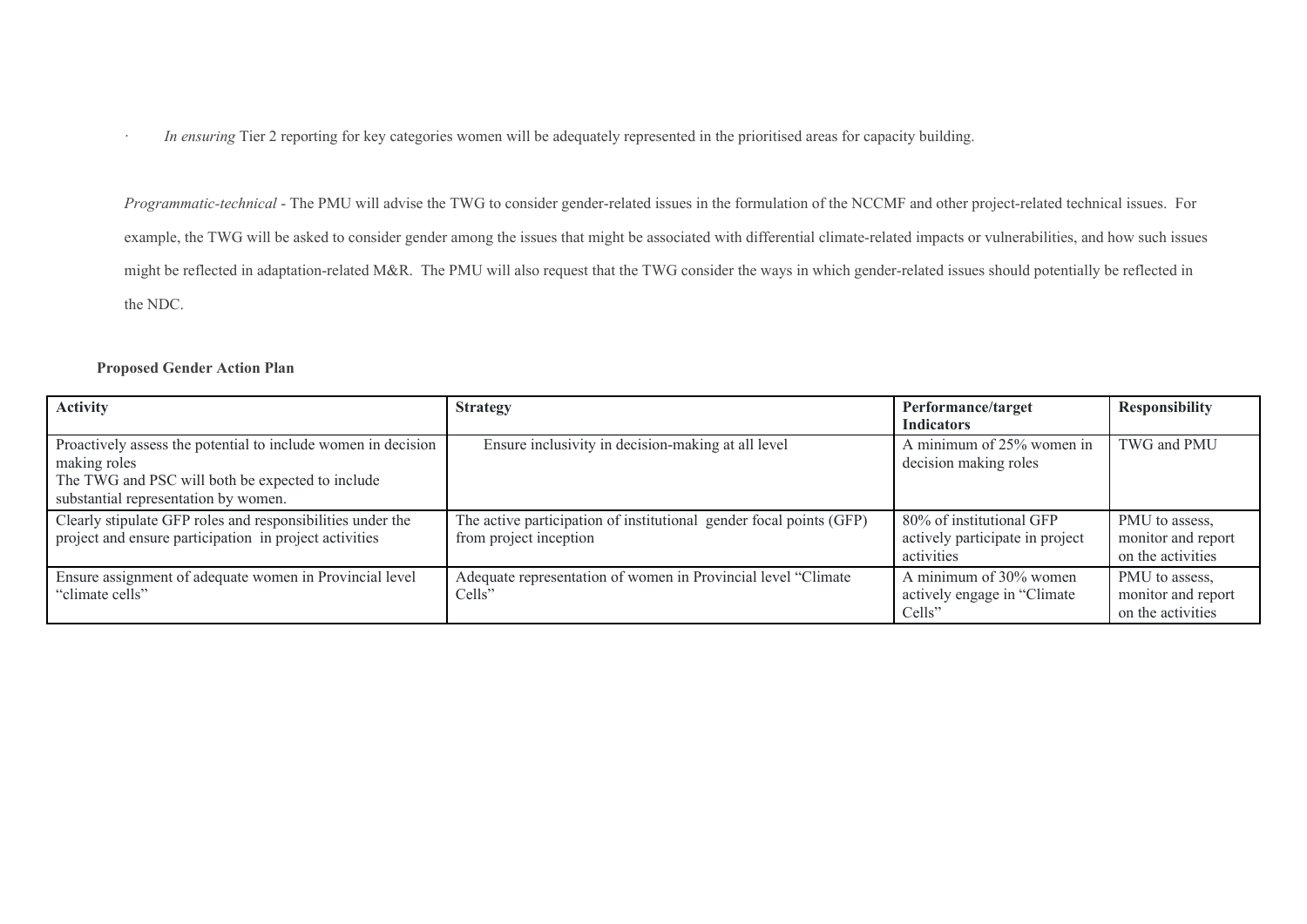· *In ensuring* Tier 2 reporting for key categories women will be adequately represented in the prioritised areas for capacity building.

*Programmatic-technical* - The PMU will advise the TWG to consider gender-related issues in the formulation of the NCCMF and other project-related technical issues. For example, the TWG will be asked to consider gender among the issues that might be associated with differential climate-related impacts or vulnerabilities, and how such issues might be reflected in adaptation-related M&R. The PMU will also request that the TWG consider the ways in which gender-related issues should potentially be reflected in the NDC.

### **Proposed Gender Action Plan**

| <b>Activity</b>                                                                                                                                                           | <b>Strategy</b>                                                                               | Performance/target<br><b>Indicators</b>                                   | <b>Responsibility</b>                                     |
|---------------------------------------------------------------------------------------------------------------------------------------------------------------------------|-----------------------------------------------------------------------------------------------|---------------------------------------------------------------------------|-----------------------------------------------------------|
| Proactively assess the potential to include women in decision<br>making roles<br>The TWG and PSC will both be expected to include<br>substantial representation by women. | Ensure inclusivity in decision-making at all level                                            | A minimum of 25% women in<br>decision making roles                        | TWG and PMU                                               |
| Clearly stipulate GFP roles and responsibilities under the<br>project and ensure participation in project activities                                                      | The active participation of institutional gender focal points (GFP)<br>from project inception | 80% of institutional GFP<br>actively participate in project<br>activities | PMU to assess,<br>monitor and report<br>on the activities |
| Ensure assignment of adequate women in Provincial level<br>"climate cells"                                                                                                | Adequate representation of women in Provincial level "Climate"<br>Cells"                      | A minimum of 30% women<br>actively engage in "Climate"<br>Cells           | PMU to assess,<br>monitor and report<br>on the activities |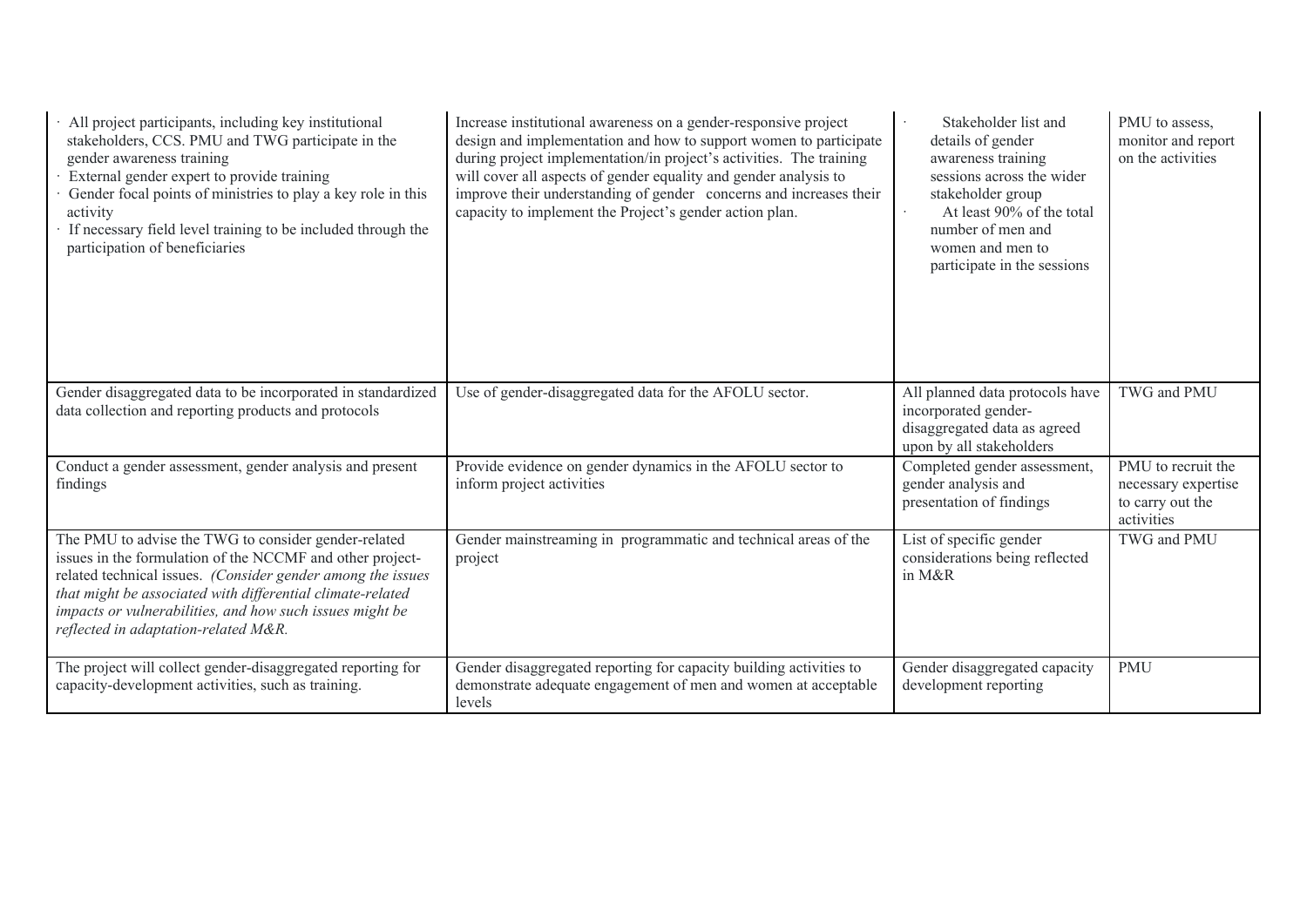| All project participants, including key institutional<br>stakeholders, CCS. PMU and TWG participate in the<br>gender awareness training<br>External gender expert to provide training<br>Gender focal points of ministries to play a key role in this<br>activity<br>If necessary field level training to be included through the<br>participation of beneficiaries | Increase institutional awareness on a gender-responsive project<br>design and implementation and how to support women to participate<br>during project implementation/in project's activities. The training<br>will cover all aspects of gender equality and gender analysis to<br>improve their understanding of gender concerns and increases their<br>capacity to implement the Project's gender action plan. | Stakeholder list and<br>details of gender<br>awareness training<br>sessions across the wider<br>stakeholder group<br>At least 90% of the total<br>number of men and<br>women and men to<br>participate in the sessions | PMU to assess.<br>monitor and report<br>on the activities                   |
|---------------------------------------------------------------------------------------------------------------------------------------------------------------------------------------------------------------------------------------------------------------------------------------------------------------------------------------------------------------------|------------------------------------------------------------------------------------------------------------------------------------------------------------------------------------------------------------------------------------------------------------------------------------------------------------------------------------------------------------------------------------------------------------------|------------------------------------------------------------------------------------------------------------------------------------------------------------------------------------------------------------------------|-----------------------------------------------------------------------------|
| Gender disaggregated data to be incorporated in standardized<br>data collection and reporting products and protocols                                                                                                                                                                                                                                                | Use of gender-disaggregated data for the AFOLU sector.                                                                                                                                                                                                                                                                                                                                                           | All planned data protocols have<br>incorporated gender-<br>disaggregated data as agreed<br>upon by all stakeholders                                                                                                    | TWG and PMU                                                                 |
| Conduct a gender assessment, gender analysis and present<br>findings                                                                                                                                                                                                                                                                                                | Provide evidence on gender dynamics in the AFOLU sector to<br>inform project activities                                                                                                                                                                                                                                                                                                                          | Completed gender assessment,<br>gender analysis and<br>presentation of findings                                                                                                                                        | PMU to recruit the<br>necessary expertise<br>to carry out the<br>activities |
| The PMU to advise the TWG to consider gender-related<br>issues in the formulation of the NCCMF and other project-<br>related technical issues. (Consider gender among the issues<br>that might be associated with differential climate-related<br>impacts or vulnerabilities, and how such issues might be<br>reflected in adaptation-related M&R.                  | Gender mainstreaming in programmatic and technical areas of the<br>project                                                                                                                                                                                                                                                                                                                                       | List of specific gender<br>considerations being reflected<br>in M&R                                                                                                                                                    | TWG and PMU                                                                 |
| The project will collect gender-disaggregated reporting for<br>capacity-development activities, such as training.                                                                                                                                                                                                                                                   | Gender disaggregated reporting for capacity building activities to<br>demonstrate adequate engagement of men and women at acceptable<br>levels                                                                                                                                                                                                                                                                   | Gender disaggregated capacity<br>development reporting                                                                                                                                                                 | <b>PMU</b>                                                                  |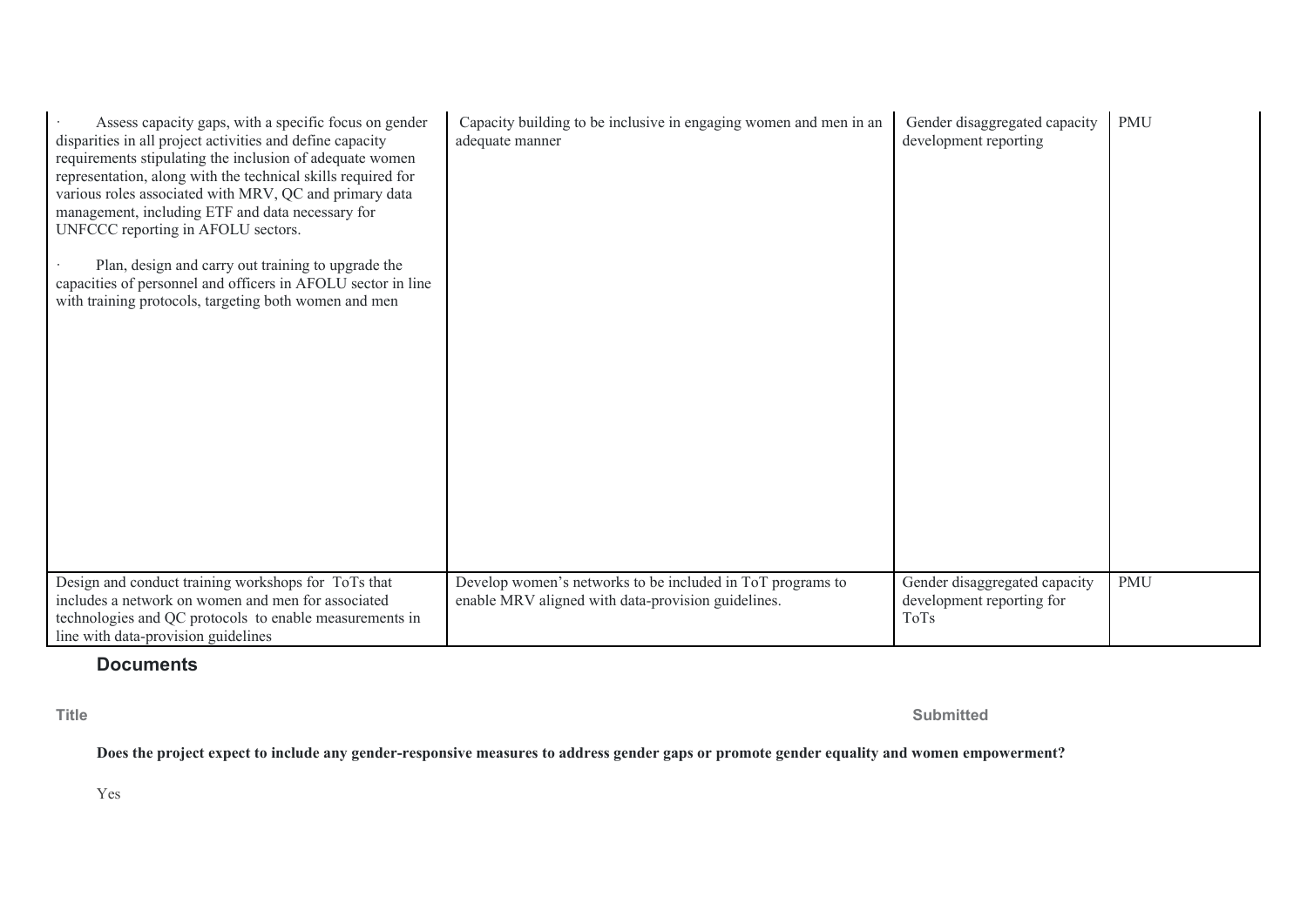| Assess capacity gaps, with a specific focus on gender<br>disparities in all project activities and define capacity<br>requirements stipulating the inclusion of adequate women<br>representation, along with the technical skills required for<br>various roles associated with MRV, QC and primary data<br>management, including ETF and data necessary for<br>UNFCCC reporting in AFOLU sectors.<br>Plan, design and carry out training to upgrade the<br>capacities of personnel and officers in AFOLU sector in line<br>with training protocols, targeting both women and men | Capacity building to be inclusive in engaging women and men in an<br>adequate manner                             | Gender disaggregated capacity<br>development reporting             | <b>PMU</b> |
|-----------------------------------------------------------------------------------------------------------------------------------------------------------------------------------------------------------------------------------------------------------------------------------------------------------------------------------------------------------------------------------------------------------------------------------------------------------------------------------------------------------------------------------------------------------------------------------|------------------------------------------------------------------------------------------------------------------|--------------------------------------------------------------------|------------|
| Design and conduct training workshops for ToTs that<br>includes a network on women and men for associated<br>technologies and QC protocols to enable measurements in<br>line with data-provision guidelines                                                                                                                                                                                                                                                                                                                                                                       | Develop women's networks to be included in ToT programs to<br>enable MRV aligned with data-provision guidelines. | Gender disaggregated capacity<br>development reporting for<br>ToTs | <b>PMU</b> |

# **Documents**

**Title Submitted**

**Does the project expect to include any gender-responsive measures to address gender gaps or promote gender equality and women empowerment?** 

Yes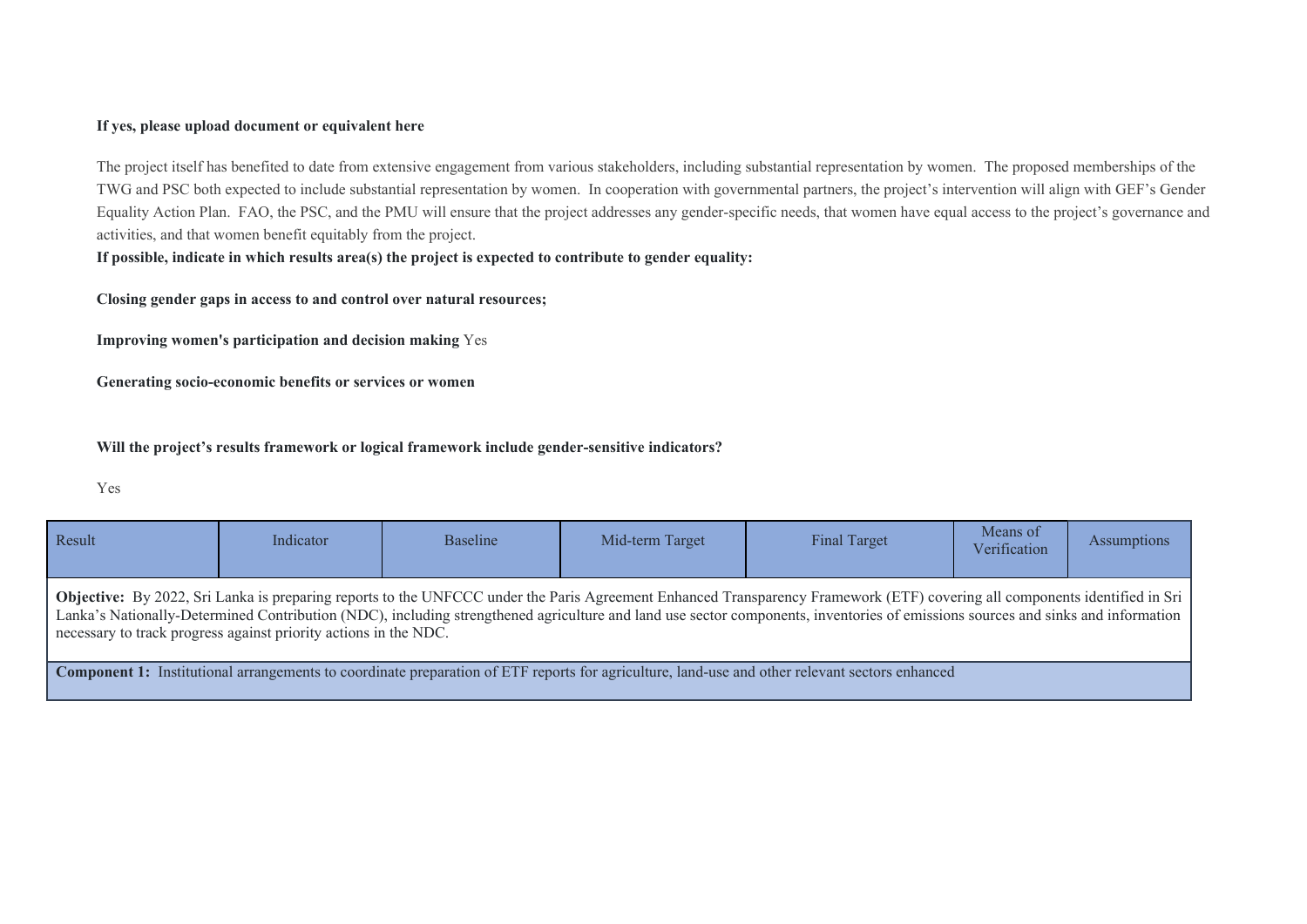### **If yes, please upload document or equivalent here**

The project itself has benefited to date from extensive engagement from various stakeholders, including substantial representation by women. The proposed memberships of the TWG and PSC both expected to include substantial representation by women. In cooperation with governmental partners, the project's intervention will align with GEF's Gender Equality Action Plan. FAO, the PSC, and the PMU will ensure that the project addresses any gender-specific needs, that women have equal access to the project's governance and activities, and that women benefit equitably from the project.

**If possible, indicate in which results area(s) the project is expected to contribute to gender equality:** 

**Closing gender gaps in access to and control over natural resources;** 

**Improving women's participation and decision making** Yes

**Generating socio-economic benefits or services or women** 

**Will the project's results framework or logical framework include gender-sensitive indicators?**

Yes

| Result                                                                                                                                                                                                                                                                                                                                                                                                                            | Indicator | <b>Baseline</b> | Mid-term Target | <b>Final Target</b> | Means of<br>Verification | <b>Assumptions</b> |  |
|-----------------------------------------------------------------------------------------------------------------------------------------------------------------------------------------------------------------------------------------------------------------------------------------------------------------------------------------------------------------------------------------------------------------------------------|-----------|-----------------|-----------------|---------------------|--------------------------|--------------------|--|
| Objective: By 2022, Sri Lanka is preparing reports to the UNFCCC under the Paris Agreement Enhanced Transparency Framework (ETF) covering all components identified in Sri<br>Lanka's Nationally-Determined Contribution (NDC), including strengthened agriculture and land use sector components, inventories of emissions sources and sinks and information<br>necessary to track progress against priority actions in the NDC. |           |                 |                 |                     |                          |                    |  |
| <b>Component 1:</b> Institutional arrangements to coordinate preparation of ETF reports for agriculture, land-use and other relevant sectors enhanced                                                                                                                                                                                                                                                                             |           |                 |                 |                     |                          |                    |  |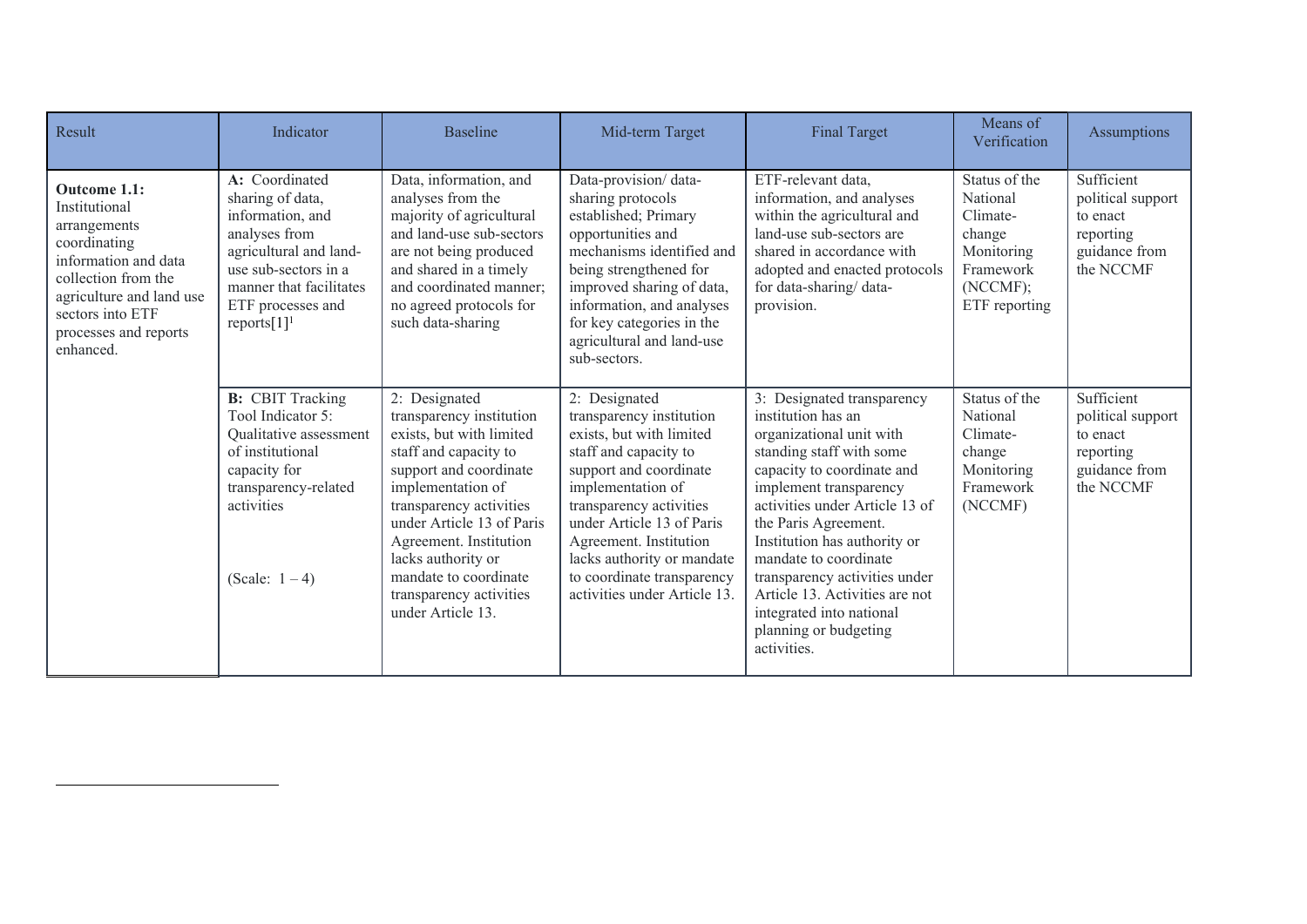| Result                                                                                                                                                                                             | Indicator                                                                                                                                                                                              | <b>Baseline</b>                                                                                                                                                                                                                                                                                                                | Mid-term Target                                                                                                                                                                                                                                                                                                             | <b>Final Target</b>                                                                                                                                                                                                                                                                                                                                                                                                        | Means of<br>Verification                                                                                | Assumptions                                                                            |
|----------------------------------------------------------------------------------------------------------------------------------------------------------------------------------------------------|--------------------------------------------------------------------------------------------------------------------------------------------------------------------------------------------------------|--------------------------------------------------------------------------------------------------------------------------------------------------------------------------------------------------------------------------------------------------------------------------------------------------------------------------------|-----------------------------------------------------------------------------------------------------------------------------------------------------------------------------------------------------------------------------------------------------------------------------------------------------------------------------|----------------------------------------------------------------------------------------------------------------------------------------------------------------------------------------------------------------------------------------------------------------------------------------------------------------------------------------------------------------------------------------------------------------------------|---------------------------------------------------------------------------------------------------------|----------------------------------------------------------------------------------------|
| Outcome 1.1:<br>Institutional<br>arrangements<br>coordinating<br>information and data<br>collection from the<br>agriculture and land use<br>sectors into ETF<br>processes and reports<br>enhanced. | A: Coordinated<br>sharing of data,<br>information, and<br>analyses from<br>agricultural and land-<br>use sub-sectors in a<br>manner that facilitates<br>ETF processes and<br>$reports[1]$ <sup>1</sup> | Data, information, and<br>analyses from the<br>majority of agricultural<br>and land-use sub-sectors<br>are not being produced<br>and shared in a timely<br>and coordinated manner;<br>no agreed protocols for<br>such data-sharing                                                                                             | Data-provision/data-<br>sharing protocols<br>established; Primary<br>opportunities and<br>mechanisms identified and<br>being strengthened for<br>improved sharing of data,<br>information, and analyses<br>for key categories in the<br>agricultural and land-use<br>sub-sectors.                                           | ETF-relevant data,<br>information, and analyses<br>within the agricultural and<br>land-use sub-sectors are<br>shared in accordance with<br>adopted and enacted protocols<br>for data-sharing/data-<br>provision.                                                                                                                                                                                                           | Status of the<br>National<br>Climate-<br>change<br>Monitoring<br>Framework<br>(NCCMF);<br>ETF reporting | Sufficient<br>political support<br>to enact<br>reporting<br>guidance from<br>the NCCMF |
|                                                                                                                                                                                                    | <b>B:</b> CBIT Tracking<br>Tool Indicator 5:<br>Qualitative assessment<br>of institutional<br>capacity for<br>transparency-related<br>activities<br>(Scale: $1-4$ )                                    | 2: Designated<br>transparency institution<br>exists, but with limited<br>staff and capacity to<br>support and coordinate<br>implementation of<br>transparency activities<br>under Article 13 of Paris<br>Agreement. Institution<br>lacks authority or<br>mandate to coordinate<br>transparency activities<br>under Article 13. | 2: Designated<br>transparency institution<br>exists, but with limited<br>staff and capacity to<br>support and coordinate<br>implementation of<br>transparency activities<br>under Article 13 of Paris<br>Agreement. Institution<br>lacks authority or mandate<br>to coordinate transparency<br>activities under Article 13. | 3: Designated transparency<br>institution has an<br>organizational unit with<br>standing staff with some<br>capacity to coordinate and<br>implement transparency<br>activities under Article 13 of<br>the Paris Agreement.<br>Institution has authority or<br>mandate to coordinate<br>transparency activities under<br>Article 13. Activities are not<br>integrated into national<br>planning or budgeting<br>activities. | Status of the<br>National<br>Climate-<br>change<br>Monitoring<br>Framework<br>(NCCMF)                   | Sufficient<br>political support<br>to enact<br>reporting<br>guidance from<br>the NCCMF |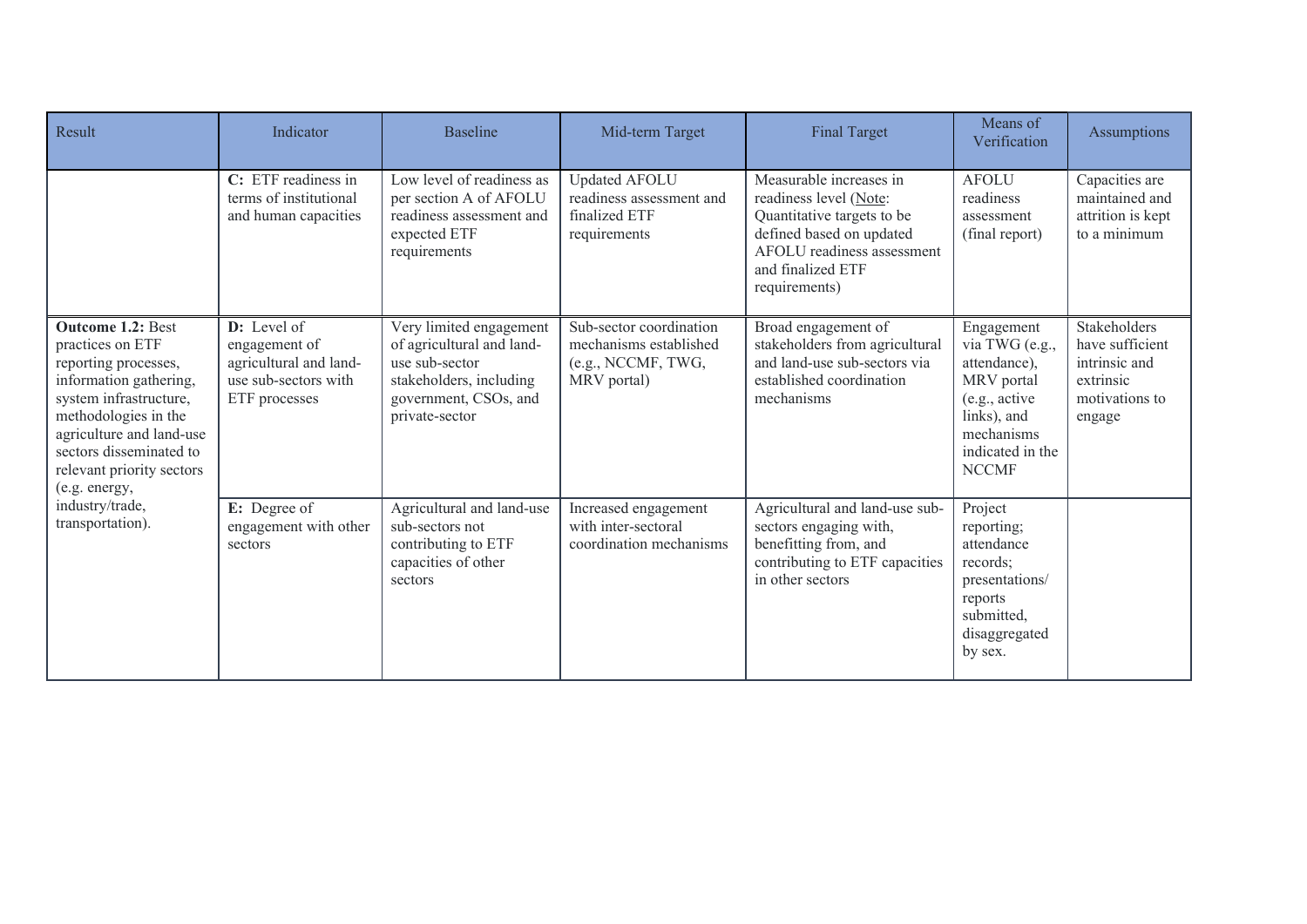| Result                                                                                                                                                                                                                                                | Indicator                                                                                         | <b>Baseline</b>                                                                                                                              | Mid-term Target                                                                        | <b>Final Target</b>                                                                                                                                                             | Means of<br>Verification                                                                                                                     | Assumptions                                                                               |
|-------------------------------------------------------------------------------------------------------------------------------------------------------------------------------------------------------------------------------------------------------|---------------------------------------------------------------------------------------------------|----------------------------------------------------------------------------------------------------------------------------------------------|----------------------------------------------------------------------------------------|---------------------------------------------------------------------------------------------------------------------------------------------------------------------------------|----------------------------------------------------------------------------------------------------------------------------------------------|-------------------------------------------------------------------------------------------|
|                                                                                                                                                                                                                                                       | C: ETF readiness in<br>terms of institutional<br>and human capacities                             | Low level of readiness as<br>per section A of AFOLU<br>readiness assessment and<br>expected ETF<br>requirements                              | Updated AFOLU<br>readiness assessment and<br>finalized ETF<br>requirements             | Measurable increases in<br>readiness level (Note:<br>Quantitative targets to be<br>defined based on updated<br>AFOLU readiness assessment<br>and finalized ETF<br>requirements) | <b>AFOLU</b><br>readiness<br>assessment<br>(final report)                                                                                    | Capacities are<br>maintained and<br>attrition is kept<br>to a minimum                     |
| <b>Outcome 1.2: Best</b><br>practices on ETF<br>reporting processes,<br>information gathering,<br>system infrastructure,<br>methodologies in the<br>agriculture and land-use<br>sectors disseminated to<br>relevant priority sectors<br>(e.g. energy, | $D:$ Level of<br>engagement of<br>agricultural and land-<br>use sub-sectors with<br>ETF processes | Very limited engagement<br>of agricultural and land-<br>use sub-sector<br>stakeholders, including<br>government, CSOs, and<br>private-sector | Sub-sector coordination<br>mechanisms established<br>(e.g., NCCMF, TWG,<br>MRV portal) | Broad engagement of<br>stakeholders from agricultural<br>and land-use sub-sectors via<br>established coordination<br>mechanisms                                                 | Engagement<br>via TWG (e.g.,<br>attendance),<br>MRV portal<br>(e.g., active<br>links), and<br>mechanisms<br>indicated in the<br><b>NCCMF</b> | Stakeholders<br>have sufficient<br>intrinsic and<br>extrinsic<br>motivations to<br>engage |
| industry/trade,<br>transportation).                                                                                                                                                                                                                   | E: Degree of<br>engagement with other<br>sectors                                                  | Agricultural and land-use<br>sub-sectors not<br>contributing to ETF<br>capacities of other<br>sectors                                        | Increased engagement<br>with inter-sectoral<br>coordination mechanisms                 | Agricultural and land-use sub-<br>sectors engaging with,<br>benefitting from, and<br>contributing to ETF capacities<br>in other sectors                                         | Project<br>reporting;<br>attendance<br>records;<br>presentations/<br>reports<br>submitted,<br>disaggregated<br>by sex.                       |                                                                                           |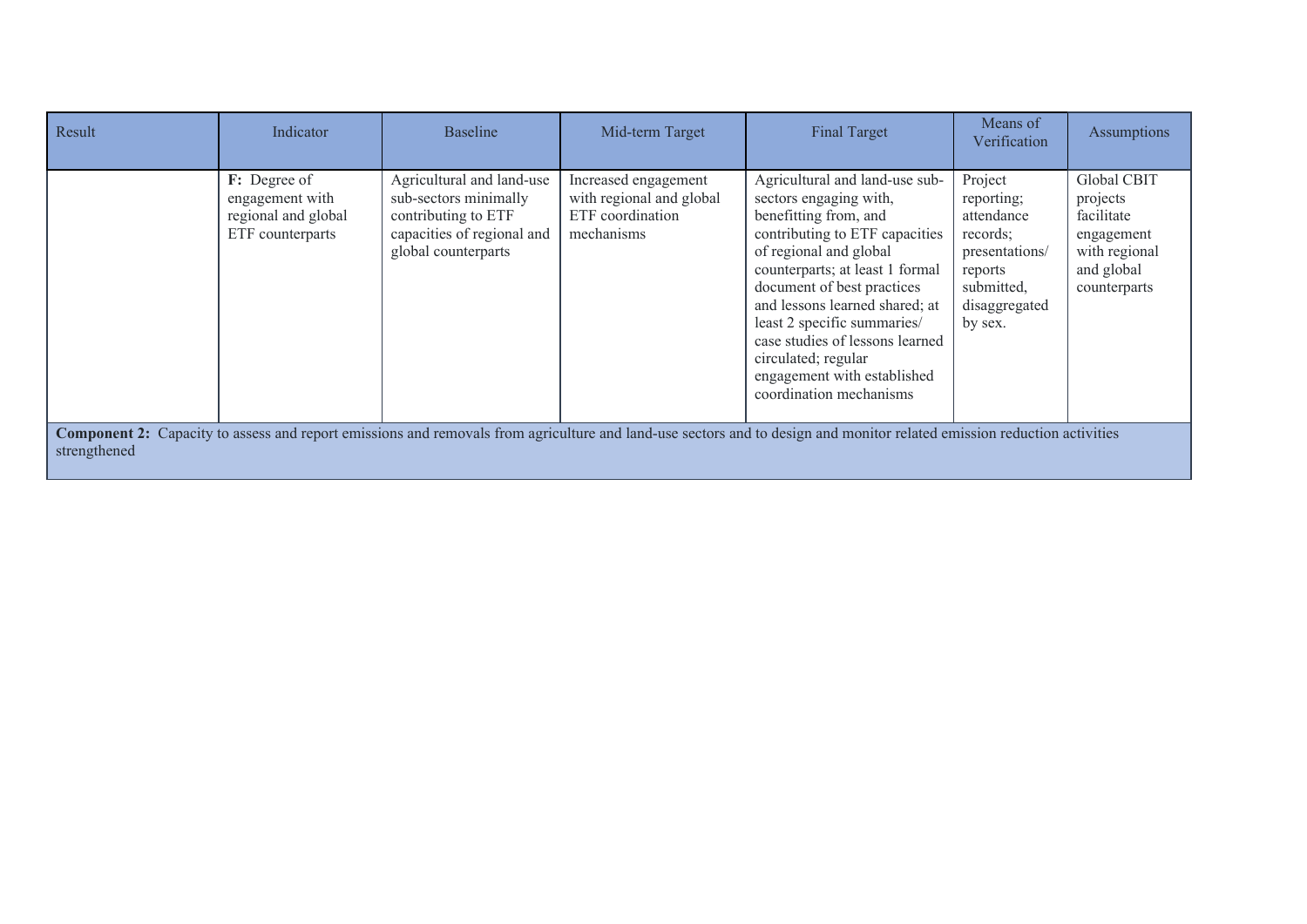| Result                                                                                                                                                                                  | Indicator                                                                  | <b>Baseline</b>                                                                                                                | Mid-term Target                                                                    | <b>Final Target</b>                                                                                                                                                                                                                                                                                                                                                                                 | Means of<br>Verification                                                                                               | Assumptions                                                                                        |
|-----------------------------------------------------------------------------------------------------------------------------------------------------------------------------------------|----------------------------------------------------------------------------|--------------------------------------------------------------------------------------------------------------------------------|------------------------------------------------------------------------------------|-----------------------------------------------------------------------------------------------------------------------------------------------------------------------------------------------------------------------------------------------------------------------------------------------------------------------------------------------------------------------------------------------------|------------------------------------------------------------------------------------------------------------------------|----------------------------------------------------------------------------------------------------|
|                                                                                                                                                                                         | F: Degree of<br>engagement with<br>regional and global<br>ETF counterparts | Agricultural and land-use<br>sub-sectors minimally<br>contributing to ETF<br>capacities of regional and<br>global counterparts | Increased engagement<br>with regional and global<br>ETF coordination<br>mechanisms | Agricultural and land-use sub-<br>sectors engaging with,<br>benefitting from, and<br>contributing to ETF capacities<br>of regional and global<br>counterparts; at least 1 formal<br>document of best practices<br>and lessons learned shared; at<br>least 2 specific summaries/<br>case studies of lessons learned<br>circulated; regular<br>engagement with established<br>coordination mechanisms | Project<br>reporting;<br>attendance<br>records;<br>presentations/<br>reports<br>submitted,<br>disaggregated<br>by sex. | Global CBIT<br>projects<br>facilitate<br>engagement<br>with regional<br>and global<br>counterparts |
| Component 2: Capacity to assess and report emissions and removals from agriculture and land-use sectors and to design and monitor related emission reduction activities<br>strengthened |                                                                            |                                                                                                                                |                                                                                    |                                                                                                                                                                                                                                                                                                                                                                                                     |                                                                                                                        |                                                                                                    |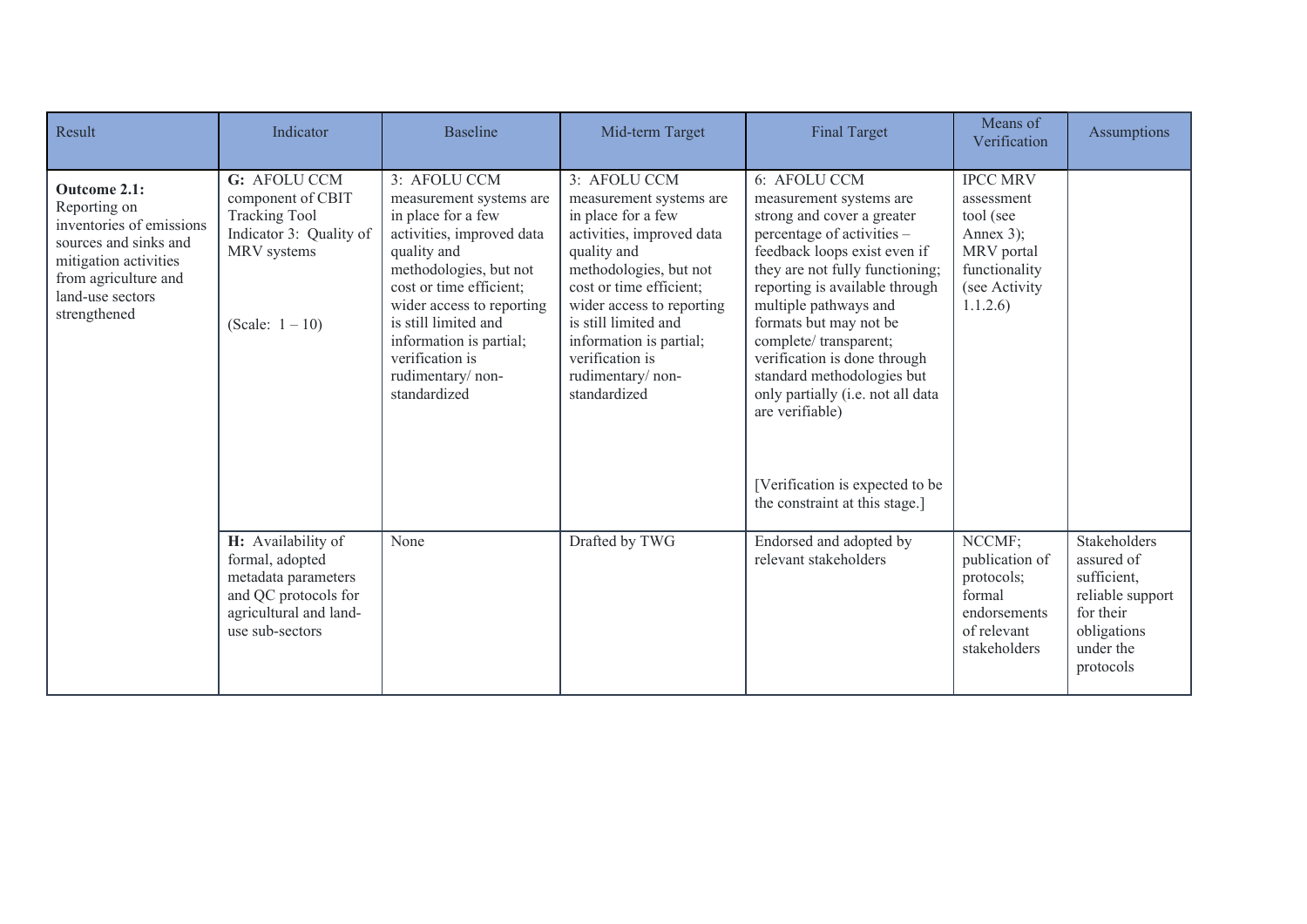| Result                                                                                                                                                                 | Indicator                                                                                                                         | <b>Baseline</b>                                                                                                                                                                                                                                                                                       | Mid-term Target                                                                                                                                                                                                                                                                                       | <b>Final Target</b>                                                                                                                                                                                                                                                                                                                                                                                                                                                              | Means of<br>Verification                                                                                             | <b>Assumptions</b>                                                                                                  |
|------------------------------------------------------------------------------------------------------------------------------------------------------------------------|-----------------------------------------------------------------------------------------------------------------------------------|-------------------------------------------------------------------------------------------------------------------------------------------------------------------------------------------------------------------------------------------------------------------------------------------------------|-------------------------------------------------------------------------------------------------------------------------------------------------------------------------------------------------------------------------------------------------------------------------------------------------------|----------------------------------------------------------------------------------------------------------------------------------------------------------------------------------------------------------------------------------------------------------------------------------------------------------------------------------------------------------------------------------------------------------------------------------------------------------------------------------|----------------------------------------------------------------------------------------------------------------------|---------------------------------------------------------------------------------------------------------------------|
| Outcome 2.1:<br>Reporting on<br>inventories of emissions<br>sources and sinks and<br>mitigation activities<br>from agriculture and<br>land-use sectors<br>strengthened | G: AFOLU CCM<br>component of CBIT<br><b>Tracking Tool</b><br>Indicator 3: Quality of<br>MRV systems<br>(Scale: $1 - 10$ )         | 3: AFOLU CCM<br>measurement systems are<br>in place for a few<br>activities, improved data<br>quality and<br>methodologies, but not<br>cost or time efficient;<br>wider access to reporting<br>is still limited and<br>information is partial;<br>verification is<br>rudimentary/non-<br>standardized | 3: AFOLU CCM<br>measurement systems are<br>in place for a few<br>activities, improved data<br>quality and<br>methodologies, but not<br>cost or time efficient;<br>wider access to reporting<br>is still limited and<br>information is partial;<br>verification is<br>rudimentary/non-<br>standardized | 6: AFOLU CCM<br>measurement systems are<br>strong and cover a greater<br>percentage of activities -<br>feedback loops exist even if<br>they are not fully functioning;<br>reporting is available through<br>multiple pathways and<br>formats but may not be<br>complete/ transparent;<br>verification is done through<br>standard methodologies but<br>only partially (i.e. not all data<br>are verifiable)<br>[Verification is expected to be<br>the constraint at this stage.] | <b>IPCC MRV</b><br>assessment<br>tool (see<br>Annex $3$ ;<br>MRV portal<br>functionality<br>(see Activity<br>1.1.2.6 |                                                                                                                     |
|                                                                                                                                                                        | H: Availability of<br>formal, adopted<br>metadata parameters<br>and QC protocols for<br>agricultural and land-<br>use sub-sectors | None                                                                                                                                                                                                                                                                                                  | Drafted by TWG                                                                                                                                                                                                                                                                                        | Endorsed and adopted by<br>relevant stakeholders                                                                                                                                                                                                                                                                                                                                                                                                                                 | NCCMF:<br>publication of<br>protocols;<br>formal<br>endorsements<br>of relevant<br>stakeholders                      | Stakeholders<br>assured of<br>sufficient,<br>reliable support<br>for their<br>obligations<br>under the<br>protocols |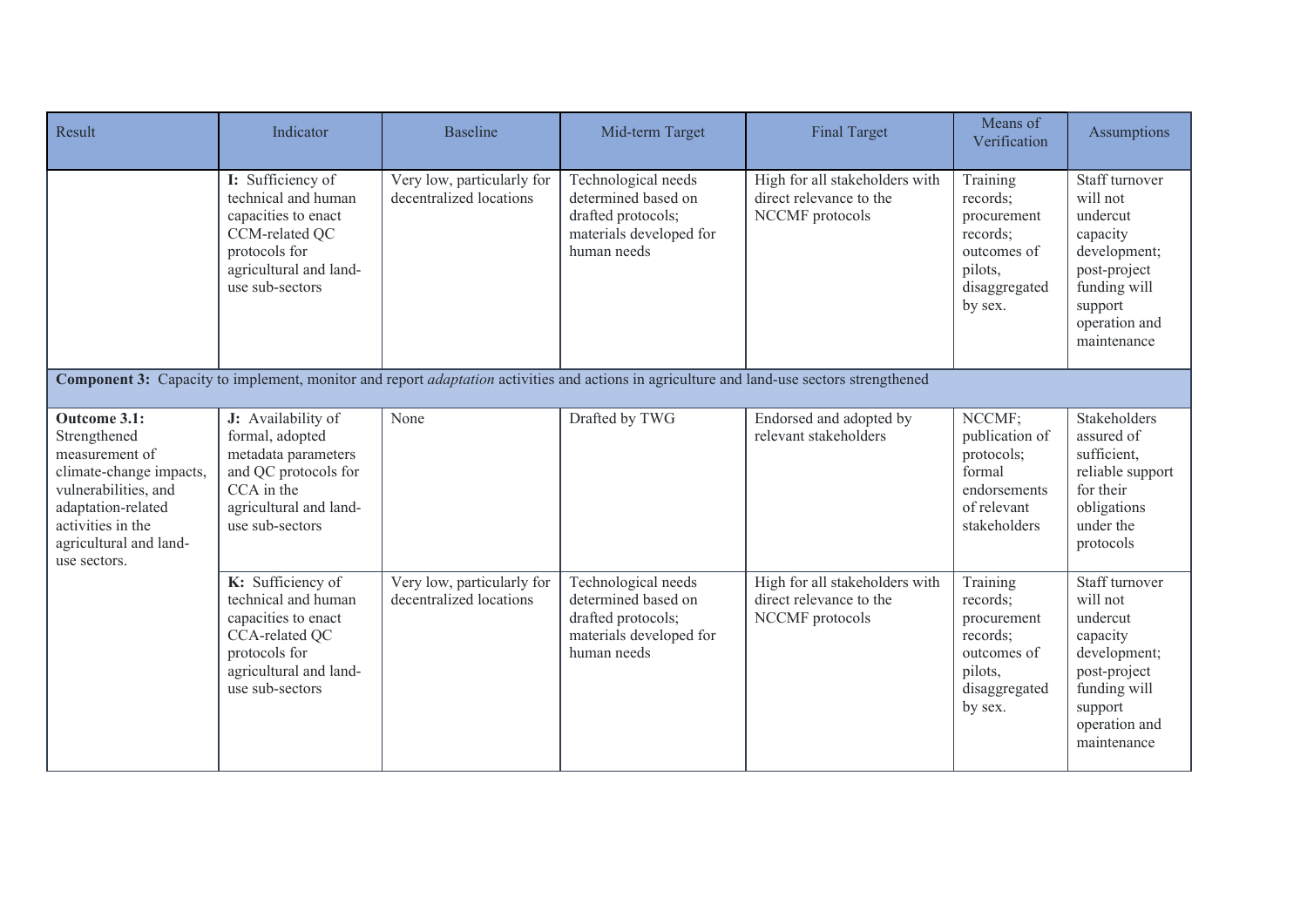| Result                                                                                                                                                                                 | Indicator                                                                                                                                       | <b>Baseline</b>                                       | Mid-term Target                                                                                            | <b>Final Target</b>                                                                                                                              | Means of<br>Verification                                                                              | Assumptions                                                                                                                                   |
|----------------------------------------------------------------------------------------------------------------------------------------------------------------------------------------|-------------------------------------------------------------------------------------------------------------------------------------------------|-------------------------------------------------------|------------------------------------------------------------------------------------------------------------|--------------------------------------------------------------------------------------------------------------------------------------------------|-------------------------------------------------------------------------------------------------------|-----------------------------------------------------------------------------------------------------------------------------------------------|
|                                                                                                                                                                                        | I: Sufficiency of<br>technical and human<br>capacities to enact<br>CCM-related QC<br>protocols for<br>agricultural and land-<br>use sub-sectors | Very low, particularly for<br>decentralized locations | Technological needs<br>determined based on<br>drafted protocols;<br>materials developed for<br>human needs | High for all stakeholders with<br>direct relevance to the<br>NCCMF protocols                                                                     | Training<br>records;<br>procurement<br>records;<br>outcomes of<br>pilots,<br>disaggregated<br>by sex. | Staff turnover<br>will not<br>undercut<br>capacity<br>development;<br>post-project<br>funding will<br>support<br>operation and<br>maintenance |
|                                                                                                                                                                                        |                                                                                                                                                 |                                                       |                                                                                                            | Component 3: Capacity to implement, monitor and report <i>adaptation</i> activities and actions in agriculture and land-use sectors strengthened |                                                                                                       |                                                                                                                                               |
| Outcome 3.1:<br>Strengthened<br>measurement of<br>climate-change impacts,<br>vulnerabilities, and<br>adaptation-related<br>activities in the<br>agricultural and land-<br>use sectors. | J: Availability of<br>formal, adopted<br>metadata parameters<br>and QC protocols for<br>CCA in the<br>agricultural and land-<br>use sub-sectors | None                                                  | Drafted by TWG                                                                                             | Endorsed and adopted by<br>relevant stakeholders                                                                                                 | NCCMF;<br>publication of<br>protocols;<br>formal<br>endorsements<br>of relevant<br>stakeholders       | Stakeholders<br>assured of<br>sufficient,<br>reliable support<br>for their<br>obligations<br>under the<br>protocols                           |
|                                                                                                                                                                                        | K: Sufficiency of<br>technical and human<br>capacities to enact<br>CCA-related QC<br>protocols for<br>agricultural and land-<br>use sub-sectors | Very low, particularly for<br>decentralized locations | Technological needs<br>determined based on<br>drafted protocols;<br>materials developed for<br>human needs | High for all stakeholders with<br>direct relevance to the<br>NCCMF protocols                                                                     | Training<br>records;<br>procurement<br>records;<br>outcomes of<br>pilots,<br>disaggregated<br>by sex. | Staff turnover<br>will not<br>undercut<br>capacity<br>development;<br>post-project<br>funding will<br>support<br>operation and<br>maintenance |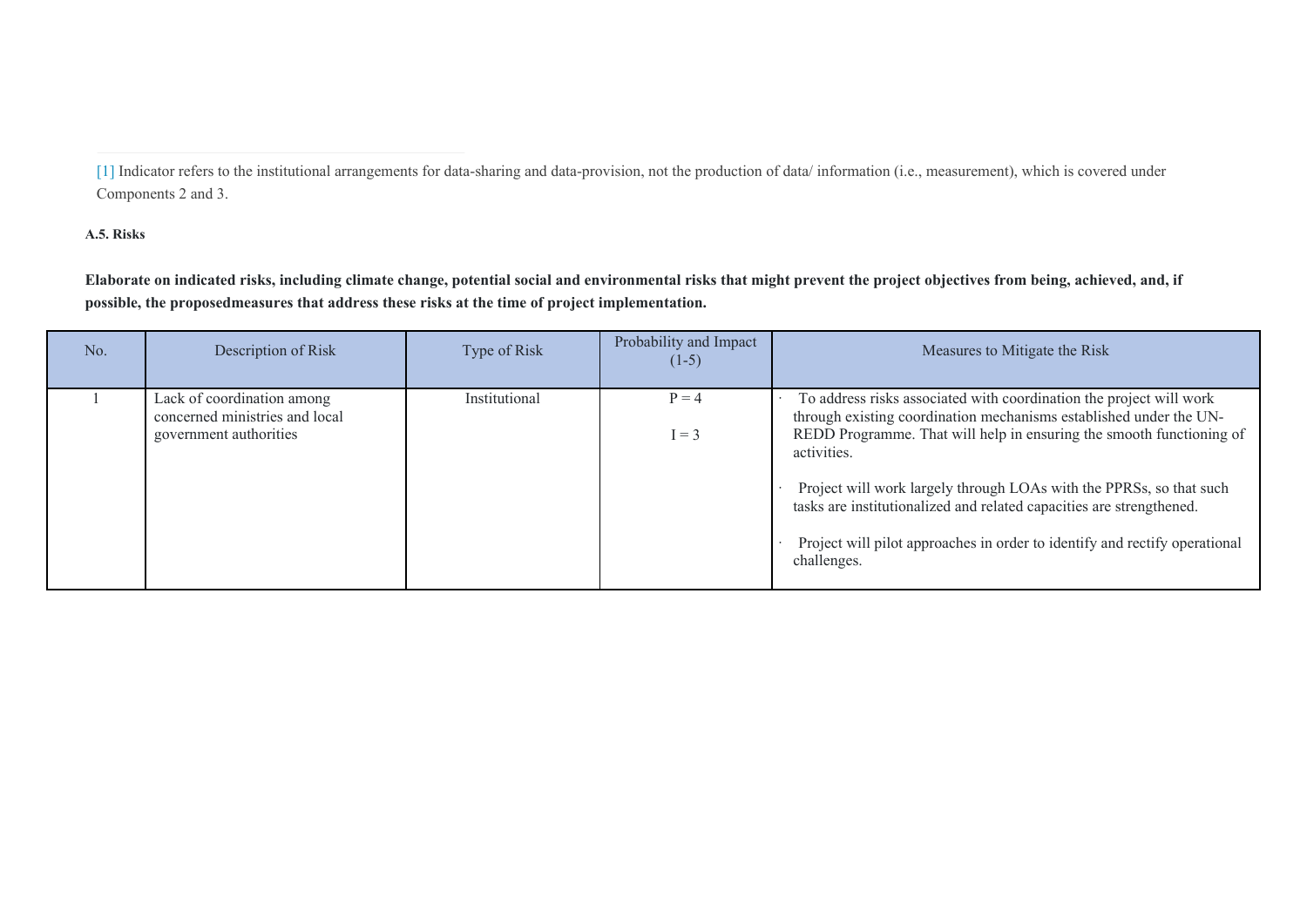**A.5. Risks** 

**Elaborate on indicated risks, including climate change, potential social and environmental risks that might prevent the project objectives from being, achieved, and, if possible, the proposedmeasures that address these risks at the time of project implementation.** 

| No. | Description of Risk                                                                    | Type of Risk  | Probability and Impact<br>$(1-5)$ | Measures to Mitigate the Risk                                                                                                                                                                                                                                                                                                                                                                                                                                                |
|-----|----------------------------------------------------------------------------------------|---------------|-----------------------------------|------------------------------------------------------------------------------------------------------------------------------------------------------------------------------------------------------------------------------------------------------------------------------------------------------------------------------------------------------------------------------------------------------------------------------------------------------------------------------|
|     | Lack of coordination among<br>concerned ministries and local<br>government authorities | Institutional | $P = 4$<br>$I = 3$                | To address risks associated with coordination the project will work<br>through existing coordination mechanisms established under the UN-<br>REDD Programme. That will help in ensuring the smooth functioning of<br>activities.<br>Project will work largely through LOAs with the PPRSs, so that such<br>tasks are institutionalized and related capacities are strengthened.<br>Project will pilot approaches in order to identify and rectify operational<br>challenges. |

[<sup>\[1\]</sup>](file:///C:/Users/NaitoY/GEF/Country/CBIT/5.%20Sri%20Lanka/PPG/for%20submission/Sri%20Lanka-GEF6-CBIT-ProDoc_May2019.docx#_ftnref1) Indicator refers to the institutional arrangements for data-sharing and data-provision, not the production of data/ information (i.e., measurement), which is covered under Components 2 and 3.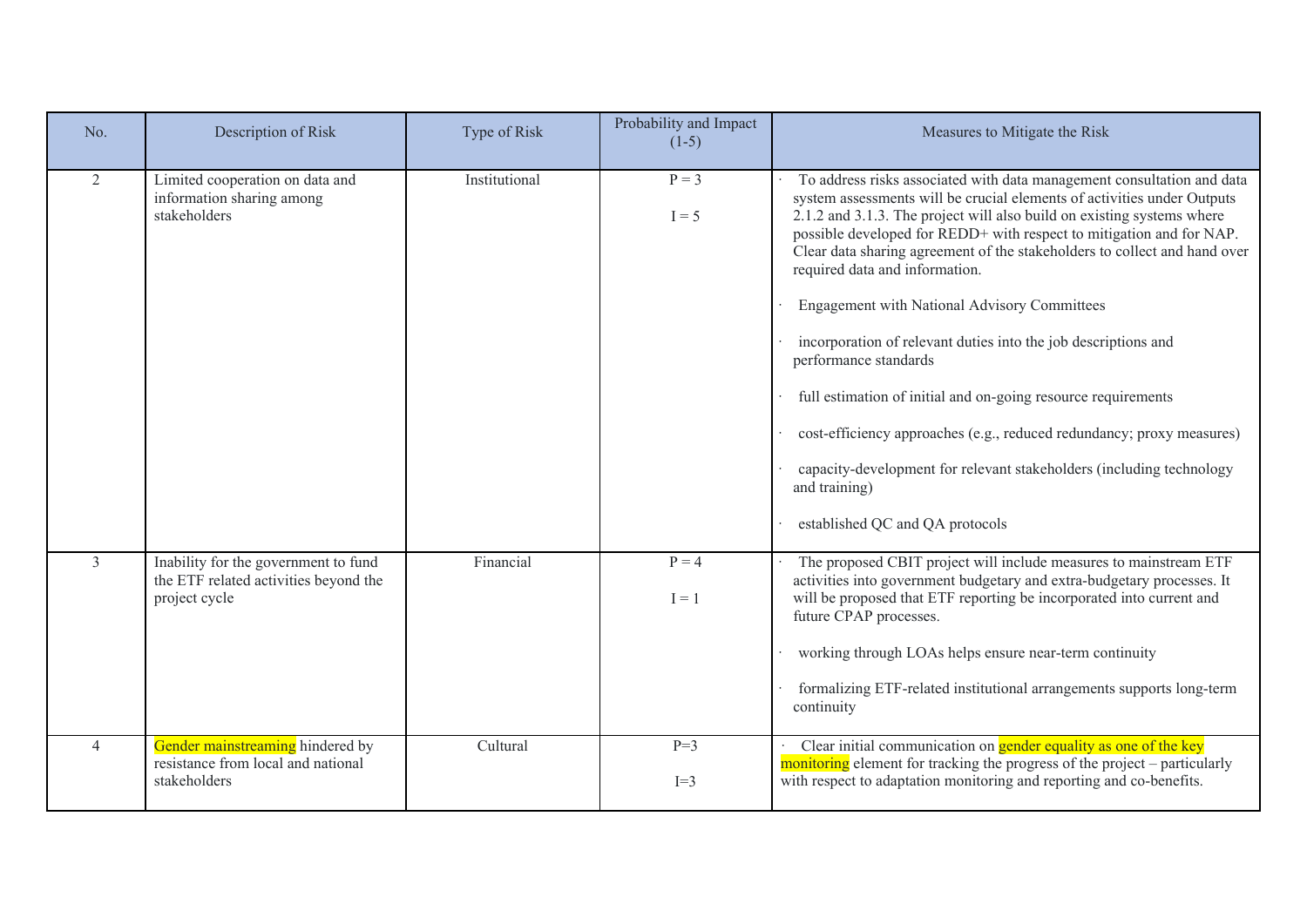| No.            | Description of Risk                                                                            | Type of Risk  | Probability and Impact<br>$(1-5)$ | Measures to Mitigate the Risk                                                                                                                                                                                                                                                                                                                                                                                                                                                                                                                                                                                                                                                                                                                                                                                                       |
|----------------|------------------------------------------------------------------------------------------------|---------------|-----------------------------------|-------------------------------------------------------------------------------------------------------------------------------------------------------------------------------------------------------------------------------------------------------------------------------------------------------------------------------------------------------------------------------------------------------------------------------------------------------------------------------------------------------------------------------------------------------------------------------------------------------------------------------------------------------------------------------------------------------------------------------------------------------------------------------------------------------------------------------------|
| 2              | Limited cooperation on data and<br>information sharing among<br>stakeholders                   | Institutional | $P = 3$<br>$I = 5$                | To address risks associated with data management consultation and data<br>system assessments will be crucial elements of activities under Outputs<br>2.1.2 and 3.1.3. The project will also build on existing systems where<br>possible developed for REDD+ with respect to mitigation and for NAP.<br>Clear data sharing agreement of the stakeholders to collect and hand over<br>required data and information.<br>Engagement with National Advisory Committees<br>incorporation of relevant duties into the job descriptions and<br>performance standards<br>full estimation of initial and on-going resource requirements<br>cost-efficiency approaches (e.g., reduced redundancy; proxy measures)<br>capacity-development for relevant stakeholders (including technology<br>and training)<br>established QC and QA protocols |
| 3              | Inability for the government to fund<br>the ETF related activities beyond the<br>project cycle | Financial     | $P = 4$<br>$I = 1$                | The proposed CBIT project will include measures to mainstream ETF<br>activities into government budgetary and extra-budgetary processes. It<br>will be proposed that ETF reporting be incorporated into current and<br>future CPAP processes.<br>working through LOAs helps ensure near-term continuity<br>formalizing ETF-related institutional arrangements supports long-term<br>continuity                                                                                                                                                                                                                                                                                                                                                                                                                                      |
| $\overline{4}$ | Gender mainstreaming hindered by<br>resistance from local and national<br>stakeholders         | Cultural      | $P=3$<br>$I=3$                    | Clear initial communication on gender equality as one of the key<br>monitoring element for tracking the progress of the project - particularly<br>with respect to adaptation monitoring and reporting and co-benefits.                                                                                                                                                                                                                                                                                                                                                                                                                                                                                                                                                                                                              |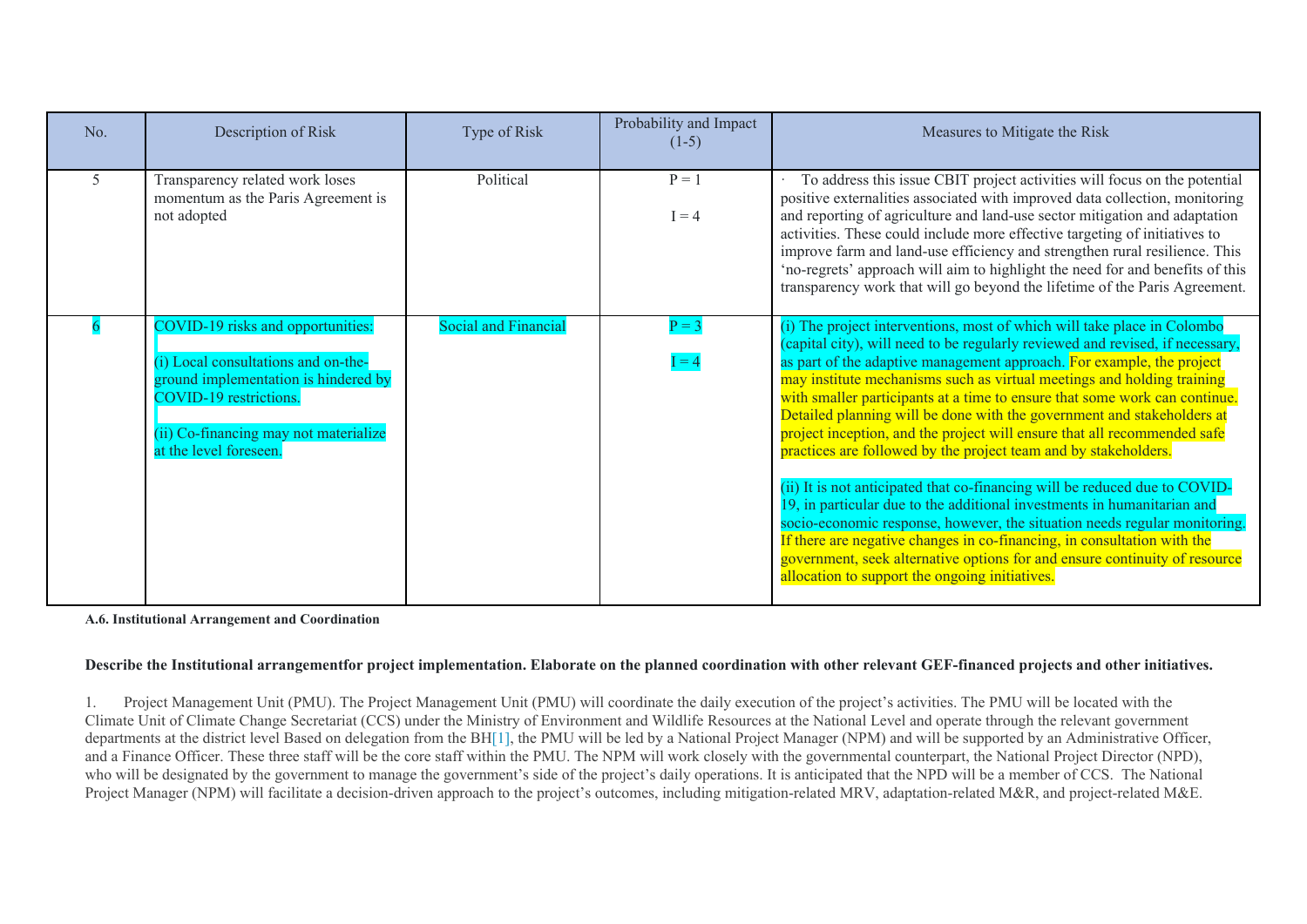| No. | Description of Risk                                                                                                                                                                                           | Type of Risk                | Probability and Impact<br>$(1-5)$ | Measures to Mitigate the Risk                                                                                                                                                                                                                                                                                                                                                                                                                                                                                                                                                                                                                                                                                                                                                                                                                                                                                                                                                                                                                                       |
|-----|---------------------------------------------------------------------------------------------------------------------------------------------------------------------------------------------------------------|-----------------------------|-----------------------------------|---------------------------------------------------------------------------------------------------------------------------------------------------------------------------------------------------------------------------------------------------------------------------------------------------------------------------------------------------------------------------------------------------------------------------------------------------------------------------------------------------------------------------------------------------------------------------------------------------------------------------------------------------------------------------------------------------------------------------------------------------------------------------------------------------------------------------------------------------------------------------------------------------------------------------------------------------------------------------------------------------------------------------------------------------------------------|
| 5.  | Transparency related work loses<br>momentum as the Paris Agreement is<br>not adopted                                                                                                                          | Political                   | $P = 1$<br>$I = 4$                | To address this issue CBIT project activities will focus on the potential<br>positive externalities associated with improved data collection, monitoring<br>and reporting of agriculture and land-use sector mitigation and adaptation<br>activities. These could include more effective targeting of initiatives to<br>improve farm and land-use efficiency and strengthen rural resilience. This<br>'no-regrets' approach will aim to highlight the need for and benefits of this<br>transparency work that will go beyond the lifetime of the Paris Agreement.                                                                                                                                                                                                                                                                                                                                                                                                                                                                                                   |
|     | COVID-19 risks and opportunities:<br>(i) Local consultations and on-the-<br>ground implementation is hindered by<br>COVID-19 restrictions.<br>(ii) Co-financing may not materialize<br>at the level foreseen. | <b>Social and Financial</b> | $P = 3$<br>$= 4$                  | (i) The project interventions, most of which will take place in Colombo<br>(capital city), will need to be regularly reviewed and revised, if necessary,<br>as part of the adaptive management approach. For example, the project<br>may institute mechanisms such as virtual meetings and holding training<br>with smaller participants at a time to ensure that some work can continue.<br>Detailed planning will be done with the government and stakeholders at<br>project inception, and the project will ensure that all recommended safe<br>practices are followed by the project team and by stakeholders.<br>(ii) It is not anticipated that co-financing will be reduced due to COVID-<br>19, in particular due to the additional investments in humanitarian and<br>socio-economic response, however, the situation needs regular monitoring.<br>If there are negative changes in co-financing, in consultation with the<br>government, seek alternative options for and ensure continuity of resource<br>allocation to support the ongoing initiatives. |

#### **A.6. Institutional Arrangement and Coordination**

### **Describe the Institutional arrangementfor project implementation. Elaborate on the planned coordination with other relevant GEF-financed projects and other initiatives.**

1. Project Management Unit (PMU). The Project Management Unit (PMU) will coordinate the daily execution of the project's activities. The PMU will be located with the Climate Unit of Climate Change Secretariat (CCS) under the Ministry of Environment and Wildlife Resources at the National Level and operate through the relevant government departments at the district level Based on delegation from the BH[\[1\],](file:///C:/Users/NaitoY/GEF/Country/CBIT/5.%20Sri%20Lanka/PPG/for%20resubmission/Sri%20Lanka-GEF6-CBIT-ProDoc_CLEAN_FINAL_PPRCRevision_July2020.docx#_ftn1) the PMU will be led by a National Project Manager (NPM) and will be supported by an Administrative Officer, and a Finance Officer. These three staff will be the core staff within the PMU. The NPM will work closely with the governmental counterpart, the National Project Director (NPD), who will be designated by the government to manage the government's side of the project's daily operations. It is anticipated that the NPD will be a member of CCS. The National Project Manager (NPM) will facilitate a decision-driven approach to the project's outcomes, including mitigation-related MRV, adaptation-related M&R, and project-related M&E.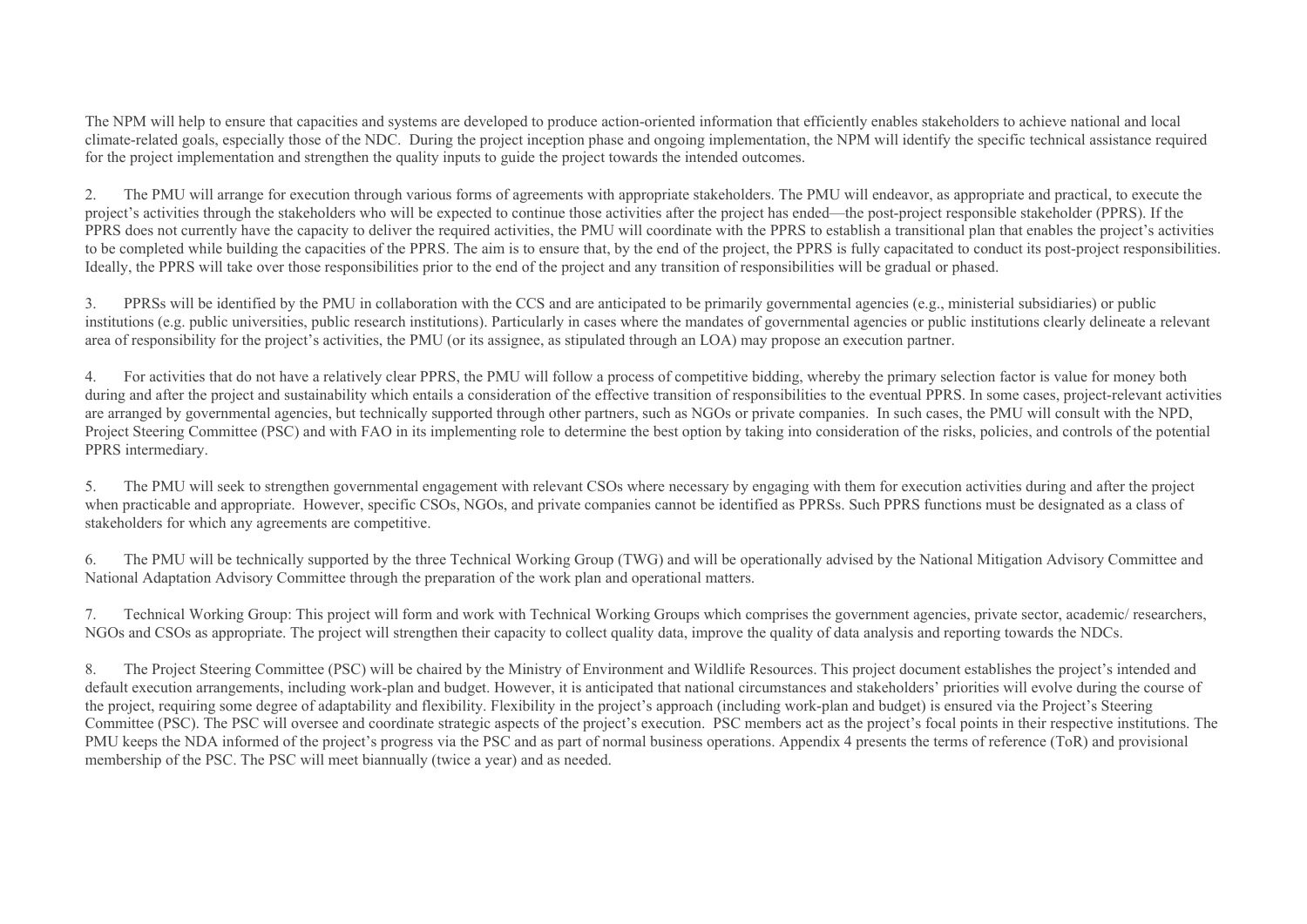The NPM will help to ensure that capacities and systems are developed to produce action-oriented information that efficiently enables stakeholders to achieve national and local climate-related goals, especially those of the NDC. During the project inception phase and ongoing implementation, the NPM will identify the specific technical assistance required for the project implementation and strengthen the quality inputs to guide the project towards the intended outcomes.

2. The PMU will arrange for execution through various forms of agreements with appropriate stakeholders. The PMU will endeavor, as appropriate and practical, to execute the project's activities through the stakeholders who will be expected to continue those activities after the project has ended—the post-project responsible stakeholder (PPRS). If the PPRS does not currently have the capacity to deliver the required activities, the PMU will coordinate with the PPRS to establish a transitional plan that enables the project's activities to be completed while building the capacities of the PPRS. The aim is to ensure that, by the end of the project, the PPRS is fully capacitated to conduct its post-project responsibilities. Ideally, the PPRS will take over those responsibilities prior to the end of the project and any transition of responsibilities will be gradual or phased.

3. PPRSs will be identified by the PMU in collaboration with the CCS and are anticipated to be primarily governmental agencies (e.g., ministerial subsidiaries) or public institutions (e.g. public universities, public research institutions). Particularly in cases where the mandates of governmental agencies or public institutions clearly delineate a relevant area of responsibility for the project's activities, the PMU (or its assignee, as stipulated through an LOA) may propose an execution partner.

4. For activities that do not have a relatively clear PPRS, the PMU will follow a process of competitive bidding, whereby the primary selection factor is value for money both during and after the project and sustainability which entails a consideration of the effective transition of responsibilities to the eventual PPRS. In some cases, project-relevant activities are arranged by governmental agencies, but technically supported through other partners, such as NGOs or private companies. In such cases, the PMU will consult with the NPD, Project Steering Committee (PSC) and with FAO in its implementing role to determine the best option by taking into consideration of the risks, policies, and controls of the potential PPRS intermediary.

5. The PMU will seek to strengthen governmental engagement with relevant CSOs where necessary by engaging with them for execution activities during and after the project when practicable and appropriate. However, specific CSOs, NGOs, and private companies cannot be identified as PPRSs. Such PPRS functions must be designated as a class of stakeholders for which any agreements are competitive.

6. The PMU will be technically supported by the three Technical Working Group (TWG) and will be operationally advised by the National Mitigation Advisory Committee and National Adaptation Advisory Committee through the preparation of the work plan and operational matters.

7. Technical Working Group: This project will form and work with Technical Working Groups which comprises the government agencies, private sector, academic/ researchers, NGOs and CSOs as appropriate. The project will strengthen their capacity to collect quality data, improve the quality of data analysis and reporting towards the NDCs.

8. The Project Steering Committee (PSC) will be chaired by the Ministry of Environment and Wildlife Resources. This project document establishes the project's intended and default execution arrangements, including work-plan and budget. However, it is anticipated that national circumstances and stakeholders' priorities will evolve during the course of the project, requiring some degree of adaptability and flexibility. Flexibility in the project's approach (including work-plan and budget) is ensured via the Project's Steering Committee (PSC). The PSC will oversee and coordinate strategic aspects of the project's execution. PSC members act as the project's focal points in their respective institutions. The PMU keeps the NDA informed of the project's progress via the PSC and as part of normal business operations. Appendix 4 presents the terms of reference (ToR) and provisional membership of the PSC. The PSC will meet biannually (twice a year) and as needed.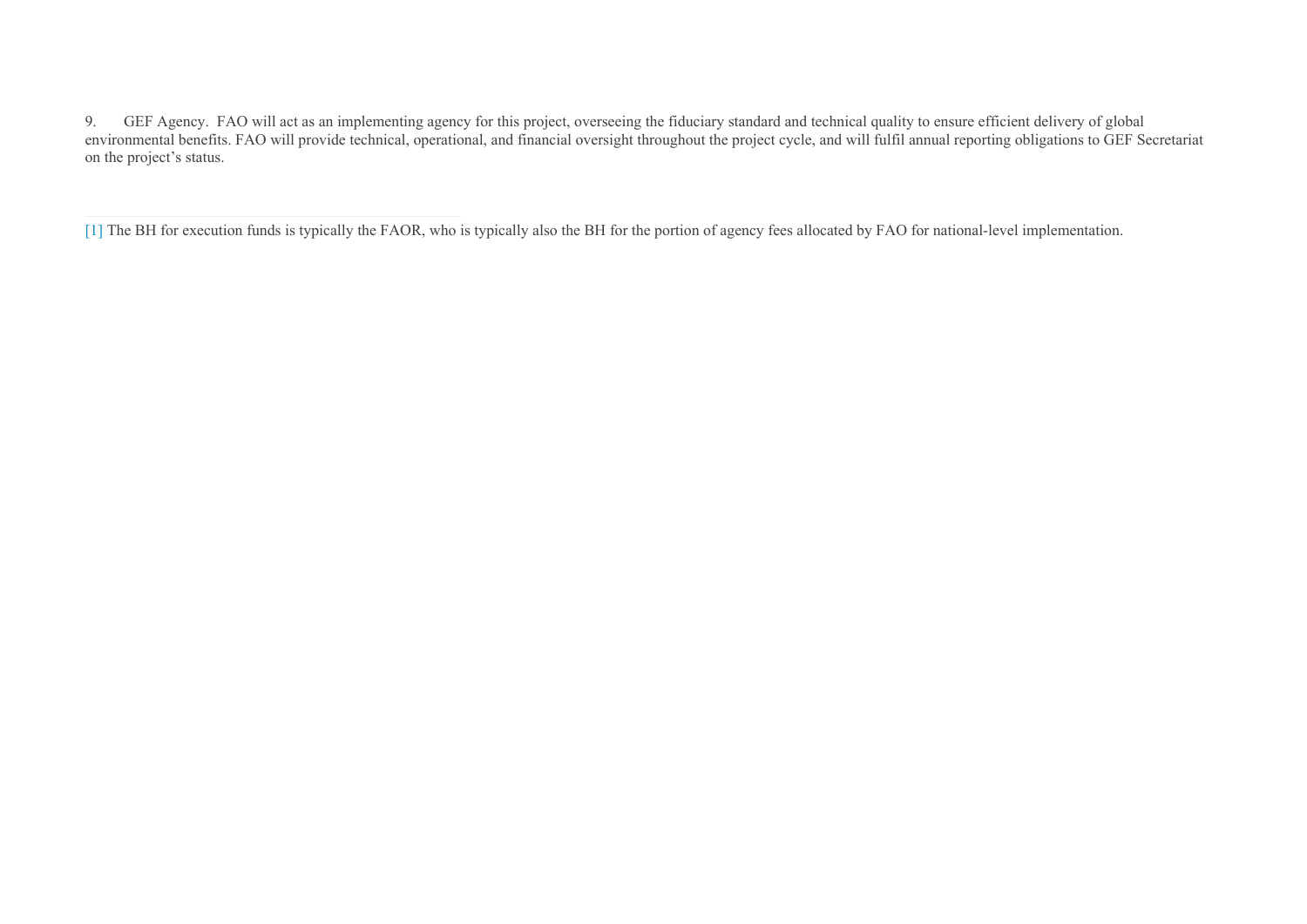9. GEF Agency. FAO will act as an implementing agency for this project, overseeing the fiduciary standard and technical quality to ensure efficient delivery of global environmental benefits. FAO will provide technical, operational, and financial oversight throughout the project cycle, and will fulfil annual reporting obligations to GEF Secretariat on the project's status.

[<sup>\[1\]</sup>](file:///C:/Users/NaitoY/GEF/Country/CBIT/5.%20Sri%20Lanka/PPG/for%20resubmission/Sri%20Lanka-GEF6-CBIT-ProDoc_CLEAN_FINAL_PPRCRevision_July2020.docx#_ftnref1) The BH for execution funds is typically the FAOR, who is typically also the BH for the portion of agency fees allocated by FAO for national-level implementation.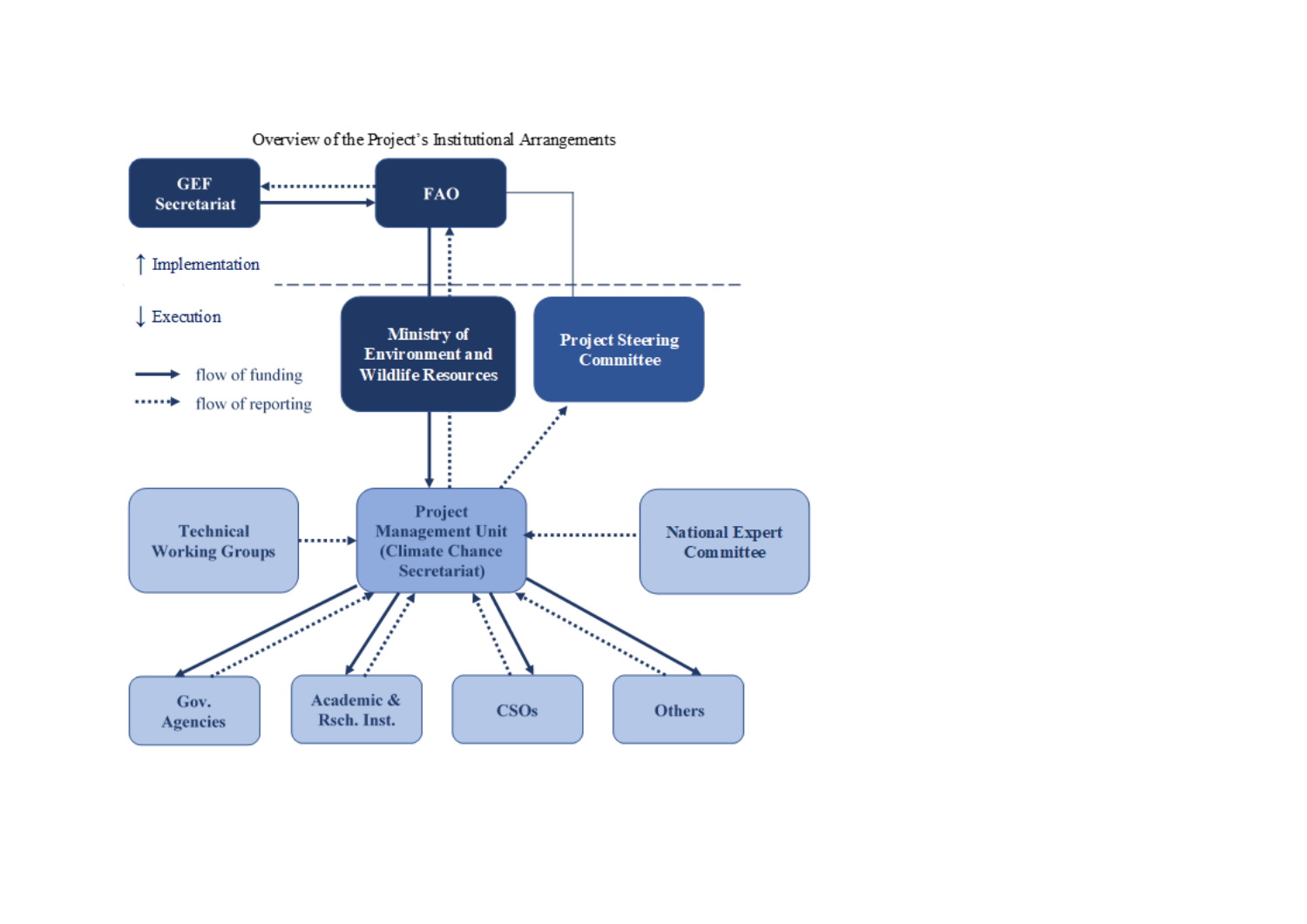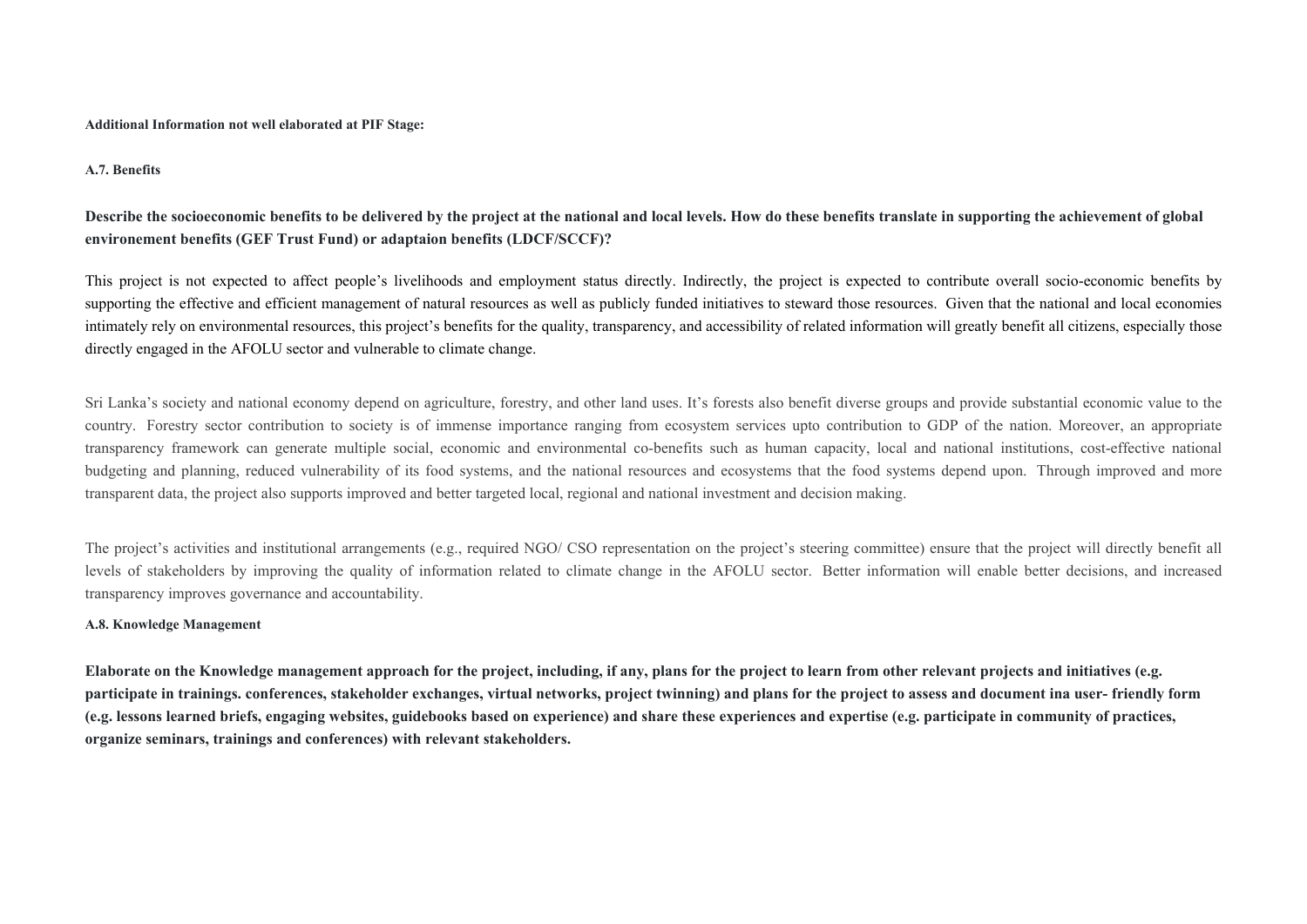**Additional Information not well elaborated at PIF Stage:**

**A.7. Benefits** 

## Describe the socioeconomic benefits to be delivered by the project at the national and local levels. How do these benefits translate in supporting the achievement of global **environement benefits (GEF Trust Fund) or adaptaion benefits (LDCF/SCCF)?**

This project is not expected to affect people's livelihoods and employment status directly. Indirectly, the project is expected to contribute overall socio-economic benefits by supporting the effective and efficient management of natural resources as well as publicly funded initiatives to steward those resources. Given that the national and local economies intimately rely on environmental resources, this project's benefits for the quality, transparency, and accessibility of related information will greatly benefit all citizens, especially those directly engaged in the AFOLU sector and vulnerable to climate change.

Sri Lanka's society and national economy depend on agriculture, forestry, and other land uses. It's forests also benefit diverse groups and provide substantial economic value to the country. Forestry sector contribution to society is of immense importance ranging from ecosystem services upto contribution to GDP of the nation. Moreover, an appropriate transparency framework can generate multiple social, economic and environmental co-benefits such as human capacity, local and national institutions, cost-effective national budgeting and planning, reduced vulnerability of its food systems, and the national resources and ecosystems that the food systems depend upon. Through improved and more transparent data, the project also supports improved and better targeted local, regional and national investment and decision making.

The project's activities and institutional arrangements (e.g., required NGO/ CSO representation on the project's steering committee) ensure that the project will directly benefit all levels of stakeholders by improving the quality of information related to climate change in the AFOLU sector. Better information will enable better decisions, and increased transparency improves governance and accountability.

### **A.8. Knowledge Management**

**Elaborate on the Knowledge management approach for the project, including, if any, plans for the project to learn from other relevant projects and initiatives (e.g. participate in trainings. conferences, stakeholder exchanges, virtual networks, project twinning) and plans for the project to assess and document ina user- friendly form (e.g. lessons learned briefs, engaging websites, guidebooks based on experience) and share these experiences and expertise (e.g. participate in community of practices, organize seminars, trainings and conferences) with relevant stakeholders.**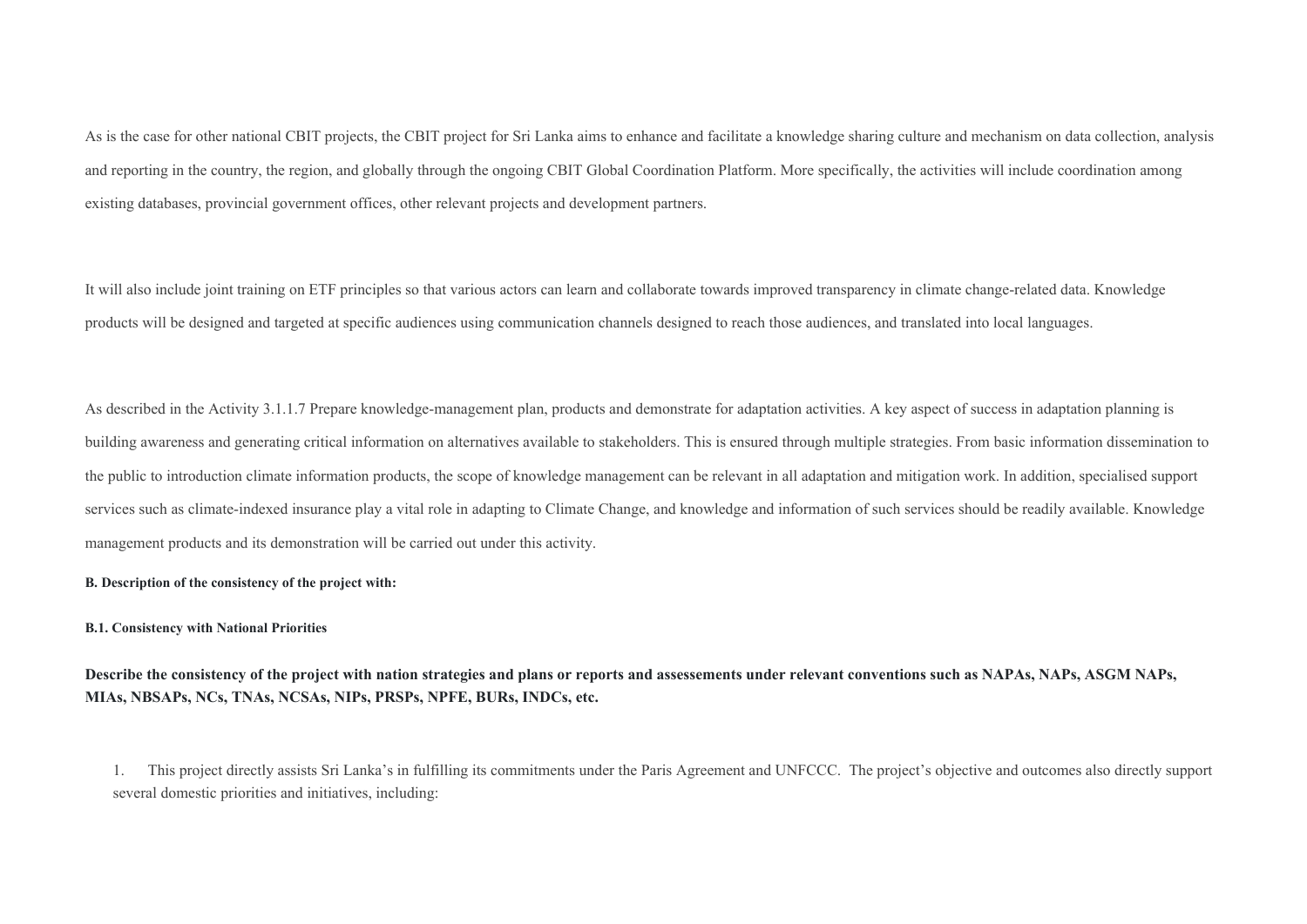As is the case for other national CBIT projects, the CBIT project for Sri Lanka aims to enhance and facilitate a knowledge sharing culture and mechanism on data collection, analysis and reporting in the country, the region, and globally through the ongoing CBIT Global Coordination Platform. More specifically, the activities will include coordination among existing databases, provincial government offices, other relevant projects and development partners.

It will also include joint training on ETF principles so that various actors can learn and collaborate towards improved transparency in climate change-related data. Knowledge products will be designed and targeted at specific audiences using communication channels designed to reach those audiences, and translated into local languages.

As described in the Activity 3.1.1.7 Prepare knowledge-management plan, products and demonstrate for adaptation activities. A key aspect of success in adaptation planning is building awareness and generating critical information on alternatives available to stakeholders. This is ensured through multiple strategies. From basic information dissemination to the public to introduction climate information products, the scope of knowledge management can be relevant in all adaptation and mitigation work. In addition, specialised support services such as climate-indexed insurance play a vital role in adapting to Climate Change, and knowledge and information of such services should be readily available. Knowledge management products and its demonstration will be carried out under this activity.

#### **B. Description of the consistency of the project with:**

#### **B.1. Consistency with National Priorities**

**Describe the consistency of the project with nation strategies and plans or reports and assessements under relevant conventions such as NAPAs, NAPs, ASGM NAPs, MIAs, NBSAPs, NCs, TNAs, NCSAs, NIPs, PRSPs, NPFE, BURs, INDCs, etc.** 

1. This project directly assists Sri Lanka's in fulfilling its commitments under the Paris Agreement and UNFCCC. The project's objective and outcomes also directly support several domestic priorities and initiatives, including: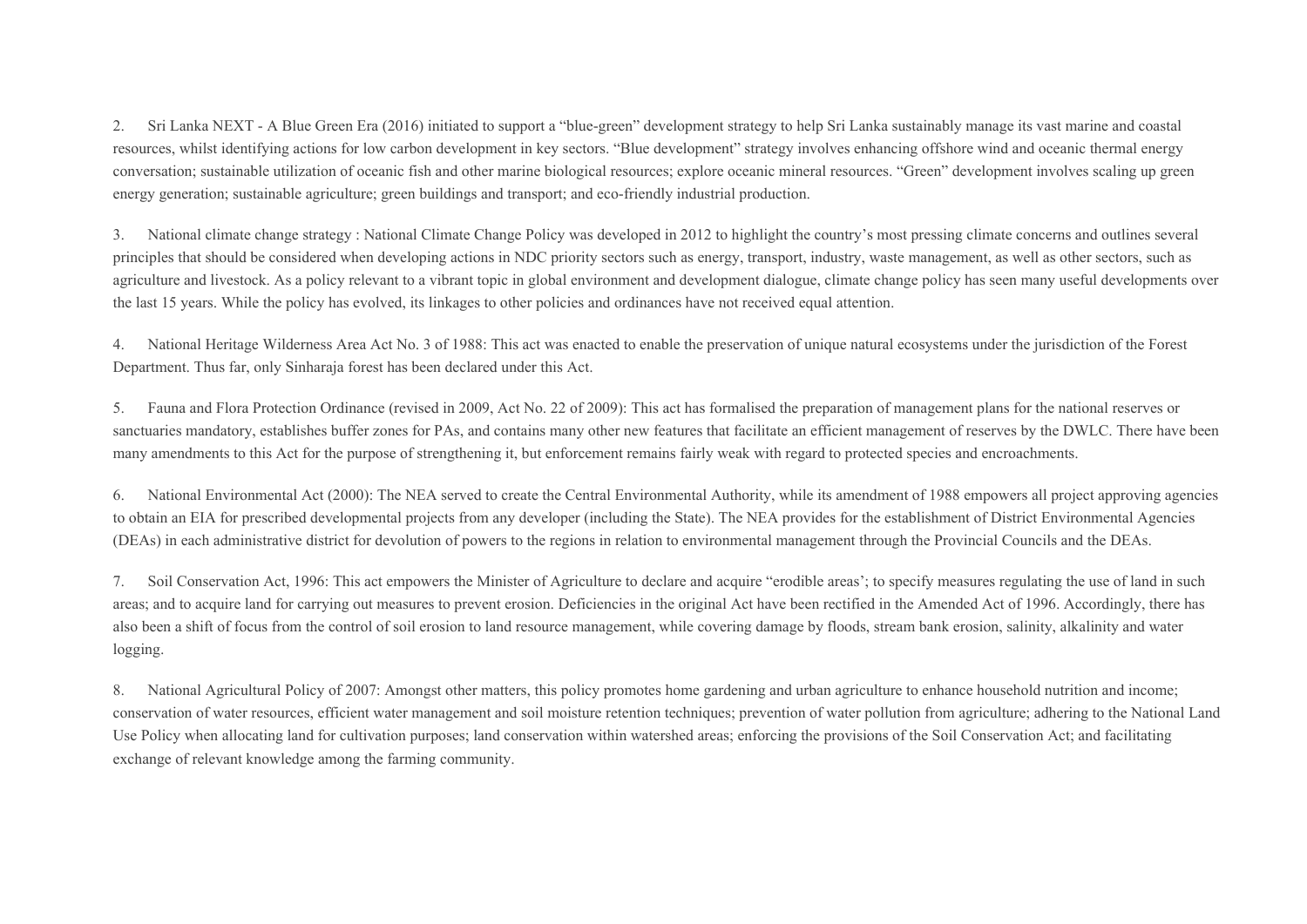2. Sri Lanka NEXT - A Blue Green Era (2016) initiated to support a "blue-green" development strategy to help Sri Lanka sustainably manage its vast marine and coastal resources, whilst identifying actions for low carbon development in key sectors. "Blue development" strategy involves enhancing offshore wind and oceanic thermal energy conversation; sustainable utilization of oceanic fish and other marine biological resources; explore oceanic mineral resources. "Green" development involves scaling up green energy generation; sustainable agriculture; green buildings and transport; and eco-friendly industrial production.

3. National climate change strategy : National Climate Change Policy was developed in 2012 to highlight the country's most pressing climate concerns and outlines several principles that should be considered when developing actions in NDC priority sectors such as energy, transport, industry, waste management, as well as other sectors, such as agriculture and livestock. As a policy relevant to a vibrant topic in global environment and development dialogue, climate change policy has seen many useful developments over the last 15 years. While the policy has evolved, its linkages to other policies and ordinances have not received equal attention.

4. National Heritage Wilderness Area Act No. 3 of 1988: This act was enacted to enable the preservation of unique natural ecosystems under the jurisdiction of the Forest Department. Thus far, only Sinharaja forest has been declared under this Act.

5. Fauna and Flora Protection Ordinance (revised in 2009, Act No. 22 of 2009): This act has formalised the preparation of management plans for the national reserves or sanctuaries mandatory, establishes buffer zones for PAs, and contains many other new features that facilitate an efficient management of reserves by the DWLC. There have been many amendments to this Act for the purpose of strengthening it, but enforcement remains fairly weak with regard to protected species and encroachments.

6. National Environmental Act (2000): The NEA served to create the Central Environmental Authority, while its amendment of 1988 empowers all project approving agencies to obtain an EIA for prescribed developmental projects from any developer (including the State). The NEA provides for the establishment of District Environmental Agencies (DEAs) in each administrative district for devolution of powers to the regions in relation to environmental management through the Provincial Councils and the DEAs.

7. Soil Conservation Act, 1996: This act empowers the Minister of Agriculture to declare and acquire "erodible areas'; to specify measures regulating the use of land in such areas; and to acquire land for carrying out measures to prevent erosion. Deficiencies in the original Act have been rectified in the Amended Act of 1996. Accordingly, there has also been a shift of focus from the control of soil erosion to land resource management, while covering damage by floods, stream bank erosion, salinity, alkalinity and water logging.

8. National Agricultural Policy of 2007: Amongst other matters, this policy promotes home gardening and urban agriculture to enhance household nutrition and income; conservation of water resources, efficient water management and soil moisture retention techniques; prevention of water pollution from agriculture; adhering to the National Land Use Policy when allocating land for cultivation purposes; land conservation within watershed areas; enforcing the provisions of the Soil Conservation Act; and facilitating exchange of relevant knowledge among the farming community.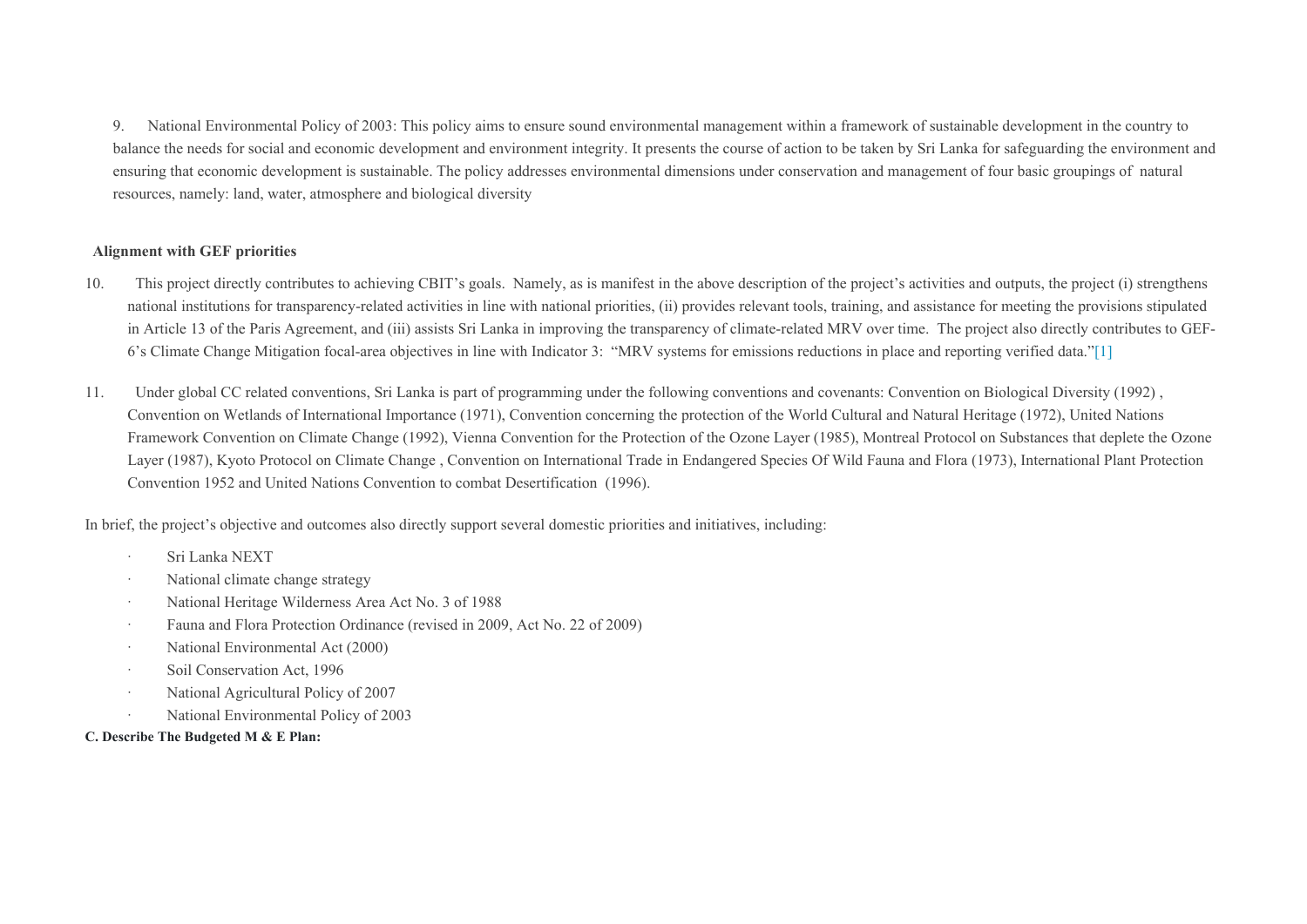9. National Environmental Policy of 2003: This policy aims to ensure sound environmental management within a framework of sustainable development in the country to balance the needs for social and economic development and environment integrity. It presents the course of action to be taken by Sri Lanka for safeguarding the environment and ensuring that economic development is sustainable. The policy addresses environmental dimensions under conservation and management of four basic groupings of natural resources, namely: land, water, atmosphere and biological diversity

### **Alignment with GEF priorities**

- 10. This project directly contributes to achieving CBIT's goals. Namely, as is manifest in the above description of the project's activities and outputs, the project (i) strengthens national institutions for transparency-related activities in line with national priorities, (ii) provides relevant tools, training, and assistance for meeting the provisions stipulated in Article 13 of the Paris Agreement, and (iii) assists Sri Lanka in improving the transparency of climate-related MRV over time. The project also directly contributes to GEF-6's Climate Change Mitigation focal-area objectives in line with Indicator 3: "MRV systems for emissions reductions in place and reporting verified data."[\[1\]](file:///C:/Users/VICARIO.FAODOMAIN/AppData/Local/Microsoft/Windows/Temporary%20Internet%20Files/Content.Outlook/95PSWSNZ/Sri%20Lanka-GEF6-CBIT-ProDoc_May2019%20(003).docx#_ftn1)
- 11. Under global CC related conventions, Sri Lanka is part of programming under the following conventions and covenants: Convention on Biological Diversity (1992) , Convention on Wetlands of International Importance (1971), Convention concerning the protection of the World Cultural and Natural Heritage (1972), United Nations Framework Convention on Climate Change (1992), Vienna Convention for the Protection of the Ozone Layer (1985), Montreal Protocol on Substances that deplete the Ozone Layer (1987), Kyoto Protocol on Climate Change , Convention on International Trade in Endangered Species Of Wild Fauna and Flora (1973), International Plant Protection Convention 1952 and United Nations Convention to combat Desertification (1996).

In brief, the project's objective and outcomes also directly support several domestic priorities and initiatives, including:

- · Sri Lanka NEXT
- · National climate change strategy
- · National Heritage Wilderness Area Act No. 3 of 1988
- · Fauna and Flora Protection Ordinance (revised in 2009, Act No. 22 of 2009)
- · National Environmental Act (2000)
- · Soil Conservation Act, 1996
- · National Agricultural Policy of 2007
- · National Environmental Policy of 2003

## **C. Describe The Budgeted M & E Plan:**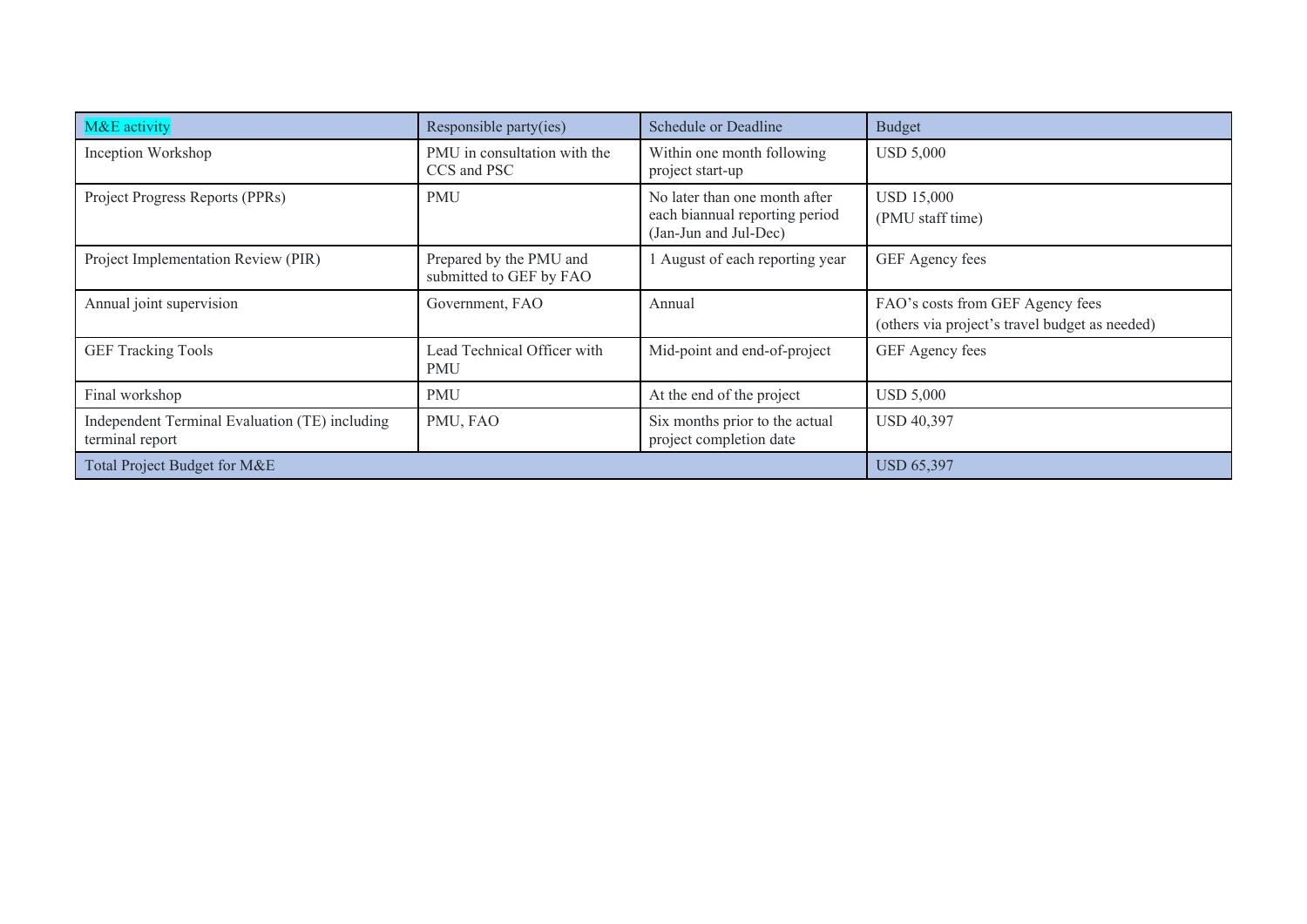| M&E activity                                                      | Responsible party(ies)                             | <b>Schedule or Deadline</b>                                                              | <b>Budget</b>                                                                      |
|-------------------------------------------------------------------|----------------------------------------------------|------------------------------------------------------------------------------------------|------------------------------------------------------------------------------------|
| Inception Workshop                                                | PMU in consultation with the<br>CCS and PSC        | Within one month following<br>project start-up                                           | <b>USD 5,000</b>                                                                   |
| Project Progress Reports (PPRs)                                   | <b>PMU</b>                                         | No later than one month after<br>each biannual reporting period<br>(Jan-Jun and Jul-Dec) | <b>USD 15,000</b><br>(PMU staff time)                                              |
| Project Implementation Review (PIR)                               | Prepared by the PMU and<br>submitted to GEF by FAO | 1 August of each reporting year                                                          | GEF Agency fees                                                                    |
| Annual joint supervision                                          | Government, FAO                                    | Annual                                                                                   | FAO's costs from GEF Agency fees<br>(others via project's travel budget as needed) |
| <b>GEF Tracking Tools</b>                                         | Lead Technical Officer with<br>PMU                 | Mid-point and end-of-project                                                             | GEF Agency fees                                                                    |
| Final workshop                                                    | <b>PMU</b>                                         | At the end of the project                                                                | USD 5,000                                                                          |
| Independent Terminal Evaluation (TE) including<br>terminal report | PMU, FAO                                           | Six months prior to the actual<br>project completion date                                | <b>USD 40,397</b>                                                                  |
| Total Project Budget for M&E                                      |                                                    |                                                                                          | <b>USD 65,397</b>                                                                  |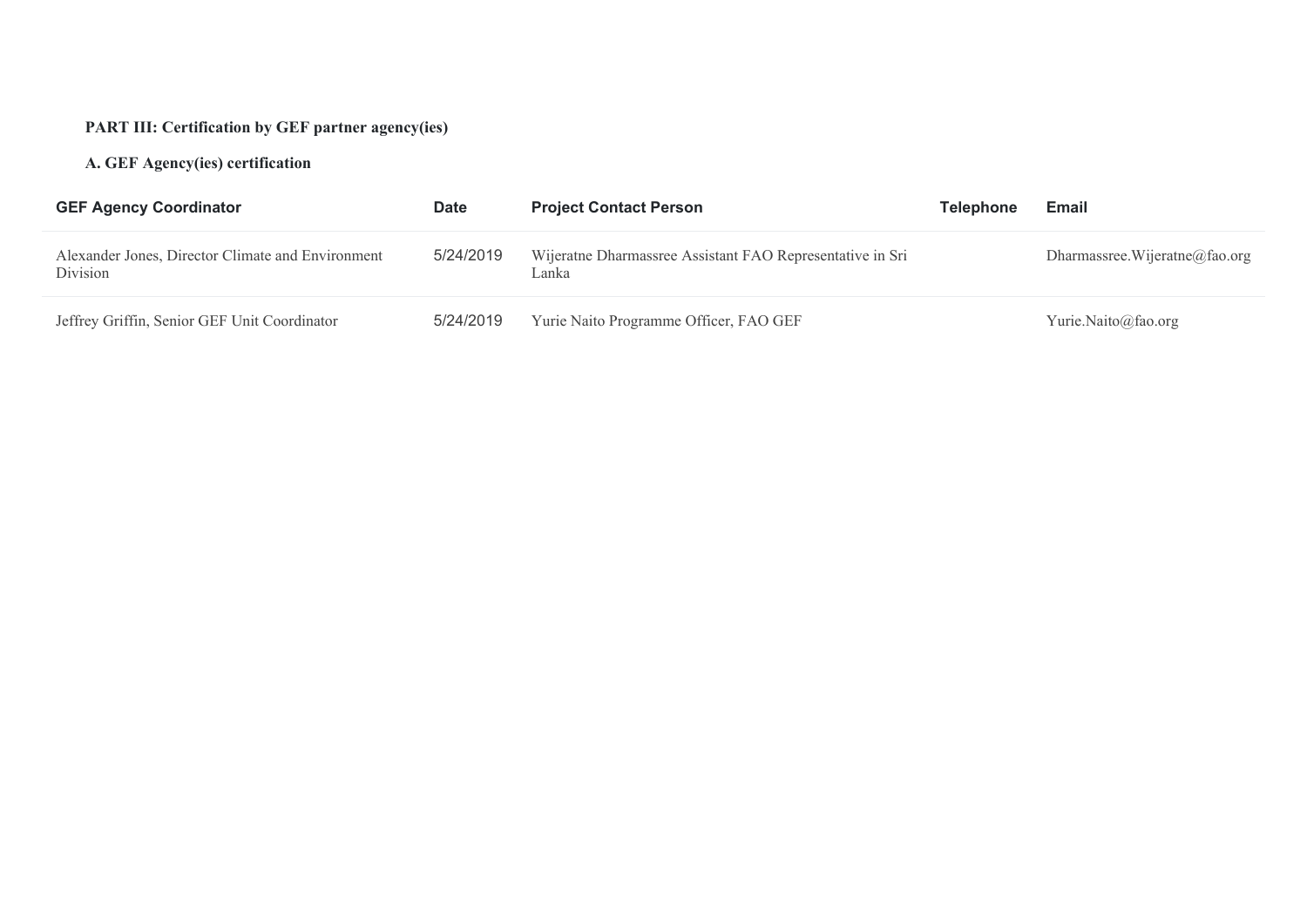# **PART III: Certification by GEF partner agency(ies)**

# **A. GEF Agency(ies) certification**

| <b>GEF Agency Coordinator</b>                                 | <b>Date</b> | <b>Project Contact Person</b>                                      | <b>Telephone</b> | Email                          |
|---------------------------------------------------------------|-------------|--------------------------------------------------------------------|------------------|--------------------------------|
| Alexander Jones, Director Climate and Environment<br>Division | 5/24/2019   | Wijeratne Dharmassree Assistant FAO Representative in Sri<br>Lanka |                  | Dharmassree. Wijeratne@fao.org |
| Jeffrey Griffin, Senior GEF Unit Coordinator                  | 5/24/2019   | Yurie Naito Programme Officer, FAO GEF                             |                  | Yurie.Naito@fao.org            |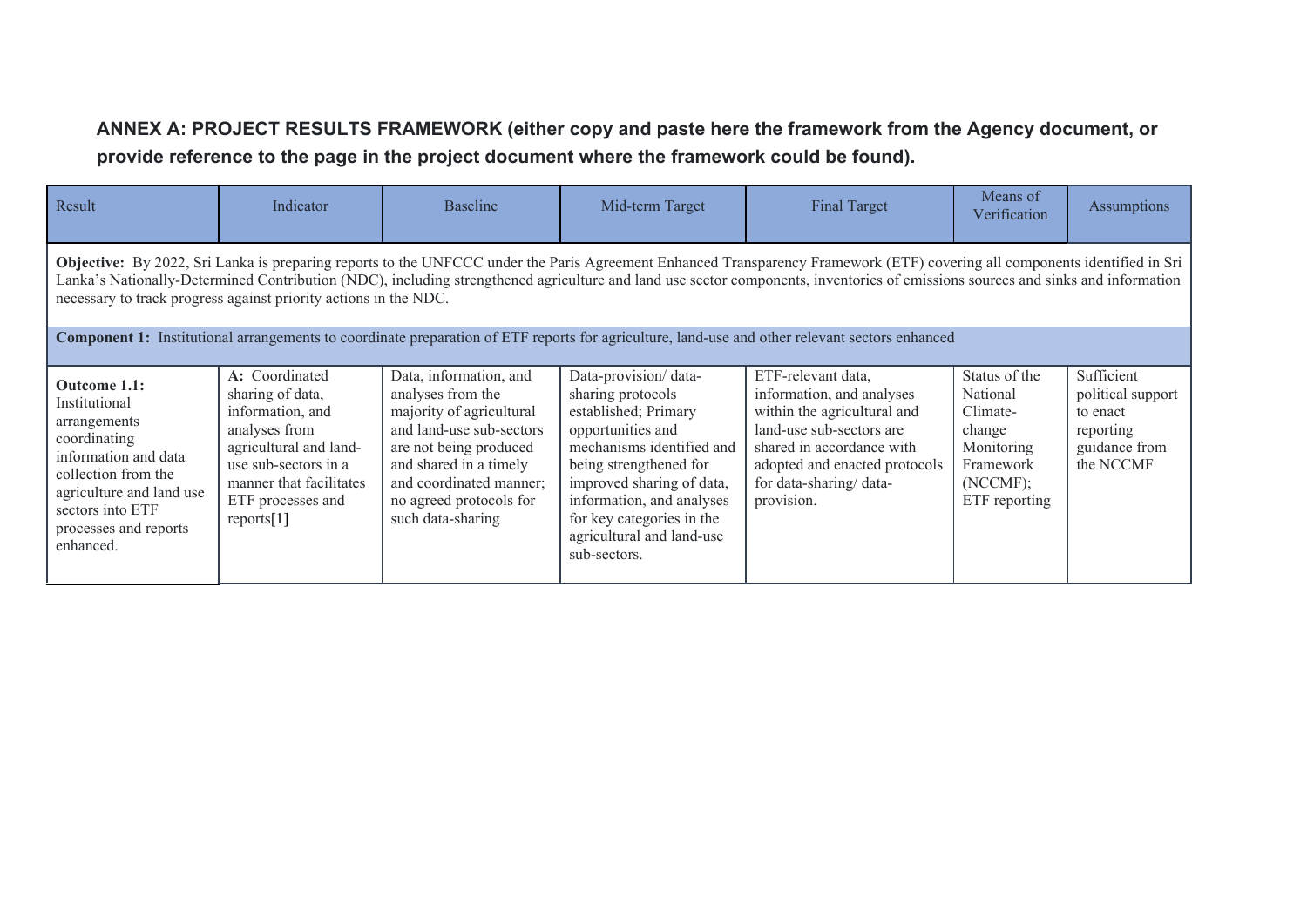# **ANNEX A: PROJECT RESULTS FRAMEWORK (either copy and paste here the framework from the Agency document, or provide reference to the page in the project document where the framework could be found).**

| Result                                                                                                                                                                                                                                                                                                                                                                                                                            | Indicator                                                                                                                                                                                  | <b>Baseline</b>                                                                                                                                                                                                                    | Mid-term Target                                                                                                                                                                                                                                                                   | <b>Final Target</b>                                                                                                                                                                                              | Means of<br>Verification                                                                                | Assumptions                                                                            |
|-----------------------------------------------------------------------------------------------------------------------------------------------------------------------------------------------------------------------------------------------------------------------------------------------------------------------------------------------------------------------------------------------------------------------------------|--------------------------------------------------------------------------------------------------------------------------------------------------------------------------------------------|------------------------------------------------------------------------------------------------------------------------------------------------------------------------------------------------------------------------------------|-----------------------------------------------------------------------------------------------------------------------------------------------------------------------------------------------------------------------------------------------------------------------------------|------------------------------------------------------------------------------------------------------------------------------------------------------------------------------------------------------------------|---------------------------------------------------------------------------------------------------------|----------------------------------------------------------------------------------------|
| Objective: By 2022, Sri Lanka is preparing reports to the UNFCCC under the Paris Agreement Enhanced Transparency Framework (ETF) covering all components identified in Sri<br>Lanka's Nationally-Determined Contribution (NDC), including strengthened agriculture and land use sector components, inventories of emissions sources and sinks and information<br>necessary to track progress against priority actions in the NDC. |                                                                                                                                                                                            |                                                                                                                                                                                                                                    |                                                                                                                                                                                                                                                                                   |                                                                                                                                                                                                                  |                                                                                                         |                                                                                        |
|                                                                                                                                                                                                                                                                                                                                                                                                                                   |                                                                                                                                                                                            |                                                                                                                                                                                                                                    |                                                                                                                                                                                                                                                                                   | Component 1: Institutional arrangements to coordinate preparation of ETF reports for agriculture, land-use and other relevant sectors enhanced                                                                   |                                                                                                         |                                                                                        |
| Outcome 1.1:<br>Institutional<br>arrangements<br>coordinating<br>information and data<br>collection from the<br>agriculture and land use<br>sectors into ETF<br>processes and reports<br>enhanced.                                                                                                                                                                                                                                | A: Coordinated<br>sharing of data,<br>information, and<br>analyses from<br>agricultural and land-<br>use sub-sectors in a<br>manner that facilitates<br>ETF processes and<br>reports $[1]$ | Data, information, and<br>analyses from the<br>majority of agricultural<br>and land-use sub-sectors<br>are not being produced<br>and shared in a timely<br>and coordinated manner;<br>no agreed protocols for<br>such data-sharing | Data-provision/data-<br>sharing protocols<br>established; Primary<br>opportunities and<br>mechanisms identified and<br>being strengthened for<br>improved sharing of data,<br>information, and analyses<br>for key categories in the<br>agricultural and land-use<br>sub-sectors. | ETF-relevant data,<br>information, and analyses<br>within the agricultural and<br>land-use sub-sectors are<br>shared in accordance with<br>adopted and enacted protocols<br>for data-sharing/data-<br>provision. | Status of the<br>National<br>Climate-<br>change<br>Monitoring<br>Framework<br>(NCCMF);<br>ETF reporting | Sufficient<br>political support<br>to enact<br>reporting<br>guidance from<br>the NCCMF |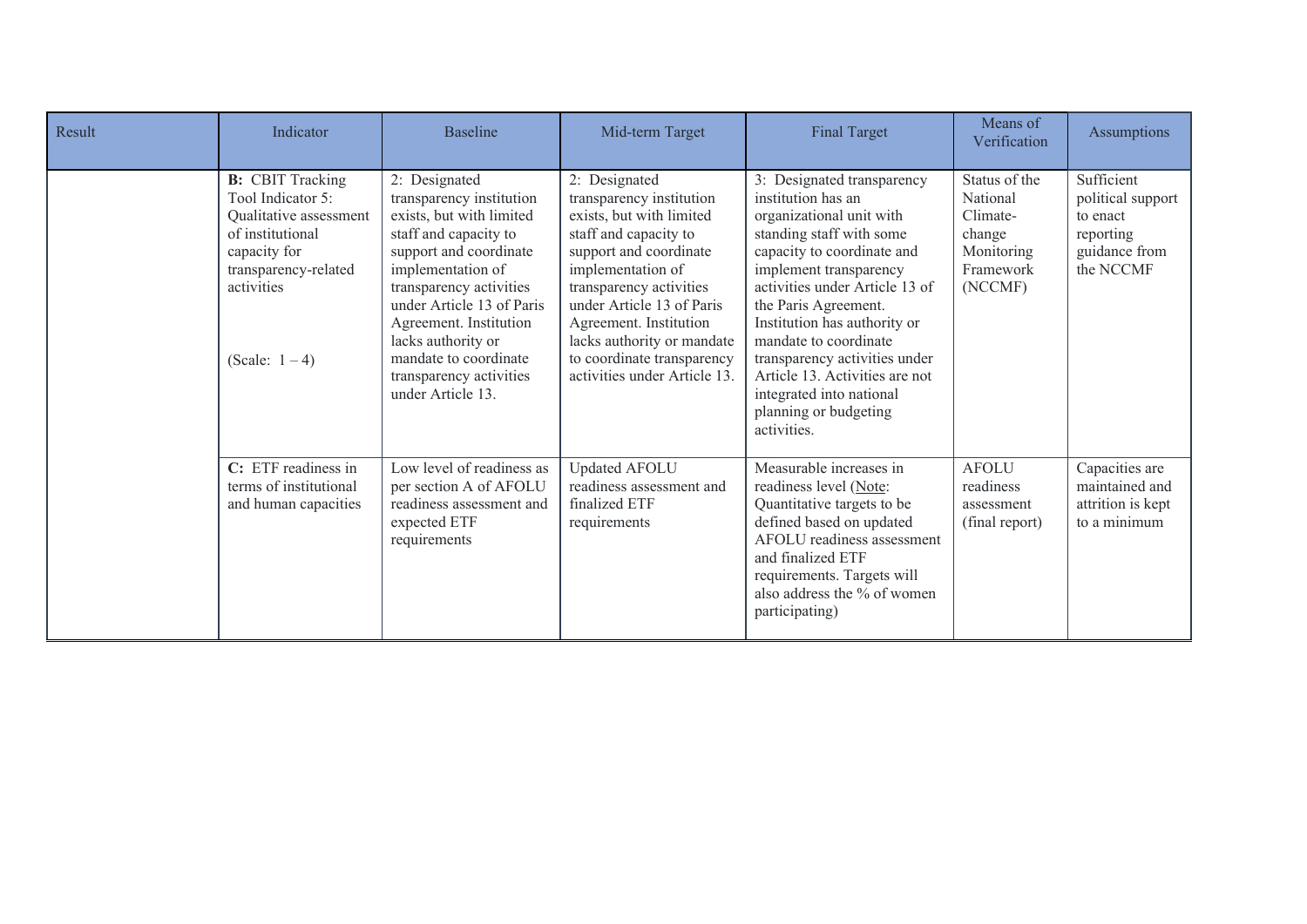| Result | Indicator                                                                                                                                                             | <b>Baseline</b>                                                                                                                                                                                                                                                                                                                | Mid-term Target                                                                                                                                                                                                                                                                                                             | <b>Final Target</b>                                                                                                                                                                                                                                                                                                                                                                                                        | Means of<br>Verification                                                              | Assumptions                                                                            |
|--------|-----------------------------------------------------------------------------------------------------------------------------------------------------------------------|--------------------------------------------------------------------------------------------------------------------------------------------------------------------------------------------------------------------------------------------------------------------------------------------------------------------------------|-----------------------------------------------------------------------------------------------------------------------------------------------------------------------------------------------------------------------------------------------------------------------------------------------------------------------------|----------------------------------------------------------------------------------------------------------------------------------------------------------------------------------------------------------------------------------------------------------------------------------------------------------------------------------------------------------------------------------------------------------------------------|---------------------------------------------------------------------------------------|----------------------------------------------------------------------------------------|
|        | <b>B:</b> CBIT Tracking<br>Tool Indicator 5:<br>Qualitative assessment<br>of institutional<br>capacity for<br>transparency-related<br>activities<br>(Scale: $1 - 4$ ) | 2: Designated<br>transparency institution<br>exists, but with limited<br>staff and capacity to<br>support and coordinate<br>implementation of<br>transparency activities<br>under Article 13 of Paris<br>Agreement. Institution<br>lacks authority or<br>mandate to coordinate<br>transparency activities<br>under Article 13. | 2: Designated<br>transparency institution<br>exists, but with limited<br>staff and capacity to<br>support and coordinate<br>implementation of<br>transparency activities<br>under Article 13 of Paris<br>Agreement. Institution<br>lacks authority or mandate<br>to coordinate transparency<br>activities under Article 13. | 3: Designated transparency<br>institution has an<br>organizational unit with<br>standing staff with some<br>capacity to coordinate and<br>implement transparency<br>activities under Article 13 of<br>the Paris Agreement.<br>Institution has authority or<br>mandate to coordinate<br>transparency activities under<br>Article 13. Activities are not<br>integrated into national<br>planning or budgeting<br>activities. | Status of the<br>National<br>Climate-<br>change<br>Monitoring<br>Framework<br>(NCCMF) | Sufficient<br>political support<br>to enact<br>reporting<br>guidance from<br>the NCCMF |
|        | C: ETF readiness in<br>terms of institutional<br>and human capacities                                                                                                 | Low level of readiness as<br>per section A of AFOLU<br>readiness assessment and<br>expected ETF<br>requirements                                                                                                                                                                                                                | <b>Updated AFOLU</b><br>readiness assessment and<br>finalized ETF<br>requirements                                                                                                                                                                                                                                           | Measurable increases in<br>readiness level (Note:<br>Quantitative targets to be<br>defined based on updated<br>AFOLU readiness assessment<br>and finalized ETF<br>requirements. Targets will<br>also address the % of women<br>participating)                                                                                                                                                                              | <b>AFOLU</b><br>readiness<br>assessment<br>(final report)                             | Capacities are<br>maintained and<br>attrition is kept<br>to a minimum                  |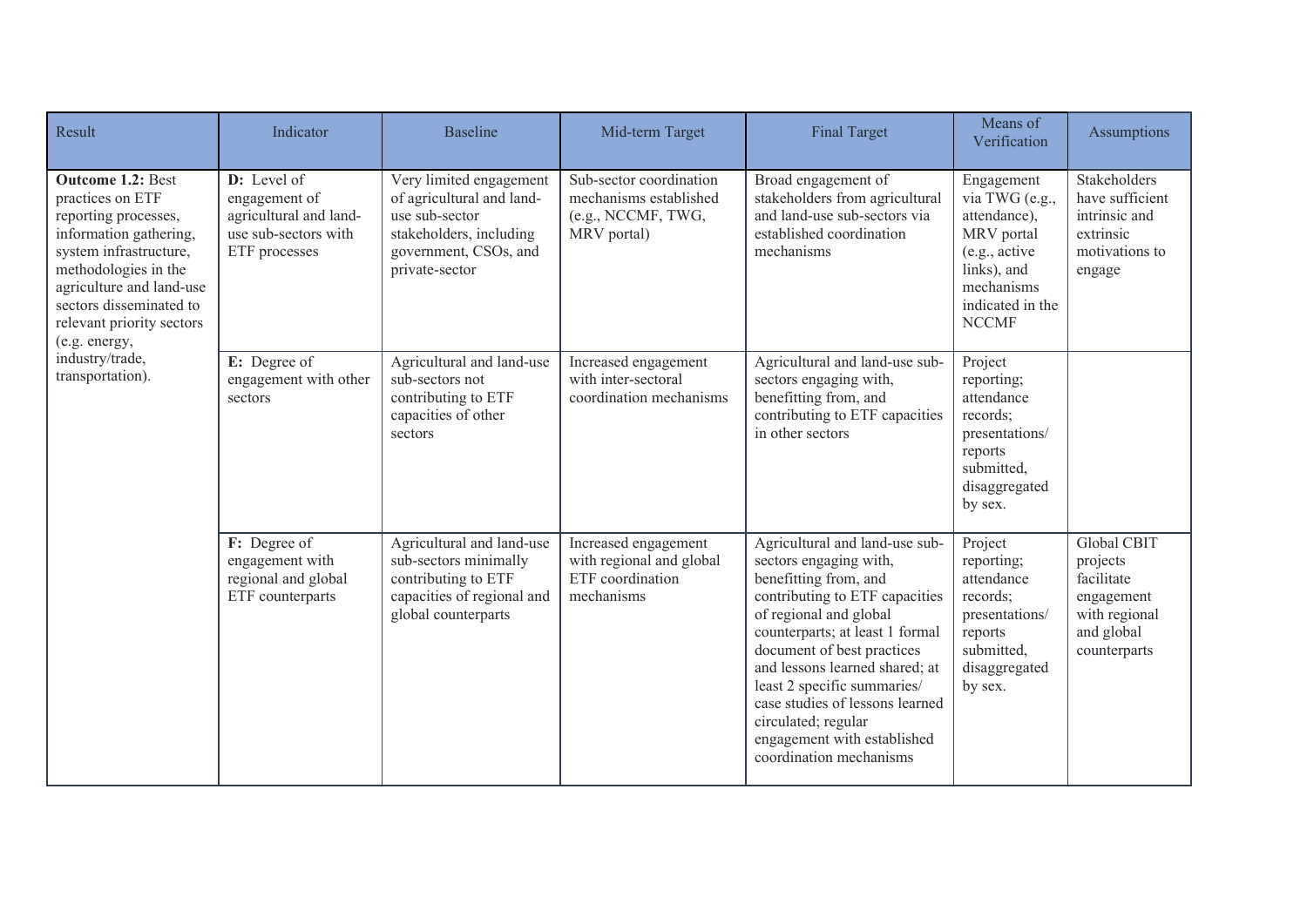| Result                                                                                                                                                                                                                                                                                       | Indicator                                                                                       | <b>Baseline</b>                                                                                                                              | Mid-term Target                                                                        | <b>Final Target</b>                                                                                                                                                                                                                                                                                                                                                                                 | Means of<br>Verification                                                                                                                     | <b>Assumptions</b>                                                                                 |
|----------------------------------------------------------------------------------------------------------------------------------------------------------------------------------------------------------------------------------------------------------------------------------------------|-------------------------------------------------------------------------------------------------|----------------------------------------------------------------------------------------------------------------------------------------------|----------------------------------------------------------------------------------------|-----------------------------------------------------------------------------------------------------------------------------------------------------------------------------------------------------------------------------------------------------------------------------------------------------------------------------------------------------------------------------------------------------|----------------------------------------------------------------------------------------------------------------------------------------------|----------------------------------------------------------------------------------------------------|
| <b>Outcome 1.2: Best</b><br>practices on ETF<br>reporting processes,<br>information gathering,<br>system infrastructure,<br>methodologies in the<br>agriculture and land-use<br>sectors disseminated to<br>relevant priority sectors<br>(e.g. energy,<br>industry/trade,<br>transportation). | D: Level of<br>engagement of<br>agricultural and land-<br>use sub-sectors with<br>ETF processes | Very limited engagement<br>of agricultural and land-<br>use sub-sector<br>stakeholders, including<br>government, CSOs, and<br>private-sector | Sub-sector coordination<br>mechanisms established<br>(e.g., NCCMF, TWG,<br>MRV portal) | Broad engagement of<br>stakeholders from agricultural<br>and land-use sub-sectors via<br>established coordination<br>mechanisms                                                                                                                                                                                                                                                                     | Engagement<br>via TWG (e.g.,<br>attendance),<br>MRV portal<br>(e.g., active<br>links), and<br>mechanisms<br>indicated in the<br><b>NCCMF</b> | Stakeholders<br>have sufficient<br>intrinsic and<br>extrinsic<br>motivations to<br>engage          |
|                                                                                                                                                                                                                                                                                              | E: Degree of<br>engagement with other<br>sectors                                                | Agricultural and land-use<br>sub-sectors not<br>contributing to ETF<br>capacities of other<br>sectors                                        | Increased engagement<br>with inter-sectoral<br>coordination mechanisms                 | Agricultural and land-use sub-<br>sectors engaging with,<br>benefitting from, and<br>contributing to ETF capacities<br>in other sectors                                                                                                                                                                                                                                                             | Project<br>reporting;<br>attendance<br>records;<br>presentations/<br>reports<br>submitted,<br>disaggregated<br>by sex.                       |                                                                                                    |
|                                                                                                                                                                                                                                                                                              | F: Degree of<br>engagement with<br>regional and global<br>ETF counterparts                      | Agricultural and land-use<br>sub-sectors minimally<br>contributing to ETF<br>capacities of regional and<br>global counterparts               | Increased engagement<br>with regional and global<br>ETF coordination<br>mechanisms     | Agricultural and land-use sub-<br>sectors engaging with,<br>benefitting from, and<br>contributing to ETF capacities<br>of regional and global<br>counterparts; at least 1 formal<br>document of best practices<br>and lessons learned shared; at<br>least 2 specific summaries/<br>case studies of lessons learned<br>circulated; regular<br>engagement with established<br>coordination mechanisms | Project<br>reporting;<br>attendance<br>records;<br>presentations/<br>reports<br>submitted,<br>disaggregated<br>by sex.                       | Global CBIT<br>projects<br>facilitate<br>engagement<br>with regional<br>and global<br>counterparts |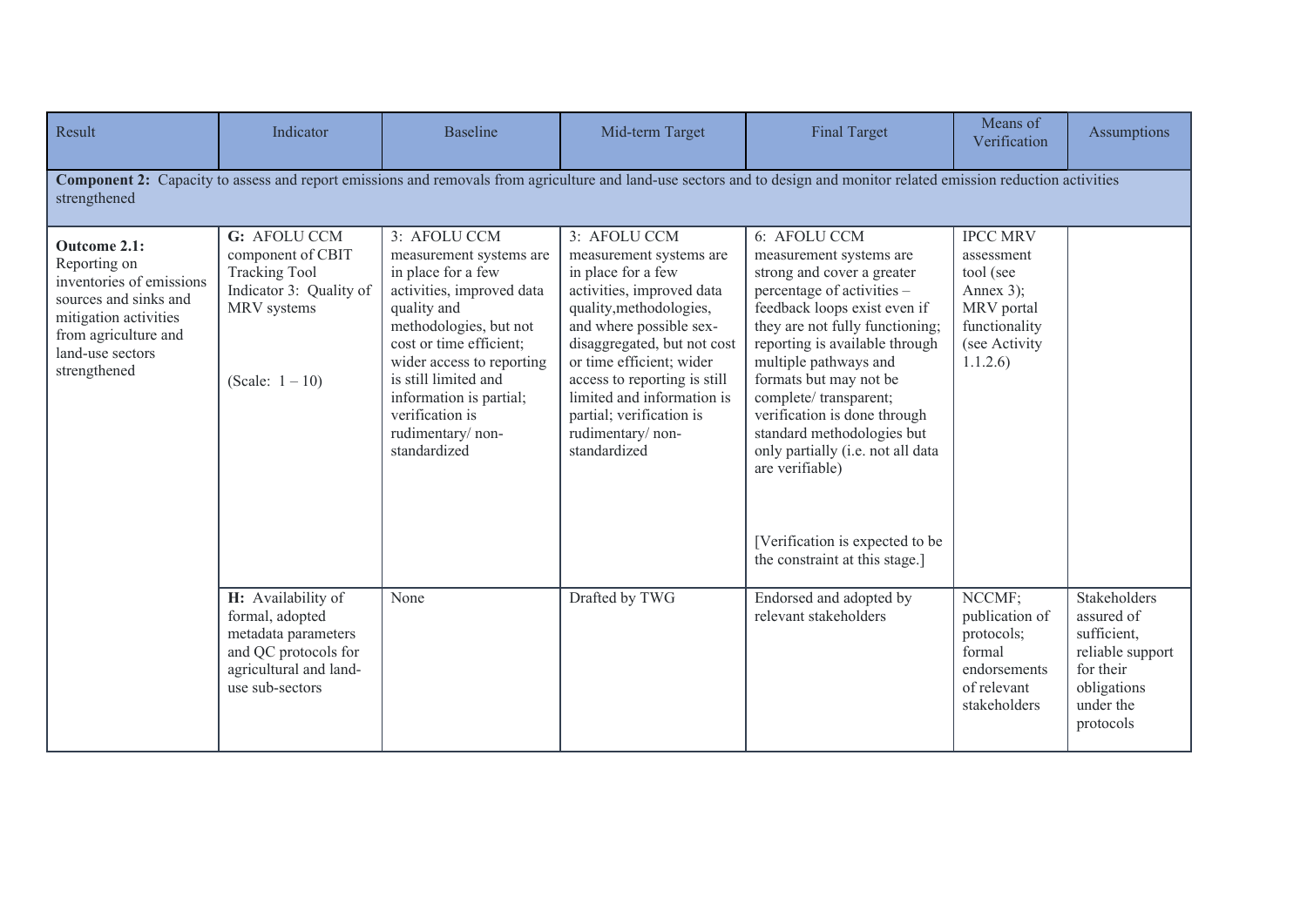| Result                                                                                                                                                                 | Indicator                                                                                                                         | <b>Baseline</b>                                                                                                                                                                                                                                                                                       | Mid-term Target                                                                                                                                                                                                                                                                                                                           | <b>Final Target</b>                                                                                                                                                                                                                                                                                                                                                                                                                                                             | Means of<br>Verification                                                                                             | Assumptions                                                                                                         |
|------------------------------------------------------------------------------------------------------------------------------------------------------------------------|-----------------------------------------------------------------------------------------------------------------------------------|-------------------------------------------------------------------------------------------------------------------------------------------------------------------------------------------------------------------------------------------------------------------------------------------------------|-------------------------------------------------------------------------------------------------------------------------------------------------------------------------------------------------------------------------------------------------------------------------------------------------------------------------------------------|---------------------------------------------------------------------------------------------------------------------------------------------------------------------------------------------------------------------------------------------------------------------------------------------------------------------------------------------------------------------------------------------------------------------------------------------------------------------------------|----------------------------------------------------------------------------------------------------------------------|---------------------------------------------------------------------------------------------------------------------|
| strengthened                                                                                                                                                           |                                                                                                                                   |                                                                                                                                                                                                                                                                                                       |                                                                                                                                                                                                                                                                                                                                           | <b>Component 2:</b> Capacity to assess and report emissions and removals from agriculture and land-use sectors and to design and monitor related emission reduction activities                                                                                                                                                                                                                                                                                                  |                                                                                                                      |                                                                                                                     |
| Outcome 2.1:<br>Reporting on<br>inventories of emissions<br>sources and sinks and<br>mitigation activities<br>from agriculture and<br>land-use sectors<br>strengthened | G: AFOLU CCM<br>component of CBIT<br><b>Tracking Tool</b><br>Indicator 3: Quality of<br>MRV systems<br>(Scale: $1 - 10$ )         | 3: AFOLU CCM<br>measurement systems are<br>in place for a few<br>activities, improved data<br>quality and<br>methodologies, but not<br>cost or time efficient;<br>wider access to reporting<br>is still limited and<br>information is partial;<br>verification is<br>rudimentary/non-<br>standardized | 3: AFOLU CCM<br>measurement systems are<br>in place for a few<br>activities, improved data<br>quality, methodologies,<br>and where possible sex-<br>disaggregated, but not cost<br>or time efficient; wider<br>access to reporting is still<br>limited and information is<br>partial; verification is<br>rudimentary/non-<br>standardized | 6: AFOLU CCM<br>measurement systems are<br>strong and cover a greater<br>percentage of activities -<br>feedback loops exist even if<br>they are not fully functioning;<br>reporting is available through<br>multiple pathways and<br>formats but may not be<br>complete/transparent;<br>verification is done through<br>standard methodologies but<br>only partially (i.e. not all data<br>are verifiable)<br>[Verification is expected to be<br>the constraint at this stage.] | <b>IPCC MRV</b><br>assessment<br>tool (see<br>Annex $3$ ;<br>MRV portal<br>functionality<br>(see Activity<br>1.1.2.6 |                                                                                                                     |
|                                                                                                                                                                        | H: Availability of<br>formal, adopted<br>metadata parameters<br>and QC protocols for<br>agricultural and land-<br>use sub-sectors | None                                                                                                                                                                                                                                                                                                  | Drafted by TWG                                                                                                                                                                                                                                                                                                                            | Endorsed and adopted by<br>relevant stakeholders                                                                                                                                                                                                                                                                                                                                                                                                                                | NCCMF;<br>publication of<br>protocols;<br>formal<br>endorsements<br>of relevant<br>stakeholders                      | Stakeholders<br>assured of<br>sufficient,<br>reliable support<br>for their<br>obligations<br>under the<br>protocols |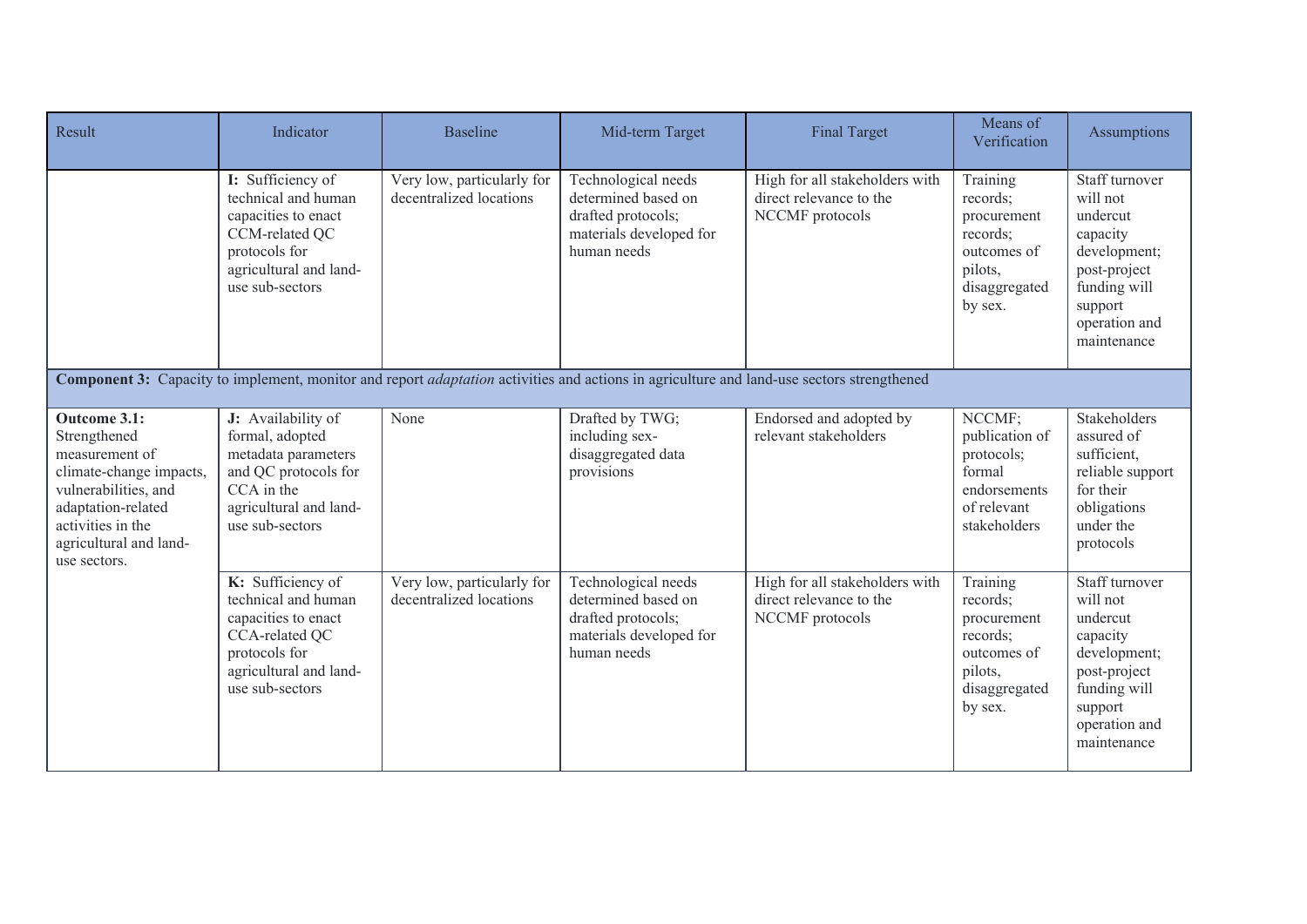| Result                                                                                                                                                                                 | Indicator                                                                                                                                       | <b>Baseline</b>                                       | Mid-term Target                                                                                            | <b>Final Target</b>                                                                                                                                     | Means of<br>Verification                                                                              | <b>Assumptions</b>                                                                                                                            |
|----------------------------------------------------------------------------------------------------------------------------------------------------------------------------------------|-------------------------------------------------------------------------------------------------------------------------------------------------|-------------------------------------------------------|------------------------------------------------------------------------------------------------------------|---------------------------------------------------------------------------------------------------------------------------------------------------------|-------------------------------------------------------------------------------------------------------|-----------------------------------------------------------------------------------------------------------------------------------------------|
|                                                                                                                                                                                        | I: Sufficiency of<br>technical and human<br>capacities to enact<br>CCM-related QC<br>protocols for<br>agricultural and land-<br>use sub-sectors | Very low, particularly for<br>decentralized locations | Technological needs<br>determined based on<br>drafted protocols;<br>materials developed for<br>human needs | High for all stakeholders with<br>direct relevance to the<br>NCCMF protocols                                                                            | Training<br>records;<br>procurement<br>records;<br>outcomes of<br>pilots,<br>disaggregated<br>by sex. | Staff turnover<br>will not<br>undercut<br>capacity<br>development;<br>post-project<br>funding will<br>support<br>operation and<br>maintenance |
|                                                                                                                                                                                        |                                                                                                                                                 |                                                       |                                                                                                            | <b>Component 3:</b> Capacity to implement, monitor and report <i>adaptation</i> activities and actions in agriculture and land-use sectors strengthened |                                                                                                       |                                                                                                                                               |
| Outcome 3.1:<br>Strengthened<br>measurement of<br>climate-change impacts,<br>vulnerabilities, and<br>adaptation-related<br>activities in the<br>agricultural and land-<br>use sectors. | J: Availability of<br>formal, adopted<br>metadata parameters<br>and QC protocols for<br>CCA in the<br>agricultural and land-<br>use sub-sectors | None                                                  | Drafted by TWG;<br>including sex-<br>disaggregated data<br>provisions                                      | Endorsed and adopted by<br>relevant stakeholders                                                                                                        | NCCMF;<br>publication of<br>protocols;<br>formal<br>endorsements<br>of relevant<br>stakeholders       | Stakeholders<br>assured of<br>sufficient,<br>reliable support<br>for their<br>obligations<br>under the<br>protocols                           |
|                                                                                                                                                                                        | K: Sufficiency of<br>technical and human<br>capacities to enact<br>CCA-related QC<br>protocols for<br>agricultural and land-<br>use sub-sectors | Very low, particularly for<br>decentralized locations | Technological needs<br>determined based on<br>drafted protocols;<br>materials developed for<br>human needs | High for all stakeholders with<br>direct relevance to the<br>NCCMF protocols                                                                            | Training<br>records;<br>procurement<br>records;<br>outcomes of<br>pilots,<br>disaggregated<br>by sex. | Staff turnover<br>will not<br>undercut<br>capacity<br>development;<br>post-project<br>funding will<br>support<br>operation and<br>maintenance |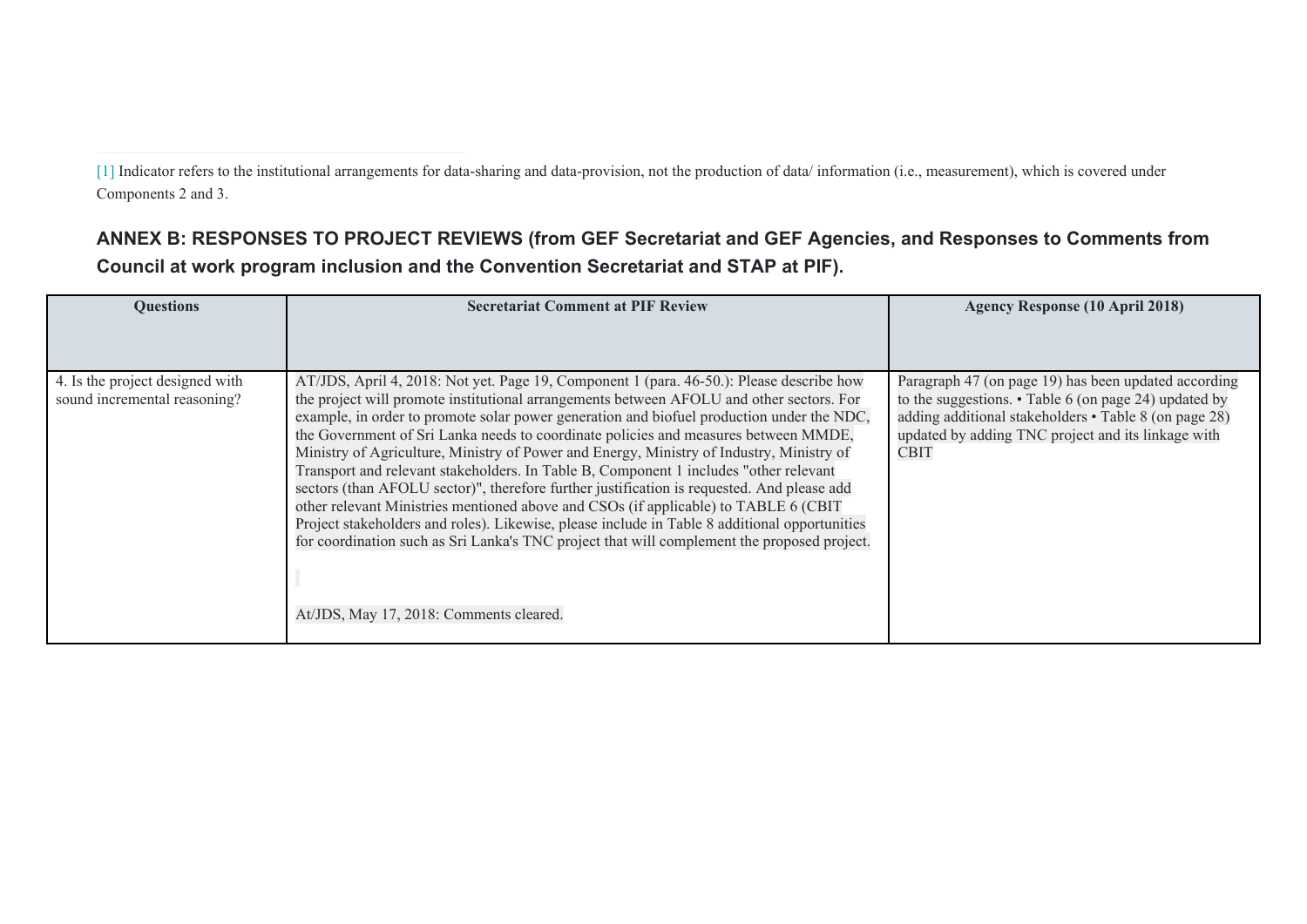[\[1\]](file:///C:/Users/NaitoY/GEF/Country/CBIT/5.%20Sri%20Lanka/PPG/for%20resubmission%20June/Sri%20Lanka-GEF6-CBIT-ProDoc_CLEAN_FINAL_PPRCRevision_Aug2019.docx#_ftnref1) Indicator refers to the institutional arrangements for data-sharing and data-provision, not the production of data/ information (i.e., measurement), which is covered under Components 2 and 3.

# **ANNEX B: RESPONSES TO PROJECT REVIEWS (from GEF Secretariat and GEF Agencies, and Responses to Comments from Council at work program inclusion and the Convention Secretariat and STAP at PIF).**

| <b>Ouestions</b>                                                | <b>Secretariat Comment at PIF Review</b>                                                                                                                                                                                                                                                                                                                                                                                                                                                                                                                                                                                                                                                                                                                                                                                                                                                                                                                                                      | <b>Agency Response (10 April 2018)</b>                                                                                                                                                                                                     |
|-----------------------------------------------------------------|-----------------------------------------------------------------------------------------------------------------------------------------------------------------------------------------------------------------------------------------------------------------------------------------------------------------------------------------------------------------------------------------------------------------------------------------------------------------------------------------------------------------------------------------------------------------------------------------------------------------------------------------------------------------------------------------------------------------------------------------------------------------------------------------------------------------------------------------------------------------------------------------------------------------------------------------------------------------------------------------------|--------------------------------------------------------------------------------------------------------------------------------------------------------------------------------------------------------------------------------------------|
|                                                                 |                                                                                                                                                                                                                                                                                                                                                                                                                                                                                                                                                                                                                                                                                                                                                                                                                                                                                                                                                                                               |                                                                                                                                                                                                                                            |
| 4. Is the project designed with<br>sound incremental reasoning? | AT/JDS, April 4, 2018: Not yet. Page 19, Component 1 (para. 46-50.): Please describe how<br>the project will promote institutional arrangements between AFOLU and other sectors. For<br>example, in order to promote solar power generation and biofuel production under the NDC,<br>the Government of Sri Lanka needs to coordinate policies and measures between MMDE,<br>Ministry of Agriculture, Ministry of Power and Energy, Ministry of Industry, Ministry of<br>Transport and relevant stakeholders. In Table B, Component 1 includes "other relevant<br>sectors (than AFOLU sector)", therefore further justification is requested. And please add<br>other relevant Ministries mentioned above and CSOs (if applicable) to TABLE 6 (CBIT<br>Project stakeholders and roles). Likewise, please include in Table 8 additional opportunities<br>for coordination such as Sri Lanka's TNC project that will complement the proposed project.<br>At/JDS, May 17, 2018: Comments cleared. | Paragraph 47 (on page 19) has been updated according<br>to the suggestions. $\cdot$ Table 6 (on page 24) updated by<br>adding additional stakeholders • Table 8 (on page 28)<br>updated by adding TNC project and its linkage with<br>CBIT |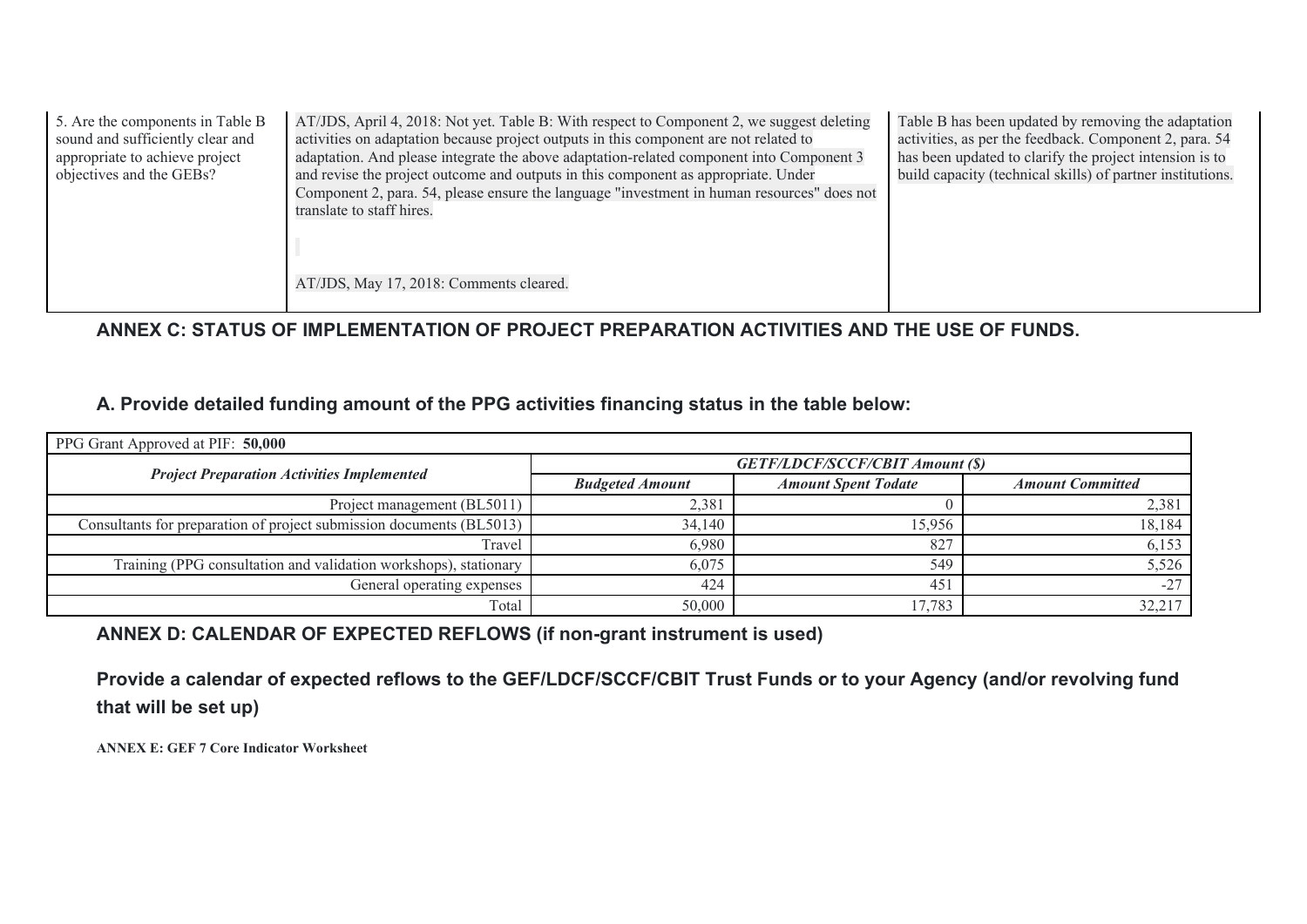| 5. Are the components in Table B<br>sound and sufficiently clear and<br>appropriate to achieve project<br>objectives and the GEBs? | AT/JDS, April 4, 2018: Not yet. Table B: With respect to Component 2, we suggest deleting<br>activities on adaptation because project outputs in this component are not related to<br>adaptation. And please integrate the above adaptation-related component into Component 3<br>and revise the project outcome and outputs in this component as appropriate. Under<br>Component 2, para. 54, please ensure the language "investment in human resources" does not<br>translate to staff hires.<br>AT/JDS, May 17, 2018: Comments cleared. | Table B has been updated by removing the adaptation<br>activities, as per the feedback. Component 2, para. 54<br>has been updated to clarify the project intension is to<br>build capacity (technical skills) of partner institutions. |
|------------------------------------------------------------------------------------------------------------------------------------|--------------------------------------------------------------------------------------------------------------------------------------------------------------------------------------------------------------------------------------------------------------------------------------------------------------------------------------------------------------------------------------------------------------------------------------------------------------------------------------------------------------------------------------------|----------------------------------------------------------------------------------------------------------------------------------------------------------------------------------------------------------------------------------------|
|                                                                                                                                    |                                                                                                                                                                                                                                                                                                                                                                                                                                                                                                                                            |                                                                                                                                                                                                                                        |

**ANNEX C: STATUS OF IMPLEMENTATION OF PROJECT PREPARATION ACTIVITIES AND THE USE OF FUNDS.** 

# **A. Provide detailed funding amount of the PPG activities financing status in the table below:**

| PPG Grant Approved at PIF: 50,000                                    |                        |                                        |                         |  |  |  |
|----------------------------------------------------------------------|------------------------|----------------------------------------|-------------------------|--|--|--|
| <b>Project Preparation Activities Implemented</b>                    |                        | <b>GETF/LDCF/SCCF/CBIT Amount (\$)</b> |                         |  |  |  |
|                                                                      | <b>Budgeted Amount</b> | <b>Amount Spent Todate</b>             | <b>Amount Committed</b> |  |  |  |
| Project management (BL5011)                                          | 2,381                  |                                        | 2,381                   |  |  |  |
| Consultants for preparation of project submission documents (BL5013) | 34,140                 | 15.956                                 | 18,184                  |  |  |  |
| Travel                                                               | 6,980                  | 827                                    | 6,153                   |  |  |  |
| Training (PPG consultation and validation workshops), stationary     | 6,075                  | 549                                    | 5,526                   |  |  |  |
| General operating expenses                                           | 424                    | 451                                    | $-27$                   |  |  |  |
| Total                                                                | 50,000                 | 17,783                                 | 32,217                  |  |  |  |

# **ANNEX D: CALENDAR OF EXPECTED REFLOWS (if non-grant instrument is used)**

**Provide a calendar of expected reflows to the GEF/LDCF/SCCF/CBIT Trust Funds or to your Agency (and/or revolving fund that will be set up)** 

**ANNEX E: GEF 7 Core Indicator Worksheet**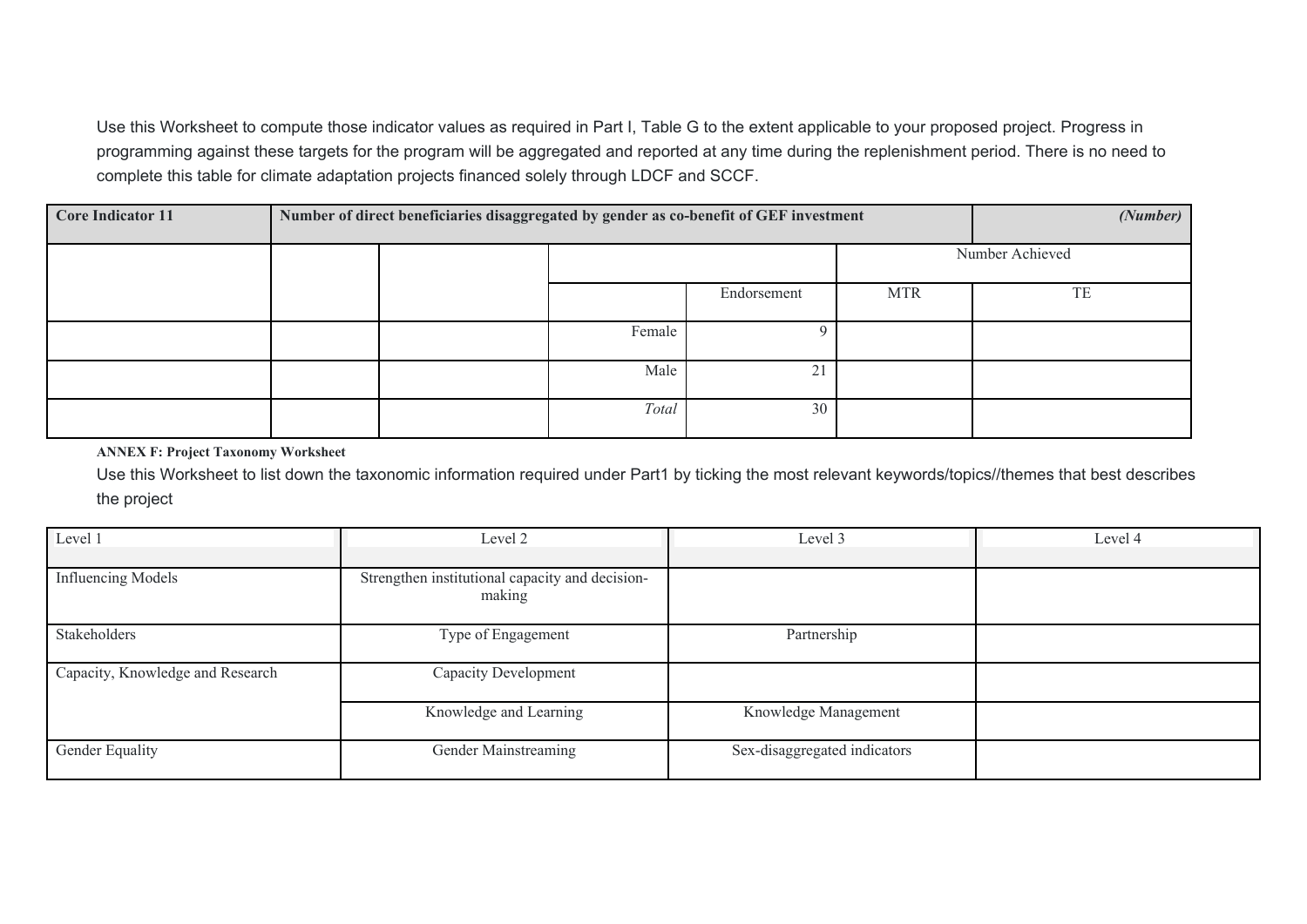Use this Worksheet to compute those indicator values as required in Part I, Table G to the extent applicable to your proposed project. Progress in programming against these targets for the program will be aggregated and reported at any time during the replenishment period. There is no need to complete this table for climate adaptation projects financed solely through LDCF and SCCF.

| <b>Core Indicator 11</b> | Number of direct beneficiaries disaggregated by gender as co-benefit of GEF investment |  |        |             | (Number)   |                 |
|--------------------------|----------------------------------------------------------------------------------------|--|--------|-------------|------------|-----------------|
|                          |                                                                                        |  |        |             |            | Number Achieved |
|                          |                                                                                        |  |        | Endorsement | <b>MTR</b> | TE              |
|                          |                                                                                        |  | Female | $\Omega$    |            |                 |
|                          |                                                                                        |  | Male   | 21          |            |                 |
|                          |                                                                                        |  | Total  | 30          |            |                 |

### **ANNEX F: Project Taxonomy Worksheet**

Use this Worksheet to list down the taxonomic information required under Part1 by ticking the most relevant keywords/topics//themes that best describes the project

| Level 1                          | Level 2                                                   | Level 3                      | Level 4 |
|----------------------------------|-----------------------------------------------------------|------------------------------|---------|
| <b>Influencing Models</b>        | Strengthen institutional capacity and decision-<br>making |                              |         |
| Stakeholders                     | Type of Engagement                                        | Partnership                  |         |
| Capacity, Knowledge and Research | Capacity Development                                      |                              |         |
|                                  | Knowledge and Learning                                    | Knowledge Management         |         |
| Gender Equality                  | Gender Mainstreaming                                      | Sex-disaggregated indicators |         |